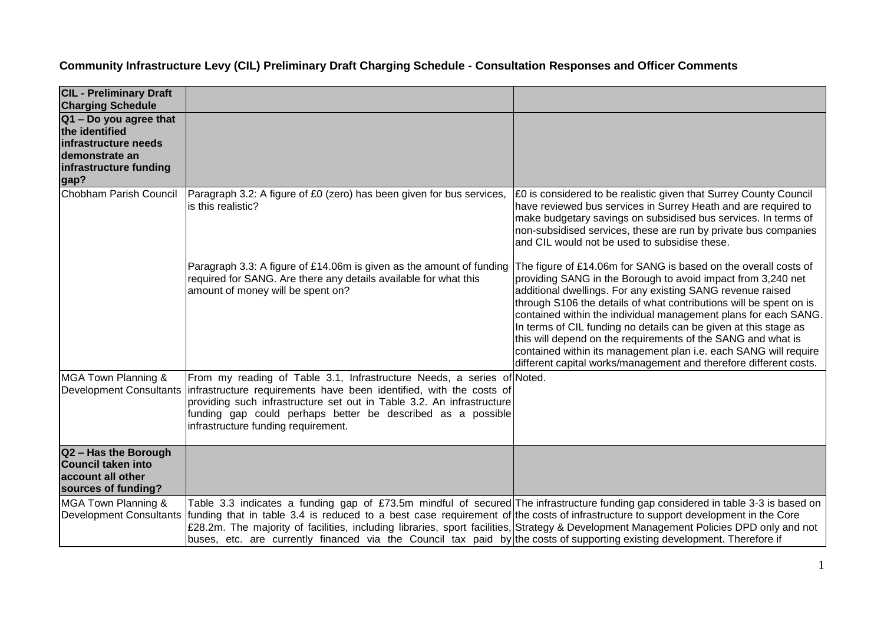| <b>CIL - Preliminary Draft</b><br><b>Charging Schedule</b>                                                           |                                                                                                                                                                                                                                                                                                                                                                                                                                                                                                                                               |                                                                                                                                                                                                                                                                                                                                                                                                                                                                                                                                                                                                                     |
|----------------------------------------------------------------------------------------------------------------------|-----------------------------------------------------------------------------------------------------------------------------------------------------------------------------------------------------------------------------------------------------------------------------------------------------------------------------------------------------------------------------------------------------------------------------------------------------------------------------------------------------------------------------------------------|---------------------------------------------------------------------------------------------------------------------------------------------------------------------------------------------------------------------------------------------------------------------------------------------------------------------------------------------------------------------------------------------------------------------------------------------------------------------------------------------------------------------------------------------------------------------------------------------------------------------|
| Q1 - Do you agree that<br>the identified<br>infrastructure needs<br>demonstrate an<br>infrastructure funding<br>gap? |                                                                                                                                                                                                                                                                                                                                                                                                                                                                                                                                               |                                                                                                                                                                                                                                                                                                                                                                                                                                                                                                                                                                                                                     |
| Chobham Parish Council                                                                                               | Paragraph 3.2: A figure of £0 (zero) has been given for bus services,<br>is this realistic?                                                                                                                                                                                                                                                                                                                                                                                                                                                   | £0 is considered to be realistic given that Surrey County Council<br>have reviewed bus services in Surrey Heath and are required to<br>make budgetary savings on subsidised bus services. In terms of<br>non-subsidised services, these are run by private bus companies<br>and CIL would not be used to subsidise these.                                                                                                                                                                                                                                                                                           |
|                                                                                                                      | Paragraph 3.3: A figure of £14.06m is given as the amount of funding<br>required for SANG. Are there any details available for what this<br>amount of money will be spent on?                                                                                                                                                                                                                                                                                                                                                                 | The figure of £14.06m for SANG is based on the overall costs of<br>providing SANG in the Borough to avoid impact from 3,240 net<br>additional dwellings. For any existing SANG revenue raised<br>through S106 the details of what contributions will be spent on is<br>contained within the individual management plans for each SANG.<br>In terms of CIL funding no details can be given at this stage as<br>this will depend on the requirements of the SANG and what is<br>contained within its management plan i.e. each SANG will require<br>different capital works/management and therefore different costs. |
| MGA Town Planning &<br><b>Development Consultants</b>                                                                | From my reading of Table 3.1, Infrastructure Needs, a series of Noted.<br>infrastructure requirements have been identified, with the costs of<br>providing such infrastructure set out in Table 3.2. An infrastructure<br>funding gap could perhaps better be described as a possible<br>infrastructure funding requirement.                                                                                                                                                                                                                  |                                                                                                                                                                                                                                                                                                                                                                                                                                                                                                                                                                                                                     |
| Q2 - Has the Borough<br><b>Council taken into</b><br>account all other<br>sources of funding?                        |                                                                                                                                                                                                                                                                                                                                                                                                                                                                                                                                               |                                                                                                                                                                                                                                                                                                                                                                                                                                                                                                                                                                                                                     |
| MGA Town Planning &<br><b>Development Consultants</b>                                                                | Table 3.3 indicates a funding gap of £73.5m mindful of secured The infrastructure funding gap considered in table 3-3 is based on<br>funding that in table 3.4 is reduced to a best case requirement of the costs of infrastructure to support development in the Core<br>£28.2m. The majority of facilities, including libraries, sport facilities, Strategy & Development Management Policies DPD only and not<br>buses, etc. are currently financed via the Council tax paid by the costs of supporting existing development. Therefore if |                                                                                                                                                                                                                                                                                                                                                                                                                                                                                                                                                                                                                     |

## **Community Infrastructure Levy (CIL) Preliminary Draft Charging Schedule - Consultation Responses and Officer Comments**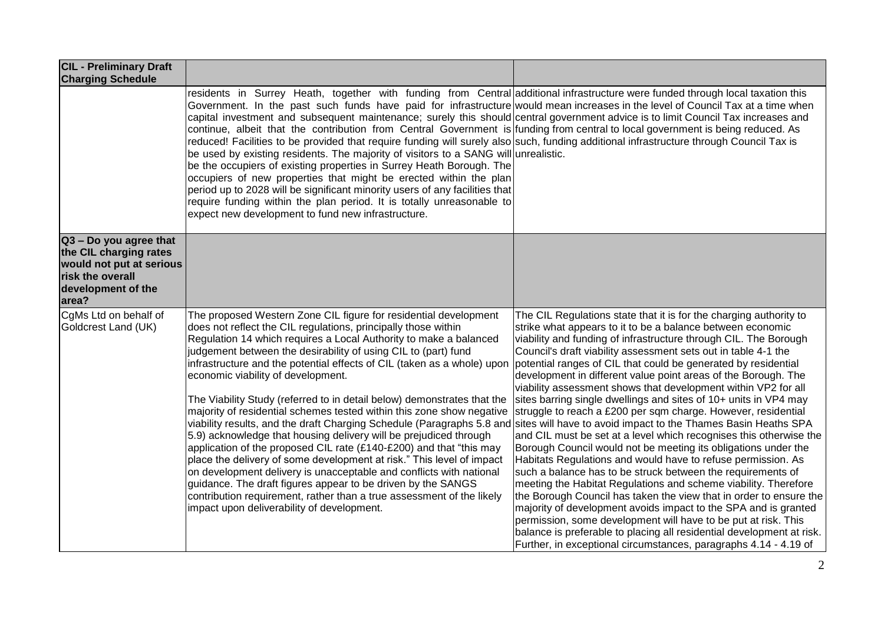| <b>CIL - Preliminary Draft</b><br><b>Charging Schedule</b>                                                                      |                                                                                                                                                                                                                                                                                                                                                                                                                                                                                                                                                                                                                                                                                                                                                                                                                                                                                                                                                                                                                                                                                                                                                                            |                                                                                                                                                                                                                                                                                                                                                                                                                                                                                                                                                                                                                                                                                                                                                                                                                                                                                                                                                                                                                                                                                                                                                                                                                                                                                                                     |
|---------------------------------------------------------------------------------------------------------------------------------|----------------------------------------------------------------------------------------------------------------------------------------------------------------------------------------------------------------------------------------------------------------------------------------------------------------------------------------------------------------------------------------------------------------------------------------------------------------------------------------------------------------------------------------------------------------------------------------------------------------------------------------------------------------------------------------------------------------------------------------------------------------------------------------------------------------------------------------------------------------------------------------------------------------------------------------------------------------------------------------------------------------------------------------------------------------------------------------------------------------------------------------------------------------------------|---------------------------------------------------------------------------------------------------------------------------------------------------------------------------------------------------------------------------------------------------------------------------------------------------------------------------------------------------------------------------------------------------------------------------------------------------------------------------------------------------------------------------------------------------------------------------------------------------------------------------------------------------------------------------------------------------------------------------------------------------------------------------------------------------------------------------------------------------------------------------------------------------------------------------------------------------------------------------------------------------------------------------------------------------------------------------------------------------------------------------------------------------------------------------------------------------------------------------------------------------------------------------------------------------------------------|
|                                                                                                                                 | residents in Surrey Heath, together with funding from Central additional infrastructure were funded through local taxation this<br>Government. In the past such funds have paid for infrastructure would mean increases in the level of Council Tax at a time when<br>capital investment and subsequent maintenance; surely this should central government advice is to limit Council Tax increases and<br>continue, albeit that the contribution from Central Government is funding from central to local government is being reduced. As<br>reduced! Facilities to be provided that require funding will surely also such, funding additional infrastructure through Council Tax is<br>be used by existing residents. The majority of visitors to a SANG will unrealistic.<br>be the occupiers of existing properties in Surrey Heath Borough. The<br>occupiers of new properties that might be erected within the plan<br>period up to 2028 will be significant minority users of any facilities that<br>require funding within the plan period. It is totally unreasonable to<br>expect new development to fund new infrastructure.                                    |                                                                                                                                                                                                                                                                                                                                                                                                                                                                                                                                                                                                                                                                                                                                                                                                                                                                                                                                                                                                                                                                                                                                                                                                                                                                                                                     |
| Q3 - Do you agree that<br>the CIL charging rates<br>would not put at serious<br>risk the overall<br>development of the<br>area? |                                                                                                                                                                                                                                                                                                                                                                                                                                                                                                                                                                                                                                                                                                                                                                                                                                                                                                                                                                                                                                                                                                                                                                            |                                                                                                                                                                                                                                                                                                                                                                                                                                                                                                                                                                                                                                                                                                                                                                                                                                                                                                                                                                                                                                                                                                                                                                                                                                                                                                                     |
| CgMs Ltd on behalf of<br>Goldcrest Land (UK)                                                                                    | The proposed Western Zone CIL figure for residential development<br>does not reflect the CIL regulations, principally those within<br>Regulation 14 which requires a Local Authority to make a balanced<br>judgement between the desirability of using CIL to (part) fund<br>infrastructure and the potential effects of CIL (taken as a whole) upon<br>economic viability of development.<br>The Viability Study (referred to in detail below) demonstrates that the<br>majority of residential schemes tested within this zone show negative<br>viability results, and the draft Charging Schedule (Paragraphs 5.8 and sites will have to avoid impact to the Thames Basin Heaths SPA<br>5.9) acknowledge that housing delivery will be prejudiced through<br>application of the proposed CIL rate (£140-£200) and that "this may<br>place the delivery of some development at risk." This level of impact<br>on development delivery is unacceptable and conflicts with national<br>guidance. The draft figures appear to be driven by the SANGS<br>contribution requirement, rather than a true assessment of the likely<br>impact upon deliverability of development. | The CIL Regulations state that it is for the charging authority to<br>strike what appears to it to be a balance between economic<br>viability and funding of infrastructure through CIL. The Borough<br>Council's draft viability assessment sets out in table 4-1 the<br>potential ranges of CIL that could be generated by residential<br>development in different value point areas of the Borough. The<br>viability assessment shows that development within VP2 for all<br>sites barring single dwellings and sites of 10+ units in VP4 may<br>struggle to reach a £200 per sqm charge. However, residential<br>and CIL must be set at a level which recognises this otherwise the<br>Borough Council would not be meeting its obligations under the<br>Habitats Regulations and would have to refuse permission. As<br>such a balance has to be struck between the requirements of<br>meeting the Habitat Regulations and scheme viability. Therefore<br>the Borough Council has taken the view that in order to ensure the<br>majority of development avoids impact to the SPA and is granted<br>permission, some development will have to be put at risk. This<br>balance is preferable to placing all residential development at risk.<br>Further, in exceptional circumstances, paragraphs 4.14 - 4.19 of |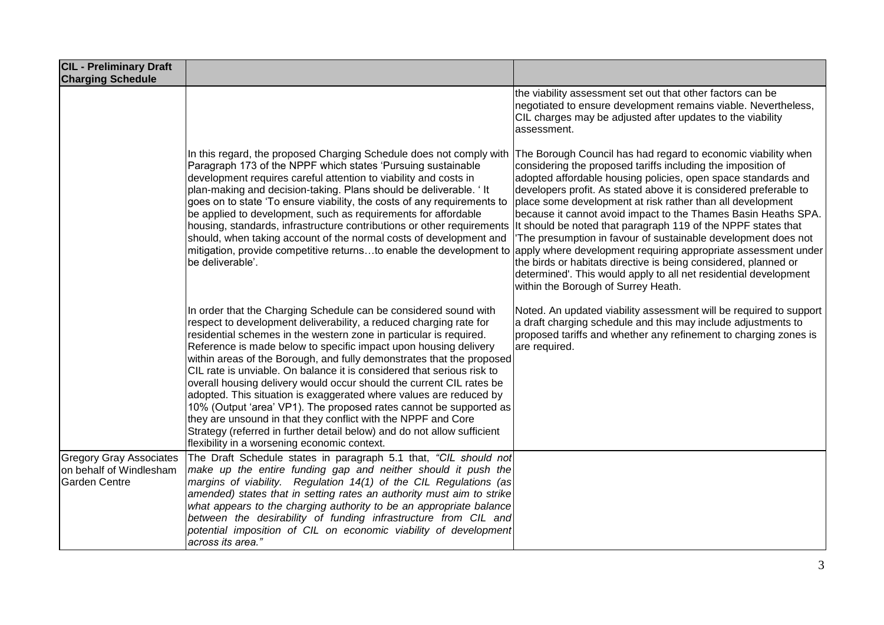| <b>CIL - Preliminary Draft</b><br><b>Charging Schedule</b>                        |                                                                                                                                                                                                                                                                                                                                                                                                                                                                                                                                                                                                                                                                                                                                                                                                                                                     |                                                                                                                                                                                                                                                                                                                                                                                                                                                                                                                                                                                                                                                                                                                                                                                       |
|-----------------------------------------------------------------------------------|-----------------------------------------------------------------------------------------------------------------------------------------------------------------------------------------------------------------------------------------------------------------------------------------------------------------------------------------------------------------------------------------------------------------------------------------------------------------------------------------------------------------------------------------------------------------------------------------------------------------------------------------------------------------------------------------------------------------------------------------------------------------------------------------------------------------------------------------------------|---------------------------------------------------------------------------------------------------------------------------------------------------------------------------------------------------------------------------------------------------------------------------------------------------------------------------------------------------------------------------------------------------------------------------------------------------------------------------------------------------------------------------------------------------------------------------------------------------------------------------------------------------------------------------------------------------------------------------------------------------------------------------------------|
|                                                                                   |                                                                                                                                                                                                                                                                                                                                                                                                                                                                                                                                                                                                                                                                                                                                                                                                                                                     | the viability assessment set out that other factors can be<br>negotiated to ensure development remains viable. Nevertheless,<br>CIL charges may be adjusted after updates to the viability<br>assessment.                                                                                                                                                                                                                                                                                                                                                                                                                                                                                                                                                                             |
|                                                                                   | In this regard, the proposed Charging Schedule does not comply with<br>Paragraph 173 of the NPPF which states 'Pursuing sustainable<br>development requires careful attention to viability and costs in<br>plan-making and decision-taking. Plans should be deliverable. 'It<br>goes on to state 'To ensure viability, the costs of any requirements to<br>be applied to development, such as requirements for affordable<br>housing, standards, infrastructure contributions or other requirements<br>should, when taking account of the normal costs of development and<br>mitigation, provide competitive returnsto enable the development to<br>be deliverable'.                                                                                                                                                                                | The Borough Council has had regard to economic viability when<br>considering the proposed tariffs including the imposition of<br>adopted affordable housing policies, open space standards and<br>developers profit. As stated above it is considered preferable to<br>place some development at risk rather than all development<br>because it cannot avoid impact to the Thames Basin Heaths SPA.<br>It should be noted that paragraph 119 of the NPPF states that<br>The presumption in favour of sustainable development does not<br>apply where development requiring appropriate assessment under<br>the birds or habitats directive is being considered, planned or<br>determined'. This would apply to all net residential development<br>within the Borough of Surrey Heath. |
|                                                                                   | In order that the Charging Schedule can be considered sound with<br>respect to development deliverability, a reduced charging rate for<br>residential schemes in the western zone in particular is required.<br>Reference is made below to specific impact upon housing delivery<br>within areas of the Borough, and fully demonstrates that the proposed<br>CIL rate is unviable. On balance it is considered that serious risk to<br>overall housing delivery would occur should the current CIL rates be<br>adopted. This situation is exaggerated where values are reduced by<br>10% (Output 'area' VP1). The proposed rates cannot be supported as<br>they are unsound in that they conflict with the NPPF and Core<br>Strategy (referred in further detail below) and do not allow sufficient<br>flexibility in a worsening economic context. | Noted. An updated viability assessment will be required to support<br>a draft charging schedule and this may include adjustments to<br>proposed tariffs and whether any refinement to charging zones is<br>are required.                                                                                                                                                                                                                                                                                                                                                                                                                                                                                                                                                              |
| <b>Gregory Gray Associates</b><br>on behalf of Windlesham<br><b>Garden Centre</b> | The Draft Schedule states in paragraph 5.1 that, "CIL should not<br>make up the entire funding gap and neither should it push the<br>margins of viability. Regulation 14(1) of the CIL Regulations (as<br>amended) states that in setting rates an authority must aim to strike<br>what appears to the charging authority to be an appropriate balance<br>between the desirability of funding infrastructure from CIL and<br>potential imposition of CIL on economic viability of development<br>across its area."                                                                                                                                                                                                                                                                                                                                  |                                                                                                                                                                                                                                                                                                                                                                                                                                                                                                                                                                                                                                                                                                                                                                                       |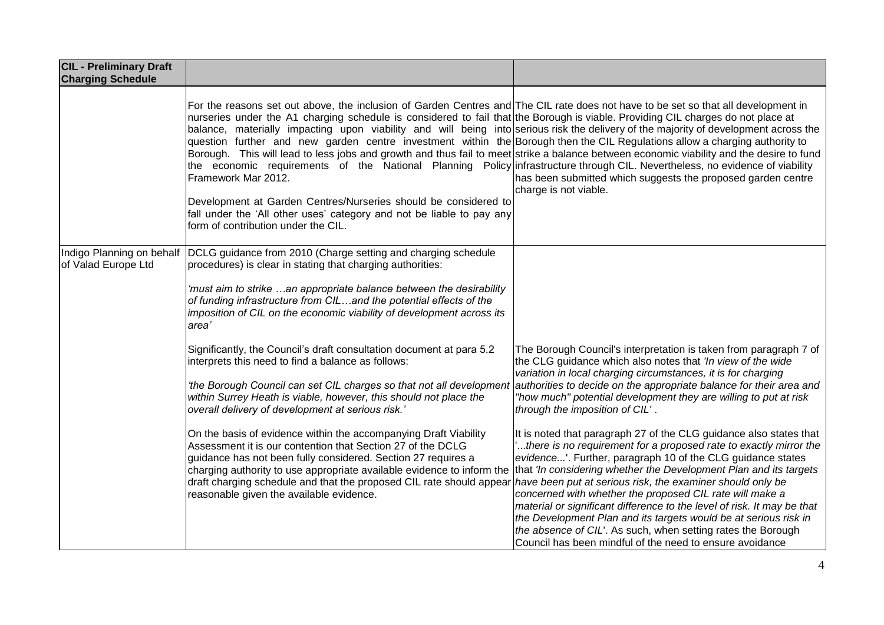| <b>CIL - Preliminary Draft</b><br><b>Charging Schedule</b> |                                                                                                                                                                                                                                                                                                                                                                                                                                                                                                                                                                                                                                                                                                                                                                                                                                                                                                                                                                                                                                     |                                                                                                                                                                                                                                                                                                                                                                                                                                                                                                                                                                                                                                                                                                                                                                                                                                                                                                                                                                                                                                                                     |
|------------------------------------------------------------|-------------------------------------------------------------------------------------------------------------------------------------------------------------------------------------------------------------------------------------------------------------------------------------------------------------------------------------------------------------------------------------------------------------------------------------------------------------------------------------------------------------------------------------------------------------------------------------------------------------------------------------------------------------------------------------------------------------------------------------------------------------------------------------------------------------------------------------------------------------------------------------------------------------------------------------------------------------------------------------------------------------------------------------|---------------------------------------------------------------------------------------------------------------------------------------------------------------------------------------------------------------------------------------------------------------------------------------------------------------------------------------------------------------------------------------------------------------------------------------------------------------------------------------------------------------------------------------------------------------------------------------------------------------------------------------------------------------------------------------------------------------------------------------------------------------------------------------------------------------------------------------------------------------------------------------------------------------------------------------------------------------------------------------------------------------------------------------------------------------------|
|                                                            | For the reasons set out above, the inclusion of Garden Centres and The CIL rate does not have to be set so that all development in<br>nurseries under the A1 charging schedule is considered to fail that the Borough is viable. Providing CIL charges do not place at<br>balance, materially impacting upon viability and will being into serious risk the delivery of the majority of development across the<br>question further and new garden centre investment within the Borough then the CIL Regulations allow a charging authority to<br>Borough. This will lead to less jobs and growth and thus fail to meet strike a balance between economic viability and the desire to fund<br>the economic requirements of the National Planning Policy infrastructure through CIL. Nevertheless, no evidence of viability<br>Framework Mar 2012.<br>Development at Garden Centres/Nurseries should be considered to<br>fall under the 'All other uses' category and not be liable to pay any<br>form of contribution under the CIL. | has been submitted which suggests the proposed garden centre<br>charge is not viable.                                                                                                                                                                                                                                                                                                                                                                                                                                                                                                                                                                                                                                                                                                                                                                                                                                                                                                                                                                               |
| Indigo Planning on behalf<br>of Valad Europe Ltd           | DCLG guidance from 2010 (Charge setting and charging schedule<br>procedures) is clear in stating that charging authorities:<br>'must aim to strike an appropriate balance between the desirability<br>of funding infrastructure from CILand the potential effects of the<br>imposition of CIL on the economic viability of development across its<br>area'                                                                                                                                                                                                                                                                                                                                                                                                                                                                                                                                                                                                                                                                          |                                                                                                                                                                                                                                                                                                                                                                                                                                                                                                                                                                                                                                                                                                                                                                                                                                                                                                                                                                                                                                                                     |
|                                                            | Significantly, the Council's draft consultation document at para 5.2<br>interprets this need to find a balance as follows:<br>'the Borough Council can set CIL charges so that not all development<br>within Surrey Heath is viable, however, this should not place the<br>overall delivery of development at serious risk.'<br>On the basis of evidence within the accompanying Draft Viability<br>Assessment it is our contention that Section 27 of the DCLG<br>guidance has not been fully considered. Section 27 requires a<br>charging authority to use appropriate available evidence to inform the<br>draft charging schedule and that the proposed CIL rate should appear<br>reasonable given the available evidence.                                                                                                                                                                                                                                                                                                      | The Borough Council's interpretation is taken from paragraph 7 of<br>the CLG guidance which also notes that 'In view of the wide<br>variation in local charging circumstances, it is for charging<br>authorities to decide on the appropriate balance for their area and<br>"how much" potential development they are willing to put at risk<br>through the imposition of CIL'.<br>It is noted that paragraph 27 of the CLG guidance also states that<br>there is no requirement for a proposed rate to exactly mirror the<br>evidence'. Further, paragraph 10 of the CLG guidance states<br>that 'In considering whether the Development Plan and its targets<br>have been put at serious risk, the examiner should only be<br>concerned with whether the proposed CIL rate will make a<br>material or significant difference to the level of risk. It may be that<br>the Development Plan and its targets would be at serious risk in<br>the absence of CIL'. As such, when setting rates the Borough<br>Council has been mindful of the need to ensure avoidance |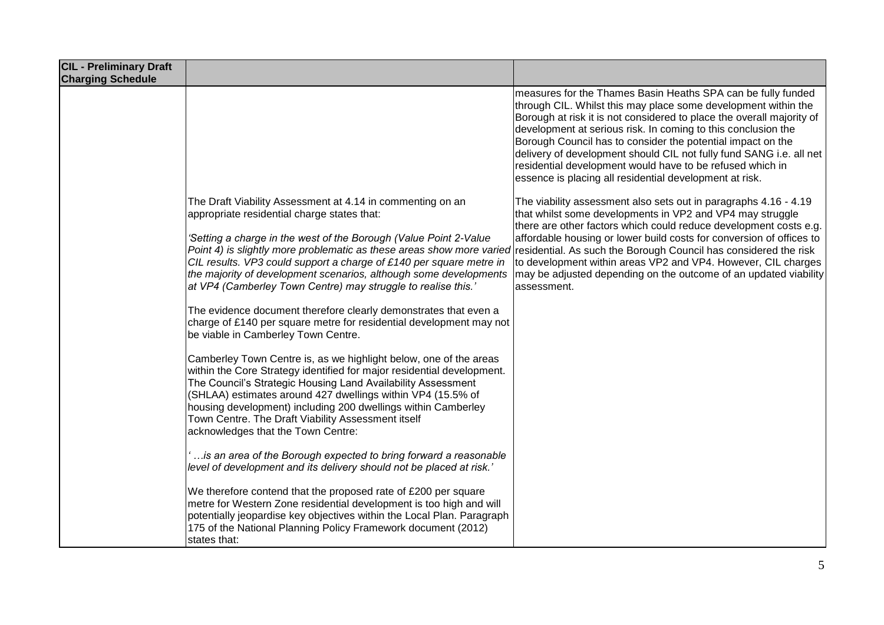| <b>CIL - Preliminary Draft</b><br><b>Charging Schedule</b> |                                                                                                                                                                                                                                                                                                                                                                                                                                                                                                                                                                                                                                                                                                                         |                                                                                                                                                                                                                                                                                                                                                                                                                                                                                                                                        |
|------------------------------------------------------------|-------------------------------------------------------------------------------------------------------------------------------------------------------------------------------------------------------------------------------------------------------------------------------------------------------------------------------------------------------------------------------------------------------------------------------------------------------------------------------------------------------------------------------------------------------------------------------------------------------------------------------------------------------------------------------------------------------------------------|----------------------------------------------------------------------------------------------------------------------------------------------------------------------------------------------------------------------------------------------------------------------------------------------------------------------------------------------------------------------------------------------------------------------------------------------------------------------------------------------------------------------------------------|
|                                                            |                                                                                                                                                                                                                                                                                                                                                                                                                                                                                                                                                                                                                                                                                                                         | measures for the Thames Basin Heaths SPA can be fully funded<br>through CIL. Whilst this may place some development within the<br>Borough at risk it is not considered to place the overall majority of<br>development at serious risk. In coming to this conclusion the<br>Borough Council has to consider the potential impact on the<br>delivery of development should CIL not fully fund SANG i.e. all net<br>residential development would have to be refused which in<br>essence is placing all residential development at risk. |
|                                                            | The Draft Viability Assessment at 4.14 in commenting on an<br>appropriate residential charge states that:<br>'Setting a charge in the west of the Borough (Value Point 2-Value<br>Point 4) is slightly more problematic as these areas show more varied residential. As such the Borough Council has considered the risk<br>CIL results. VP3 could support a charge of £140 per square metre in<br>the majority of development scenarios, although some developments<br>at VP4 (Camberley Town Centre) may struggle to realise this.'<br>The evidence document therefore clearly demonstrates that even a<br>charge of £140 per square metre for residential development may not<br>be viable in Camberley Town Centre. | The viability assessment also sets out in paragraphs 4.16 - 4.19<br>that whilst some developments in VP2 and VP4 may struggle<br>there are other factors which could reduce development costs e.g.<br>affordable housing or lower build costs for conversion of offices to<br>to development within areas VP2 and VP4. However, CIL charges<br>may be adjusted depending on the outcome of an updated viability<br>assessment.                                                                                                         |
|                                                            | Camberley Town Centre is, as we highlight below, one of the areas<br>within the Core Strategy identified for major residential development.<br>The Council's Strategic Housing Land Availability Assessment<br>(SHLAA) estimates around 427 dwellings within VP4 (15.5% of<br>housing development) including 200 dwellings within Camberley<br>Town Centre. The Draft Viability Assessment itself<br>acknowledges that the Town Centre:                                                                                                                                                                                                                                                                                 |                                                                                                                                                                                                                                                                                                                                                                                                                                                                                                                                        |
|                                                            | is an area of the Borough expected to bring forward a reasonable<br>level of development and its delivery should not be placed at risk.'<br>We therefore contend that the proposed rate of £200 per square<br>metre for Western Zone residential development is too high and will<br>potentially jeopardise key objectives within the Local Plan. Paragraph<br>175 of the National Planning Policy Framework document (2012)<br>states that:                                                                                                                                                                                                                                                                            |                                                                                                                                                                                                                                                                                                                                                                                                                                                                                                                                        |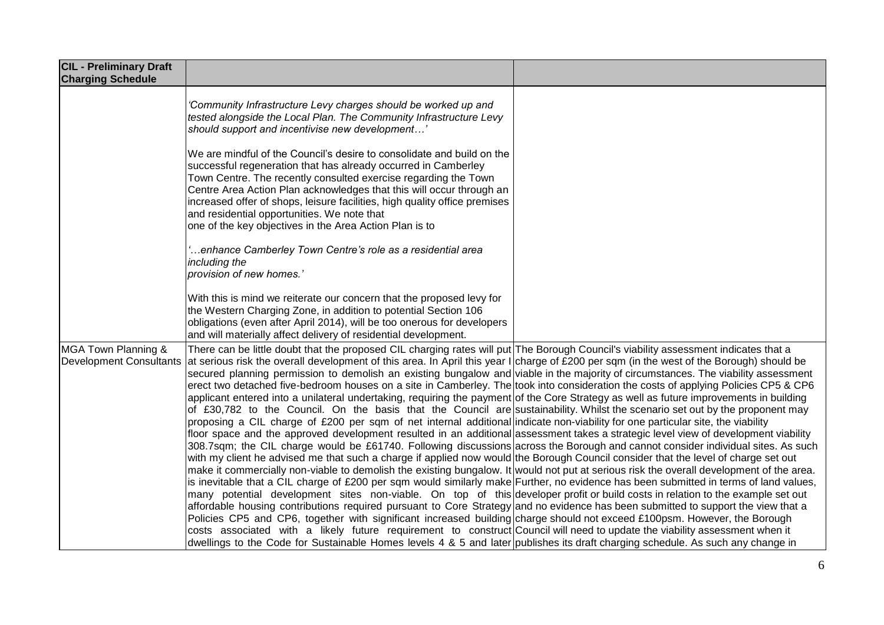| 'Community Infrastructure Levy charges should be worked up and<br>tested alongside the Local Plan. The Community Infrastructure Levy<br>should support and incentivise new development'                                                                                                                                                                                                                                                                                                                                                                                                                                                                                                                                                                                                                                                                                                                                                                                                                                                                                                                                                                                                                                                                                                                                                                                                                                                                                                                                                                                                                                                                                                                                                                                                                                                                                                                                                                                                                                                                                              |                                                                                                                                                                                                                                                                |
|--------------------------------------------------------------------------------------------------------------------------------------------------------------------------------------------------------------------------------------------------------------------------------------------------------------------------------------------------------------------------------------------------------------------------------------------------------------------------------------------------------------------------------------------------------------------------------------------------------------------------------------------------------------------------------------------------------------------------------------------------------------------------------------------------------------------------------------------------------------------------------------------------------------------------------------------------------------------------------------------------------------------------------------------------------------------------------------------------------------------------------------------------------------------------------------------------------------------------------------------------------------------------------------------------------------------------------------------------------------------------------------------------------------------------------------------------------------------------------------------------------------------------------------------------------------------------------------------------------------------------------------------------------------------------------------------------------------------------------------------------------------------------------------------------------------------------------------------------------------------------------------------------------------------------------------------------------------------------------------------------------------------------------------------------------------------------------------|----------------------------------------------------------------------------------------------------------------------------------------------------------------------------------------------------------------------------------------------------------------|
| We are mindful of the Council's desire to consolidate and build on the<br>successful regeneration that has already occurred in Camberley<br>Town Centre. The recently consulted exercise regarding the Town<br>Centre Area Action Plan acknowledges that this will occur through an<br>increased offer of shops, leisure facilities, high quality office premises<br>and residential opportunities. We note that<br>one of the key objectives in the Area Action Plan is to                                                                                                                                                                                                                                                                                                                                                                                                                                                                                                                                                                                                                                                                                                                                                                                                                                                                                                                                                                                                                                                                                                                                                                                                                                                                                                                                                                                                                                                                                                                                                                                                          |                                                                                                                                                                                                                                                                |
| enhance Camberley Town Centre's role as a residential area<br>including the<br>provision of new homes.'                                                                                                                                                                                                                                                                                                                                                                                                                                                                                                                                                                                                                                                                                                                                                                                                                                                                                                                                                                                                                                                                                                                                                                                                                                                                                                                                                                                                                                                                                                                                                                                                                                                                                                                                                                                                                                                                                                                                                                              |                                                                                                                                                                                                                                                                |
| With this is mind we reiterate our concern that the proposed levy for<br>the Western Charging Zone, in addition to potential Section 106<br>obligations (even after April 2014), will be too onerous for developers<br>and will materially affect delivery of residential development.                                                                                                                                                                                                                                                                                                                                                                                                                                                                                                                                                                                                                                                                                                                                                                                                                                                                                                                                                                                                                                                                                                                                                                                                                                                                                                                                                                                                                                                                                                                                                                                                                                                                                                                                                                                               |                                                                                                                                                                                                                                                                |
| There can be little doubt that the proposed CIL charging rates will put The Borough Council's viability assessment indicates that a<br>at serious risk the overall development of this area. In April this year I charge of £200 per sqm (in the west of the Borough) should be<br>secured planning permission to demolish an existing bungalow and viable in the majority of circumstances. The viability assessment<br>erect two detached five-bedroom houses on a site in Camberley. The took into consideration the costs of applying Policies CP5 & CP6<br>applicant entered into a unilateral undertaking, requiring the payment of the Core Strategy as well as future improvements in building<br>of £30,782 to the Council. On the basis that the Council are sustainability. Whilst the scenario set out by the proponent may<br>proposing a CIL charge of £200 per sqm of net internal additional indicate non-viability for one particular site, the viability<br>floor space and the approved development resulted in an additional assessment takes a strategic level view of development viability<br>308.7sqm; the CIL charge would be £61740. Following discussions across the Borough and cannot consider individual sites. As such<br>with my client he advised me that such a charge if applied now would the Borough Council consider that the level of charge set out<br>make it commercially non-viable to demolish the existing bungalow. It would not put at serious risk the overall development of the area.<br>is inevitable that a CIL charge of £200 per sqm would similarly make Further, no evidence has been submitted in terms of land values,<br>many potential development sites non-viable. On top of this developer profit or build costs in relation to the example set out<br>affordable housing contributions required pursuant to Core Strategy and no evidence has been submitted to support the view that a<br>Policies CP5 and CP6, together with significant increased building charge should not exceed £100psm. However, the Borough |                                                                                                                                                                                                                                                                |
|                                                                                                                                                                                                                                                                                                                                                                                                                                                                                                                                                                                                                                                                                                                                                                                                                                                                                                                                                                                                                                                                                                                                                                                                                                                                                                                                                                                                                                                                                                                                                                                                                                                                                                                                                                                                                                                                                                                                                                                                                                                                                      | costs associated with a likely future requirement to construct Council will need to update the viability assessment when it<br>dwellings to the Code for Sustainable Homes levels 4 & 5 and later publishes its draft charging schedule. As such any change in |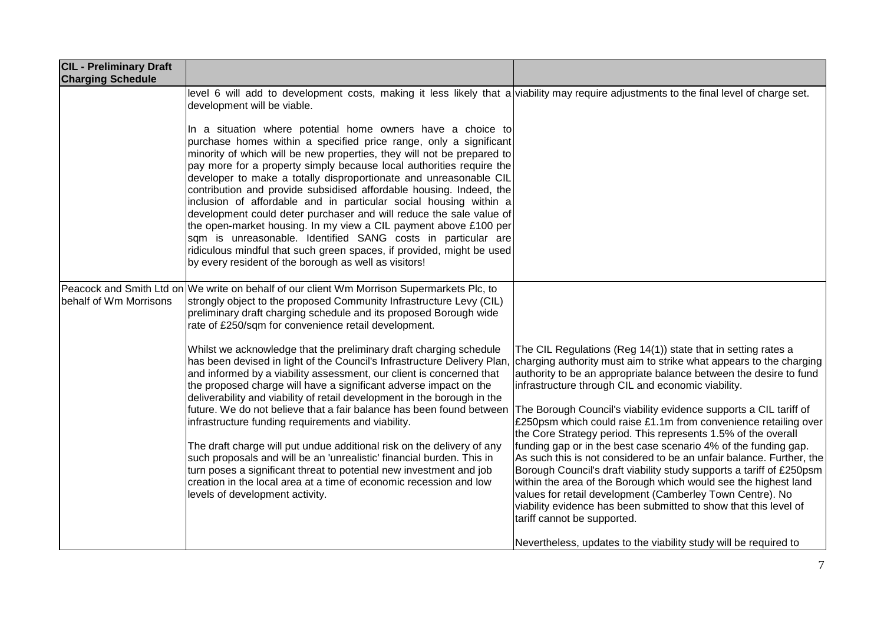| <b>CIL - Preliminary Draft</b><br><b>Charging Schedule</b> |                                                                                                                                                                                                                                                                                                                                                                                                                                                                                                                                                                                                                                                                                                                                                                                                                                                  |                                                                                                                                                                                                                                                                                                                                                                                                                                                                                                                                            |
|------------------------------------------------------------|--------------------------------------------------------------------------------------------------------------------------------------------------------------------------------------------------------------------------------------------------------------------------------------------------------------------------------------------------------------------------------------------------------------------------------------------------------------------------------------------------------------------------------------------------------------------------------------------------------------------------------------------------------------------------------------------------------------------------------------------------------------------------------------------------------------------------------------------------|--------------------------------------------------------------------------------------------------------------------------------------------------------------------------------------------------------------------------------------------------------------------------------------------------------------------------------------------------------------------------------------------------------------------------------------------------------------------------------------------------------------------------------------------|
|                                                            | level 6 will add to development costs, making it less likely that a viability may require adjustments to the final level of charge set.<br>development will be viable.                                                                                                                                                                                                                                                                                                                                                                                                                                                                                                                                                                                                                                                                           |                                                                                                                                                                                                                                                                                                                                                                                                                                                                                                                                            |
|                                                            | In a situation where potential home owners have a choice to<br>purchase homes within a specified price range, only a significant<br>minority of which will be new properties, they will not be prepared to<br>pay more for a property simply because local authorities require the<br>developer to make a totally disproportionate and unreasonable CIL<br>contribution and provide subsidised affordable housing. Indeed, the<br>inclusion of affordable and in particular social housing within a<br>development could deter purchaser and will reduce the sale value of<br>the open-market housing. In my view a CIL payment above £100 per<br>sqm is unreasonable. Identified SANG costs in particular are<br>ridiculous mindful that such green spaces, if provided, might be used<br>by every resident of the borough as well as visitors! |                                                                                                                                                                                                                                                                                                                                                                                                                                                                                                                                            |
| behalf of Wm Morrisons                                     | Peacock and Smith Ltd on We write on behalf of our client Wm Morrison Supermarkets Plc, to<br>strongly object to the proposed Community Infrastructure Levy (CIL)<br>preliminary draft charging schedule and its proposed Borough wide<br>rate of £250/sqm for convenience retail development.                                                                                                                                                                                                                                                                                                                                                                                                                                                                                                                                                   |                                                                                                                                                                                                                                                                                                                                                                                                                                                                                                                                            |
|                                                            | Whilst we acknowledge that the preliminary draft charging schedule<br>has been devised in light of the Council's Infrastructure Delivery Plan,<br>and informed by a viability assessment, our client is concerned that<br>the proposed charge will have a significant adverse impact on the<br>deliverability and viability of retail development in the borough in the<br>future. We do not believe that a fair balance has been found between<br>infrastructure funding requirements and viability.<br>The draft charge will put undue additional risk on the delivery of any                                                                                                                                                                                                                                                                  | The CIL Regulations (Reg 14(1)) state that in setting rates a<br>charging authority must aim to strike what appears to the charging<br>authority to be an appropriate balance between the desire to fund<br>infrastructure through CIL and economic viability.<br>The Borough Council's viability evidence supports a CIL tariff of<br>£250psm which could raise £1.1m from convenience retailing over<br>the Core Strategy period. This represents 1.5% of the overall<br>funding gap or in the best case scenario 4% of the funding gap. |
|                                                            | such proposals and will be an 'unrealistic' financial burden. This in<br>turn poses a significant threat to potential new investment and job<br>creation in the local area at a time of economic recession and low<br>levels of development activity.                                                                                                                                                                                                                                                                                                                                                                                                                                                                                                                                                                                            | As such this is not considered to be an unfair balance. Further, the<br>Borough Council's draft viability study supports a tariff of £250psm<br>within the area of the Borough which would see the highest land<br>values for retail development (Camberley Town Centre). No<br>viability evidence has been submitted to show that this level of<br>tariff cannot be supported.<br>Nevertheless, updates to the viability study will be required to                                                                                        |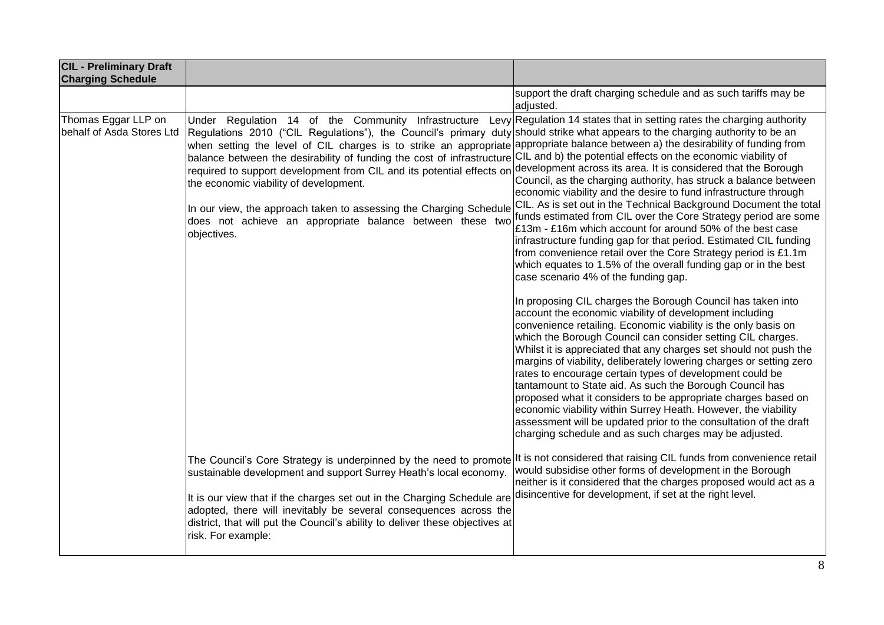| <b>CIL - Preliminary Draft</b><br><b>Charging Schedule</b> |                                                                                                                                                                                                                                                                                                                                                                                                                                                                                                                                                                                                                                                                                                                                                                                                        |                                                                                                                                                                                                                                                                                                                                                                                                                                                                                                                                                                                                                                                                                                                                                                                                                                                                                                                                                                                                                                                                                                                                                                                                                                                                                                                                                                                                                                                                        |
|------------------------------------------------------------|--------------------------------------------------------------------------------------------------------------------------------------------------------------------------------------------------------------------------------------------------------------------------------------------------------------------------------------------------------------------------------------------------------------------------------------------------------------------------------------------------------------------------------------------------------------------------------------------------------------------------------------------------------------------------------------------------------------------------------------------------------------------------------------------------------|------------------------------------------------------------------------------------------------------------------------------------------------------------------------------------------------------------------------------------------------------------------------------------------------------------------------------------------------------------------------------------------------------------------------------------------------------------------------------------------------------------------------------------------------------------------------------------------------------------------------------------------------------------------------------------------------------------------------------------------------------------------------------------------------------------------------------------------------------------------------------------------------------------------------------------------------------------------------------------------------------------------------------------------------------------------------------------------------------------------------------------------------------------------------------------------------------------------------------------------------------------------------------------------------------------------------------------------------------------------------------------------------------------------------------------------------------------------------|
|                                                            |                                                                                                                                                                                                                                                                                                                                                                                                                                                                                                                                                                                                                                                                                                                                                                                                        | support the draft charging schedule and as such tariffs may be<br>adjusted.                                                                                                                                                                                                                                                                                                                                                                                                                                                                                                                                                                                                                                                                                                                                                                                                                                                                                                                                                                                                                                                                                                                                                                                                                                                                                                                                                                                            |
| Thomas Eggar LLP on<br>behalf of Asda Stores Ltd           | Under Regulation 14 of the Community Infrastructure<br>Regulations 2010 ("CIL Regulations"), the Council's primary duty should strike what appears to the charging authority to be an<br>when setting the level of CIL charges is to strike an appropriate appropriate balance between a) the desirability of funding from<br>balance between the desirability of funding the cost of infrastructure CIL and b) the potential effects on the economic viability of<br>required to support development from CIL and its potential effects on development across its area. It is considered that the Borough<br>the economic viability of development.<br>In our view, the approach taken to assessing the Charging Schedule<br>does not achieve an appropriate balance between these two<br>objectives. | Levy Regulation 14 states that in setting rates the charging authority<br>Council, as the charging authority, has struck a balance between<br>economic viability and the desire to fund infrastructure through<br>CIL. As is set out in the Technical Background Document the total<br>funds estimated from CIL over the Core Strategy period are some<br>£13m - £16m which account for around 50% of the best case<br>infrastructure funding gap for that period. Estimated CIL funding<br>from convenience retail over the Core Strategy period is £1.1m<br>which equates to 1.5% of the overall funding gap or in the best<br>case scenario 4% of the funding gap.<br>In proposing CIL charges the Borough Council has taken into<br>account the economic viability of development including<br>convenience retailing. Economic viability is the only basis on<br>which the Borough Council can consider setting CIL charges.<br>Whilst it is appreciated that any charges set should not push the<br>margins of viability, deliberately lowering charges or setting zero<br>rates to encourage certain types of development could be<br>tantamount to State aid. As such the Borough Council has<br>proposed what it considers to be appropriate charges based on<br>economic viability within Surrey Heath. However, the viability<br>assessment will be updated prior to the consultation of the draft<br>charging schedule and as such charges may be adjusted. |
|                                                            | The Council's Core Strategy is underpinned by the need to promote lt is not considered that raising CIL funds from convenience retail<br>sustainable development and support Surrey Heath's local economy.<br>It is our view that if the charges set out in the Charging Schedule are<br>adopted, there will inevitably be several consequences across the<br>district, that will put the Council's ability to deliver these objectives at<br>risk. For example:                                                                                                                                                                                                                                                                                                                                       | would subsidise other forms of development in the Borough<br>neither is it considered that the charges proposed would act as a<br>disincentive for development, if set at the right level.                                                                                                                                                                                                                                                                                                                                                                                                                                                                                                                                                                                                                                                                                                                                                                                                                                                                                                                                                                                                                                                                                                                                                                                                                                                                             |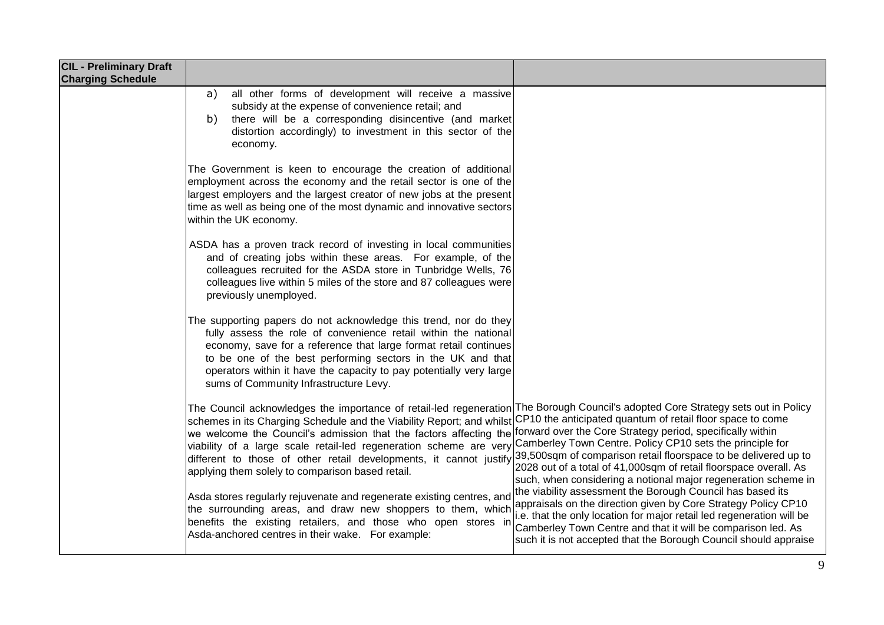| <b>CIL - Preliminary Draft</b><br><b>Charging Schedule</b> |                                                                                                                                                                                                                                                                                                                                                                                                                                                                                                                                                                                                      |                                                                                                                                                                                                                                                                                                                                           |
|------------------------------------------------------------|------------------------------------------------------------------------------------------------------------------------------------------------------------------------------------------------------------------------------------------------------------------------------------------------------------------------------------------------------------------------------------------------------------------------------------------------------------------------------------------------------------------------------------------------------------------------------------------------------|-------------------------------------------------------------------------------------------------------------------------------------------------------------------------------------------------------------------------------------------------------------------------------------------------------------------------------------------|
|                                                            | all other forms of development will receive a massive<br>a)<br>subsidy at the expense of convenience retail; and<br>there will be a corresponding disincentive (and market<br>b)<br>distortion accordingly) to investment in this sector of the<br>economy.                                                                                                                                                                                                                                                                                                                                          |                                                                                                                                                                                                                                                                                                                                           |
|                                                            | The Government is keen to encourage the creation of additional<br>employment across the economy and the retail sector is one of the<br>largest employers and the largest creator of new jobs at the present<br>time as well as being one of the most dynamic and innovative sectors<br>within the UK economy.                                                                                                                                                                                                                                                                                        |                                                                                                                                                                                                                                                                                                                                           |
|                                                            | ASDA has a proven track record of investing in local communities<br>and of creating jobs within these areas. For example, of the<br>colleagues recruited for the ASDA store in Tunbridge Wells, 76<br>colleagues live within 5 miles of the store and 87 colleagues were<br>previously unemployed.                                                                                                                                                                                                                                                                                                   |                                                                                                                                                                                                                                                                                                                                           |
|                                                            | The supporting papers do not acknowledge this trend, nor do they<br>fully assess the role of convenience retail within the national<br>economy, save for a reference that large format retail continues<br>to be one of the best performing sectors in the UK and that<br>operators within it have the capacity to pay potentially very large<br>sums of Community Infrastructure Levy.                                                                                                                                                                                                              |                                                                                                                                                                                                                                                                                                                                           |
|                                                            | The Council acknowledges the importance of retail-led regeneration The Borough Council's adopted Core Strategy sets out in Policy<br>schemes in its Charging Schedule and the Viability Report; and whilst<br>we welcome the Council's admission that the factors affecting the forward over the Core Strategy period, specifically within<br>viability of a large scale retail-led regeneration scheme are very Camberley Town Centre. Policy CP10 sets the principle for<br>different to those of other retail developments, it cannot justify<br>applying them solely to comparison based retail. | CP10 the anticipated quantum of retail floor space to come<br>39,500sqm of comparison retail floorspace to be delivered up to<br>2028 out of a total of 41,000sqm of retail floorspace overall. As<br>such, when considering a notional major regeneration scheme in                                                                      |
|                                                            | Asda stores regularly rejuvenate and regenerate existing centres, and<br>the surrounding areas, and draw new shoppers to them, which<br>benefits the existing retailers, and those who open stores in<br>Asda-anchored centres in their wake. For example:                                                                                                                                                                                                                                                                                                                                           | the viability assessment the Borough Council has based its<br>appraisals on the direction given by Core Strategy Policy CP10<br>i.e. that the only location for major retail led regeneration will be<br>Camberley Town Centre and that it will be comparison led. As<br>such it is not accepted that the Borough Council should appraise |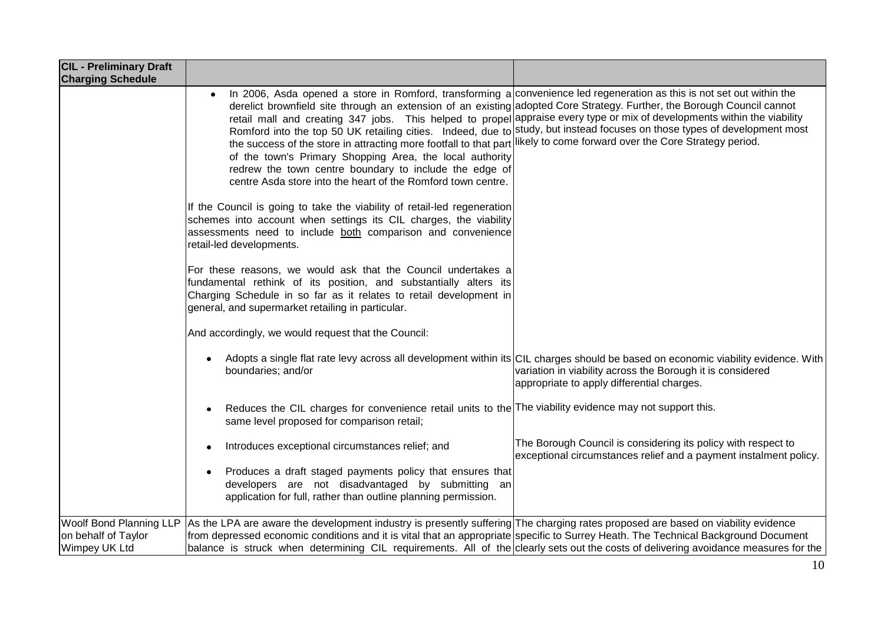| <b>CIL - Preliminary Draft</b><br><b>Charging Schedule</b>                    |                                                                                                                                                                                                                                                                                                                                                                                                                                                      |                                                                                                                                                                                                                                                                                                                                                                                  |
|-------------------------------------------------------------------------------|------------------------------------------------------------------------------------------------------------------------------------------------------------------------------------------------------------------------------------------------------------------------------------------------------------------------------------------------------------------------------------------------------------------------------------------------------|----------------------------------------------------------------------------------------------------------------------------------------------------------------------------------------------------------------------------------------------------------------------------------------------------------------------------------------------------------------------------------|
|                                                                               | In 2006, Asda opened a store in Romford, transforming a convenience led regeneration as this is not set out within the<br>$\bullet$<br>the success of the store in attracting more footfall to that part likely to come forward over the Core Strategy period.<br>of the town's Primary Shopping Area, the local authority<br>redrew the town centre boundary to include the edge of<br>centre Asda store into the heart of the Romford town centre. | derelict brownfield site through an extension of an existing adopted Core Strategy. Further, the Borough Council cannot<br>retail mall and creating 347 jobs. This helped to propel appraise every type or mix of developments within the viability<br>Romford into the top 50 UK retailing cities. Indeed, due to study, but instead focuses on those types of development most |
|                                                                               | If the Council is going to take the viability of retail-led regeneration<br>schemes into account when settings its CIL charges, the viability<br>assessments need to include both comparison and convenience<br>retail-led developments.                                                                                                                                                                                                             |                                                                                                                                                                                                                                                                                                                                                                                  |
|                                                                               | For these reasons, we would ask that the Council undertakes a<br>fundamental rethink of its position, and substantially alters its<br>Charging Schedule in so far as it relates to retail development in<br>general, and supermarket retailing in particular.                                                                                                                                                                                        |                                                                                                                                                                                                                                                                                                                                                                                  |
|                                                                               | And accordingly, we would request that the Council:                                                                                                                                                                                                                                                                                                                                                                                                  |                                                                                                                                                                                                                                                                                                                                                                                  |
|                                                                               | boundaries; and/or                                                                                                                                                                                                                                                                                                                                                                                                                                   | Adopts a single flat rate levy across all development within its CIL charges should be based on economic viability evidence. With<br>variation in viability across the Borough it is considered<br>appropriate to apply differential charges.                                                                                                                                    |
|                                                                               | Reduces the CIL charges for convenience retail units to the The viability evidence may not support this.<br>٠<br>same level proposed for comparison retail;                                                                                                                                                                                                                                                                                          |                                                                                                                                                                                                                                                                                                                                                                                  |
|                                                                               | Introduces exceptional circumstances relief; and<br>٠                                                                                                                                                                                                                                                                                                                                                                                                | The Borough Council is considering its policy with respect to<br>exceptional circumstances relief and a payment instalment policy.                                                                                                                                                                                                                                               |
|                                                                               | Produces a draft staged payments policy that ensures that<br>٠<br>developers are not disadvantaged by submitting an<br>application for full, rather than outline planning permission.                                                                                                                                                                                                                                                                |                                                                                                                                                                                                                                                                                                                                                                                  |
| <b>Woolf Bond Planning LLP</b><br>on behalf of Taylor<br><b>Wimpey UK Ltd</b> | As the LPA are aware the development industry is presently suffering The charging rates proposed are based on viability evidence<br>from depressed economic conditions and it is vital that an appropriate specific to Surrey Heath. The Technical Background Document<br>balance is struck when determining CIL requirements. All of the clearly sets out the costs of delivering avoidance measures for the                                        |                                                                                                                                                                                                                                                                                                                                                                                  |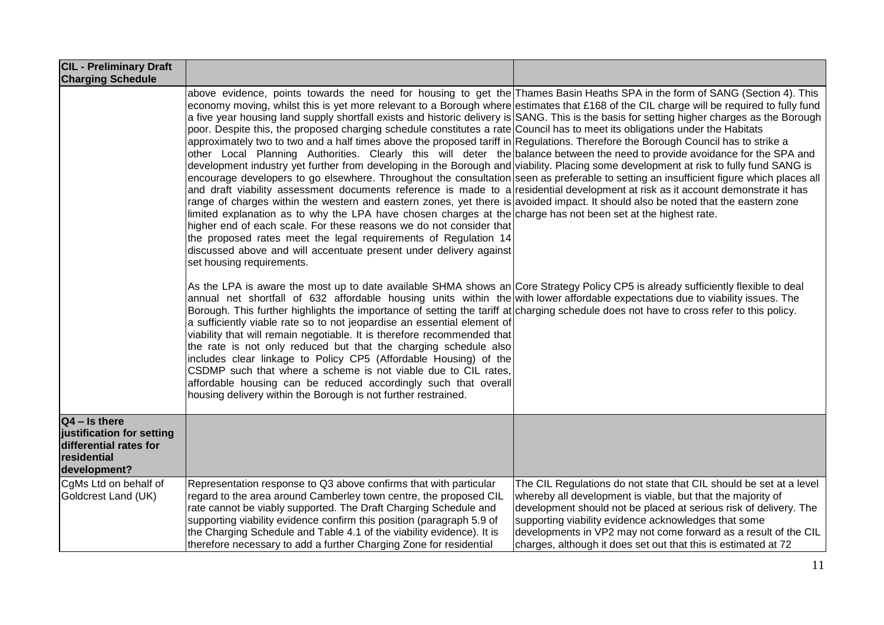| <b>CIL - Preliminary Draft</b><br><b>Charging Schedule</b>                                            |                                                                                                                                                                                                                                                                                                                                                                                                                                                                                                                                                                                                                                                                                                                                                                                                                                                                                                                                                                                                                                                                                                                                                                                                                                                                                                                                                                                                                                                                                                                                                                                                                                                                                                                                                        |                                                                                                                                                                                                                                                                                                                                                                                                     |
|-------------------------------------------------------------------------------------------------------|--------------------------------------------------------------------------------------------------------------------------------------------------------------------------------------------------------------------------------------------------------------------------------------------------------------------------------------------------------------------------------------------------------------------------------------------------------------------------------------------------------------------------------------------------------------------------------------------------------------------------------------------------------------------------------------------------------------------------------------------------------------------------------------------------------------------------------------------------------------------------------------------------------------------------------------------------------------------------------------------------------------------------------------------------------------------------------------------------------------------------------------------------------------------------------------------------------------------------------------------------------------------------------------------------------------------------------------------------------------------------------------------------------------------------------------------------------------------------------------------------------------------------------------------------------------------------------------------------------------------------------------------------------------------------------------------------------------------------------------------------------|-----------------------------------------------------------------------------------------------------------------------------------------------------------------------------------------------------------------------------------------------------------------------------------------------------------------------------------------------------------------------------------------------------|
|                                                                                                       | above evidence, points towards the need for housing to get the Thames Basin Heaths SPA in the form of SANG (Section 4). This<br>economy moving, whilst this is yet more relevant to a Borough where estimates that £168 of the CIL charge will be required to fully fund<br>a five year housing land supply shortfall exists and historic delivery is SANG. This is the basis for setting higher charges as the Borough<br>poor. Despite this, the proposed charging schedule constitutes a rate Council has to meet its obligations under the Habitats<br>approximately two to two and a half times above the proposed tariff in Regulations. Therefore the Borough Council has to strike a<br>other Local Planning Authorities. Clearly this will deter the balance between the need to provide avoidance for the SPA and<br>development industry yet further from developing in the Borough and viability. Placing some development at risk to fully fund SANG is<br>encourage developers to go elsewhere. Throughout the consultation seen as preferable to setting an insufficient figure which places all<br>and draft viability assessment documents reference is made to a residential development at risk as it account demonstrate it has<br>range of charges within the western and eastern zones, yet there is avoided impact. It should also be noted that the eastern zone<br>limited explanation as to why the LPA have chosen charges at the charge has not been set at the highest rate.<br>higher end of each scale. For these reasons we do not consider that<br>the proposed rates meet the legal requirements of Regulation 14<br>discussed above and will accentuate present under delivery against<br>set housing requirements. |                                                                                                                                                                                                                                                                                                                                                                                                     |
|                                                                                                       | As the LPA is aware the most up to date available SHMA shows an Core Strategy Policy CP5 is already sufficiently flexible to deal<br>annual net shortfall of 632 affordable housing units within the with lower affordable expectations due to viability issues. The<br>Borough. This further highlights the importance of setting the tariff at charging schedule does not have to cross refer to this policy.<br>a sufficiently viable rate so to not jeopardise an essential element of<br>viability that will remain negotiable. It is therefore recommended that<br>the rate is not only reduced but that the charging schedule also<br>includes clear linkage to Policy CP5 (Affordable Housing) of the<br>CSDMP such that where a scheme is not viable due to CIL rates,<br>affordable housing can be reduced accordingly such that overall<br>housing delivery within the Borough is not further restrained.                                                                                                                                                                                                                                                                                                                                                                                                                                                                                                                                                                                                                                                                                                                                                                                                                                   |                                                                                                                                                                                                                                                                                                                                                                                                     |
| $Q4 - Is there$<br>justification for setting<br>differential rates for<br>residential<br>development? |                                                                                                                                                                                                                                                                                                                                                                                                                                                                                                                                                                                                                                                                                                                                                                                                                                                                                                                                                                                                                                                                                                                                                                                                                                                                                                                                                                                                                                                                                                                                                                                                                                                                                                                                                        |                                                                                                                                                                                                                                                                                                                                                                                                     |
| CgMs Ltd on behalf of<br>Goldcrest Land (UK)                                                          | Representation response to Q3 above confirms that with particular<br>regard to the area around Camberley town centre, the proposed CIL<br>rate cannot be viably supported. The Draft Charging Schedule and<br>supporting viability evidence confirm this position (paragraph 5.9 of<br>the Charging Schedule and Table 4.1 of the viability evidence). It is<br>therefore necessary to add a further Charging Zone for residential                                                                                                                                                                                                                                                                                                                                                                                                                                                                                                                                                                                                                                                                                                                                                                                                                                                                                                                                                                                                                                                                                                                                                                                                                                                                                                                     | The CIL Regulations do not state that CIL should be set at a level<br>whereby all development is viable, but that the majority of<br>development should not be placed at serious risk of delivery. The<br>supporting viability evidence acknowledges that some<br>developments in VP2 may not come forward as a result of the CIL<br>charges, although it does set out that this is estimated at 72 |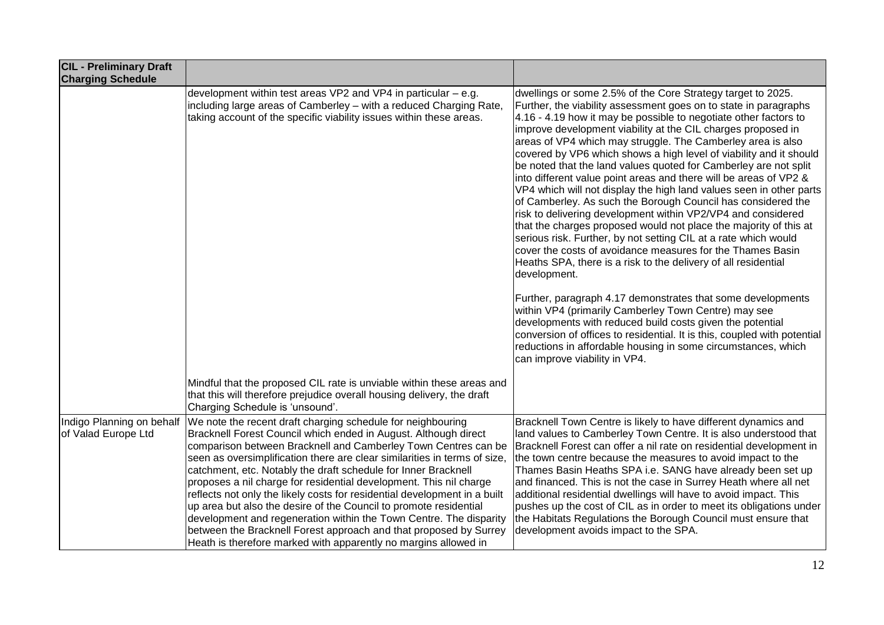| <b>CIL - Preliminary Draft</b><br><b>Charging Schedule</b> |                                                                                                                                                                                                                                                                                                                                                                                                                                                                                                                                                                                                                                                                                                                                                                                       |                                                                                                                                                                                                                                                                                                                                                                                                                                                                                                                                                                                                                                                                                                                                                                                                                                                                                                                                                                                                                                                                                                                                                                                                                                                                                                                                                                                                                      |
|------------------------------------------------------------|---------------------------------------------------------------------------------------------------------------------------------------------------------------------------------------------------------------------------------------------------------------------------------------------------------------------------------------------------------------------------------------------------------------------------------------------------------------------------------------------------------------------------------------------------------------------------------------------------------------------------------------------------------------------------------------------------------------------------------------------------------------------------------------|----------------------------------------------------------------------------------------------------------------------------------------------------------------------------------------------------------------------------------------------------------------------------------------------------------------------------------------------------------------------------------------------------------------------------------------------------------------------------------------------------------------------------------------------------------------------------------------------------------------------------------------------------------------------------------------------------------------------------------------------------------------------------------------------------------------------------------------------------------------------------------------------------------------------------------------------------------------------------------------------------------------------------------------------------------------------------------------------------------------------------------------------------------------------------------------------------------------------------------------------------------------------------------------------------------------------------------------------------------------------------------------------------------------------|
|                                                            | development within test areas VP2 and VP4 in particular – e.g.<br>including large areas of Camberley - with a reduced Charging Rate,<br>taking account of the specific viability issues within these areas.                                                                                                                                                                                                                                                                                                                                                                                                                                                                                                                                                                           | dwellings or some 2.5% of the Core Strategy target to 2025.<br>Further, the viability assessment goes on to state in paragraphs<br>$4.16 - 4.19$ how it may be possible to negotiate other factors to<br>improve development viability at the CIL charges proposed in<br>areas of VP4 which may struggle. The Camberley area is also<br>covered by VP6 which shows a high level of viability and it should<br>be noted that the land values quoted for Camberley are not split<br>into different value point areas and there will be areas of VP2 &<br>VP4 which will not display the high land values seen in other parts<br>of Camberley. As such the Borough Council has considered the<br>risk to delivering development within VP2/VP4 and considered<br>that the charges proposed would not place the majority of this at<br>serious risk. Further, by not setting CIL at a rate which would<br>cover the costs of avoidance measures for the Thames Basin<br>Heaths SPA, there is a risk to the delivery of all residential<br>development.<br>Further, paragraph 4.17 demonstrates that some developments<br>within VP4 (primarily Camberley Town Centre) may see<br>developments with reduced build costs given the potential<br>conversion of offices to residential. It is this, coupled with potential<br>reductions in affordable housing in some circumstances, which<br>can improve viability in VP4. |
|                                                            | Mindful that the proposed CIL rate is unviable within these areas and<br>that this will therefore prejudice overall housing delivery, the draft<br>Charging Schedule is 'unsound'.                                                                                                                                                                                                                                                                                                                                                                                                                                                                                                                                                                                                    |                                                                                                                                                                                                                                                                                                                                                                                                                                                                                                                                                                                                                                                                                                                                                                                                                                                                                                                                                                                                                                                                                                                                                                                                                                                                                                                                                                                                                      |
| Indigo Planning on behalf<br>of Valad Europe Ltd           | We note the recent draft charging schedule for neighbouring<br>Bracknell Forest Council which ended in August. Although direct<br>comparison between Bracknell and Camberley Town Centres can be<br>seen as oversimplification there are clear similarities in terms of size,<br>catchment, etc. Notably the draft schedule for Inner Bracknell<br>proposes a nil charge for residential development. This nil charge<br>reflects not only the likely costs for residential development in a built<br>up area but also the desire of the Council to promote residential<br>development and regeneration within the Town Centre. The disparity<br>between the Bracknell Forest approach and that proposed by Surrey<br>Heath is therefore marked with apparently no margins allowed in | Bracknell Town Centre is likely to have different dynamics and<br>land values to Camberley Town Centre. It is also understood that<br>Bracknell Forest can offer a nil rate on residential development in<br>the town centre because the measures to avoid impact to the<br>Thames Basin Heaths SPA i.e. SANG have already been set up<br>and financed. This is not the case in Surrey Heath where all net<br>additional residential dwellings will have to avoid impact. This<br>pushes up the cost of CIL as in order to meet its obligations under<br>the Habitats Regulations the Borough Council must ensure that<br>development avoids impact to the SPA.                                                                                                                                                                                                                                                                                                                                                                                                                                                                                                                                                                                                                                                                                                                                                      |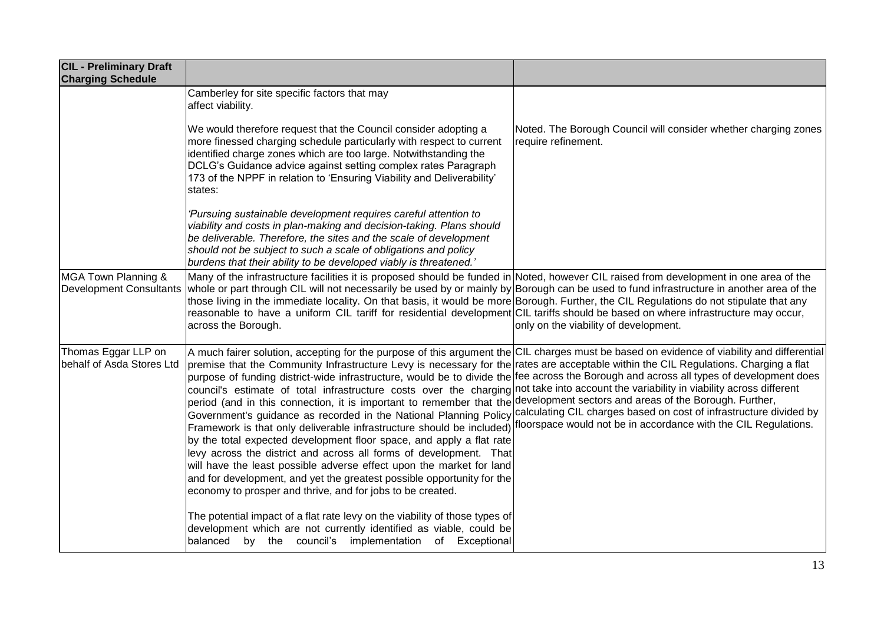| <b>CIL - Preliminary Draft</b><br><b>Charging Schedule</b> |                                                                                                                                                                                                                                                                                                                                                                                                                                                                                                                                                                                                                                                                                                                                                                                                                                                                                                                                                        |                                                                                                                                                                                                                                                                                                                                                                                                               |
|------------------------------------------------------------|--------------------------------------------------------------------------------------------------------------------------------------------------------------------------------------------------------------------------------------------------------------------------------------------------------------------------------------------------------------------------------------------------------------------------------------------------------------------------------------------------------------------------------------------------------------------------------------------------------------------------------------------------------------------------------------------------------------------------------------------------------------------------------------------------------------------------------------------------------------------------------------------------------------------------------------------------------|---------------------------------------------------------------------------------------------------------------------------------------------------------------------------------------------------------------------------------------------------------------------------------------------------------------------------------------------------------------------------------------------------------------|
|                                                            | Camberley for site specific factors that may<br>affect viability.                                                                                                                                                                                                                                                                                                                                                                                                                                                                                                                                                                                                                                                                                                                                                                                                                                                                                      |                                                                                                                                                                                                                                                                                                                                                                                                               |
|                                                            | We would therefore request that the Council consider adopting a<br>more finessed charging schedule particularly with respect to current<br>identified charge zones which are too large. Notwithstanding the<br>DCLG's Guidance advice against setting complex rates Paragraph<br>173 of the NPPF in relation to 'Ensuring Viability and Deliverability'<br>states:                                                                                                                                                                                                                                                                                                                                                                                                                                                                                                                                                                                     | Noted. The Borough Council will consider whether charging zones<br>require refinement.                                                                                                                                                                                                                                                                                                                        |
|                                                            | 'Pursuing sustainable development requires careful attention to<br>viability and costs in plan-making and decision-taking. Plans should<br>be deliverable. Therefore, the sites and the scale of development<br>should not be subject to such a scale of obligations and policy<br>burdens that their ability to be developed viably is threatened.'                                                                                                                                                                                                                                                                                                                                                                                                                                                                                                                                                                                                   |                                                                                                                                                                                                                                                                                                                                                                                                               |
| MGA Town Planning &<br><b>Development Consultants</b>      | Many of the infrastructure facilities it is proposed should be funded in Noted, however CIL raised from development in one area of the<br>whole or part through CIL will not necessarily be used by or mainly by Borough can be used to fund infrastructure in another area of the<br>those living in the immediate locality. On that basis, it would be more Borough. Further, the CIL Regulations do not stipulate that any<br>reasonable to have a uniform CIL tariff for residential development CIL tariffs should be based on where infrastructure may occur,<br>across the Borough.                                                                                                                                                                                                                                                                                                                                                             | only on the viability of development.                                                                                                                                                                                                                                                                                                                                                                         |
| Thomas Eggar LLP on<br>behalf of Asda Stores Ltd           | A much fairer solution, accepting for the purpose of this argument the CIL charges must be based on evidence of viability and differential<br>premise that the Community Infrastructure Levy is necessary for the<br>purpose of funding district-wide infrastructure, would be to divide the<br>council's estimate of total infrastructure costs over the charging<br>period (and in this connection, it is important to remember that the<br>Government's guidance as recorded in the National Planning Policy<br>Framework is that only deliverable infrastructure should be included)<br>by the total expected development floor space, and apply a flat rate<br>levy across the district and across all forms of development. That<br>will have the least possible adverse effect upon the market for land<br>and for development, and yet the greatest possible opportunity for the<br>economy to prosper and thrive, and for jobs to be created. | rates are acceptable within the CIL Regulations. Charging a flat<br>fee across the Borough and across all types of development does<br>not take into account the variability in viability across different<br>development sectors and areas of the Borough. Further,<br>calculating CIL charges based on cost of infrastructure divided by<br>floorspace would not be in accordance with the CIL Regulations. |
|                                                            | The potential impact of a flat rate levy on the viability of those types of<br>development which are not currently identified as viable, could be<br>balanced by the council's implementation of Exceptional                                                                                                                                                                                                                                                                                                                                                                                                                                                                                                                                                                                                                                                                                                                                           |                                                                                                                                                                                                                                                                                                                                                                                                               |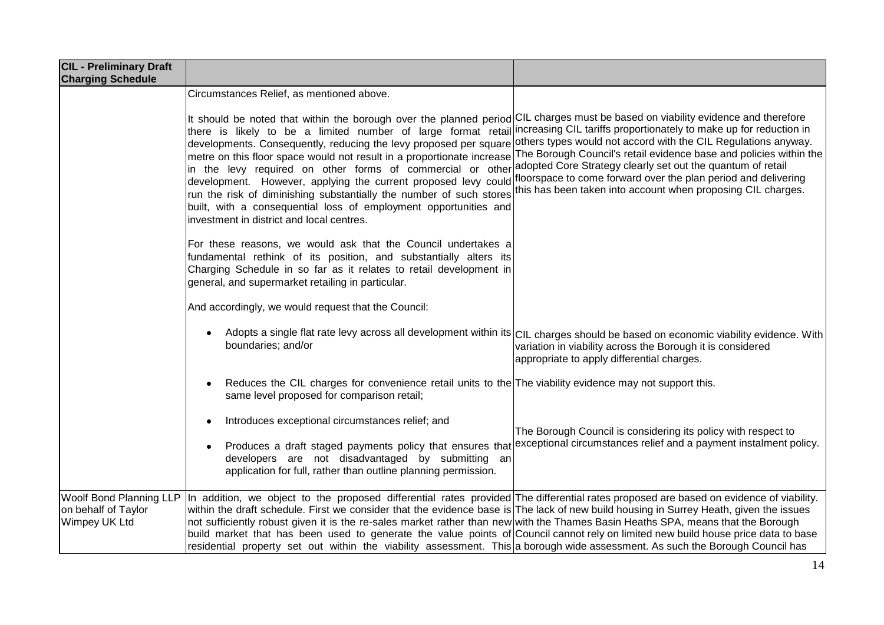| <b>CIL - Preliminary Draft</b><br><b>Charging Schedule</b>             |                                                                                                                                                                                                                                                                                                                                                                                                                                                                                                                                                                                                                                                                                                                                             |                                                                                                                                                                                                                                                                                                                                       |
|------------------------------------------------------------------------|---------------------------------------------------------------------------------------------------------------------------------------------------------------------------------------------------------------------------------------------------------------------------------------------------------------------------------------------------------------------------------------------------------------------------------------------------------------------------------------------------------------------------------------------------------------------------------------------------------------------------------------------------------------------------------------------------------------------------------------------|---------------------------------------------------------------------------------------------------------------------------------------------------------------------------------------------------------------------------------------------------------------------------------------------------------------------------------------|
|                                                                        | Circumstances Relief, as mentioned above.                                                                                                                                                                                                                                                                                                                                                                                                                                                                                                                                                                                                                                                                                                   |                                                                                                                                                                                                                                                                                                                                       |
|                                                                        | It should be noted that within the borough over the planned period CIL charges must be based on viability evidence and therefore<br>there is likely to be a limited number of large format retail increasing CIL tariffs proportionately to make up for reduction in<br>developments. Consequently, reducing the levy proposed per square<br>metre on this floor space would not result in a proportionate increase<br>in the levy required on other forms of commercial or other<br>development. However, applying the current proposed levy could<br>run the risk of diminishing substantially the number of such stores<br>built, with a consequential loss of employment opportunities and<br>investment in district and local centres. | others types would not accord with the CIL Regulations anyway.<br>The Borough Council's retail evidence base and policies within the<br>adopted Core Strategy clearly set out the quantum of retail<br>floorspace to come forward over the plan period and delivering<br>this has been taken into account when proposing CIL charges. |
|                                                                        | For these reasons, we would ask that the Council undertakes a<br>fundamental rethink of its position, and substantially alters its<br>Charging Schedule in so far as it relates to retail development in<br>general, and supermarket retailing in particular.                                                                                                                                                                                                                                                                                                                                                                                                                                                                               |                                                                                                                                                                                                                                                                                                                                       |
|                                                                        | And accordingly, we would request that the Council:                                                                                                                                                                                                                                                                                                                                                                                                                                                                                                                                                                                                                                                                                         |                                                                                                                                                                                                                                                                                                                                       |
|                                                                        | ٠<br>boundaries; and/or                                                                                                                                                                                                                                                                                                                                                                                                                                                                                                                                                                                                                                                                                                                     | Adopts a single flat rate levy across all development within its CIL charges should be based on economic viability evidence. With<br>variation in viability across the Borough it is considered<br>appropriate to apply differential charges.                                                                                         |
|                                                                        | Reduces the CIL charges for convenience retail units to the The viability evidence may not support this.<br>٠<br>same level proposed for comparison retail;                                                                                                                                                                                                                                                                                                                                                                                                                                                                                                                                                                                 |                                                                                                                                                                                                                                                                                                                                       |
|                                                                        | Introduces exceptional circumstances relief; and                                                                                                                                                                                                                                                                                                                                                                                                                                                                                                                                                                                                                                                                                            | The Borough Council is considering its policy with respect to                                                                                                                                                                                                                                                                         |
|                                                                        | Produces a draft staged payments policy that ensures that<br>٠<br>developers are not disadvantaged by submitting an<br>application for full, rather than outline planning permission.                                                                                                                                                                                                                                                                                                                                                                                                                                                                                                                                                       | exceptional circumstances relief and a payment instalment policy.                                                                                                                                                                                                                                                                     |
| <b>Woolf Bond Planning LLP</b><br>on behalf of Taylor<br>Wimpey UK Ltd | In addition, we object to the proposed differential rates provided The differential rates proposed are based on evidence of viability.<br>within the draft schedule. First we consider that the evidence base is The lack of new build housing in Surrey Heath, given the issues<br>not sufficiently robust given it is the re-sales market rather than new with the Thames Basin Heaths SPA, means that the Borough<br>build market that has been used to generate the value points of Council cannot rely on limited new build house price data to base<br>residential property set out within the viability assessment. This a borough wide assessment. As such the Borough Council has                                                  |                                                                                                                                                                                                                                                                                                                                       |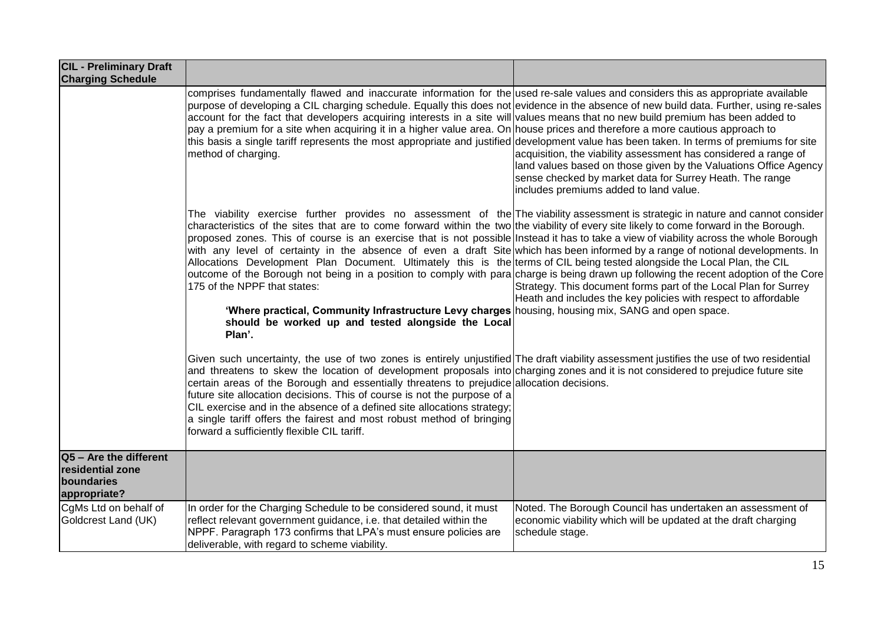| <b>CIL - Preliminary Draft</b><br><b>Charging Schedule</b>               |                                                                                                                                                                                                                                                                                                                                                                                                                                                                                                                                                                                                                                                                                                                                                                                                                                                                                                                                                                                                                                      |                                                                                                                                                                                                                                           |
|--------------------------------------------------------------------------|--------------------------------------------------------------------------------------------------------------------------------------------------------------------------------------------------------------------------------------------------------------------------------------------------------------------------------------------------------------------------------------------------------------------------------------------------------------------------------------------------------------------------------------------------------------------------------------------------------------------------------------------------------------------------------------------------------------------------------------------------------------------------------------------------------------------------------------------------------------------------------------------------------------------------------------------------------------------------------------------------------------------------------------|-------------------------------------------------------------------------------------------------------------------------------------------------------------------------------------------------------------------------------------------|
|                                                                          | comprises fundamentally flawed and inaccurate information for the used re-sale values and considers this as appropriate available<br>purpose of developing a CIL charging schedule. Equally this does not evidence in the absence of new build data. Further, using re-sales<br>account for the fact that developers acquiring interests in a site will values means that no new build premium has been added to<br>pay a premium for a site when acquiring it in a higher value area. On house prices and therefore a more cautious approach to<br>this basis a single tariff represents the most appropriate and justified development value has been taken. In terms of premiums for site<br>method of charging.                                                                                                                                                                                                                                                                                                                  | acquisition, the viability assessment has considered a range of<br>land values based on those given by the Valuations Office Agency<br>sense checked by market data for Surrey Heath. The range<br>includes premiums added to land value. |
|                                                                          | The viability exercise further provides no assessment of the The viability assessment is strategic in nature and cannot consider<br>characteristics of the sites that are to come forward within the two the viability of every site likely to come forward in the Borough.<br>proposed zones. This of course is an exercise that is not possible Instead it has to take a view of viability across the whole Borough<br>with any level of certainty in the absence of even a draft Site which has been informed by a range of notional developments. In<br>Allocations Development Plan Document. Ultimately this is the terms of CIL being tested alongside the Local Plan, the CIL<br>outcome of the Borough not being in a position to comply with para charge is being drawn up following the recent adoption of the Core<br>175 of the NPPF that states:<br>'Where practical, Community Infrastructure Levy charges housing, housing mix, SANG and open space.<br>should be worked up and tested alongside the Local<br>Plan'. | Strategy. This document forms part of the Local Plan for Surrey<br>Heath and includes the key policies with respect to affordable                                                                                                         |
|                                                                          | Given such uncertainty, the use of two zones is entirely unjustified The draft viability assessment justifies the use of two residential<br>and threatens to skew the location of development proposals into charging zones and it is not considered to prejudice future site<br>certain areas of the Borough and essentially threatens to prejudice allocation decisions.<br>future site allocation decisions. This of course is not the purpose of a<br>CIL exercise and in the absence of a defined site allocations strategy;<br>a single tariff offers the fairest and most robust method of bringing<br>forward a sufficiently flexible CIL tariff.                                                                                                                                                                                                                                                                                                                                                                            |                                                                                                                                                                                                                                           |
| Q5 - Are the different<br>residential zone<br>boundaries<br>appropriate? |                                                                                                                                                                                                                                                                                                                                                                                                                                                                                                                                                                                                                                                                                                                                                                                                                                                                                                                                                                                                                                      |                                                                                                                                                                                                                                           |
| CgMs Ltd on behalf of<br>Goldcrest Land (UK)                             | In order for the Charging Schedule to be considered sound, it must<br>reflect relevant government guidance, i.e. that detailed within the<br>NPPF. Paragraph 173 confirms that LPA's must ensure policies are<br>deliverable, with regard to scheme viability.                                                                                                                                                                                                                                                                                                                                                                                                                                                                                                                                                                                                                                                                                                                                                                       | Noted. The Borough Council has undertaken an assessment of<br>economic viability which will be updated at the draft charging<br>schedule stage.                                                                                           |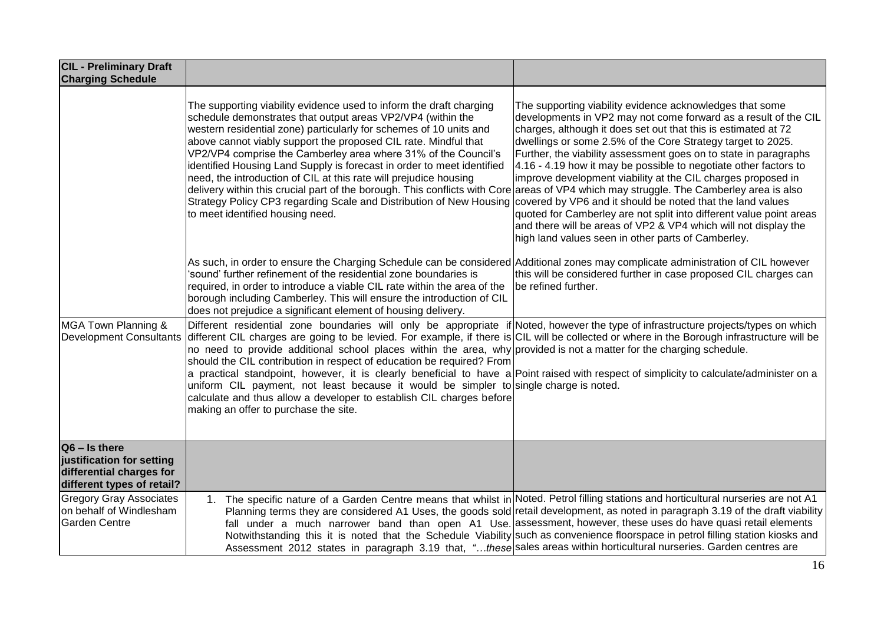| <b>CIL - Preliminary Draft</b><br><b>Charging Schedule</b>                                             |                                                                                                                                                                                                                                                                                                                                                                                                                                                                                                                                                                                                                                                                                                                                                                                                                                           |                                                                                                                                                                                                                                                                                                                                                                                                                                                                                                                                                                                                                                                                                                                                    |
|--------------------------------------------------------------------------------------------------------|-------------------------------------------------------------------------------------------------------------------------------------------------------------------------------------------------------------------------------------------------------------------------------------------------------------------------------------------------------------------------------------------------------------------------------------------------------------------------------------------------------------------------------------------------------------------------------------------------------------------------------------------------------------------------------------------------------------------------------------------------------------------------------------------------------------------------------------------|------------------------------------------------------------------------------------------------------------------------------------------------------------------------------------------------------------------------------------------------------------------------------------------------------------------------------------------------------------------------------------------------------------------------------------------------------------------------------------------------------------------------------------------------------------------------------------------------------------------------------------------------------------------------------------------------------------------------------------|
|                                                                                                        | The supporting viability evidence used to inform the draft charging<br>schedule demonstrates that output areas VP2/VP4 (within the<br>western residential zone) particularly for schemes of 10 units and<br>above cannot viably support the proposed CIL rate. Mindful that<br>VP2/VP4 comprise the Camberley area where 31% of the Council's<br>identified Housing Land Supply is forecast in order to meet identified<br>need, the introduction of CIL at this rate will prejudice housing<br>delivery within this crucial part of the borough. This conflicts with Core areas of VP4 which may struggle. The Camberley area is also<br>Strategy Policy CP3 regarding Scale and Distribution of New Housing<br>to meet identified housing need.                                                                                         | The supporting viability evidence acknowledges that some<br>developments in VP2 may not come forward as a result of the CIL<br>charges, although it does set out that this is estimated at 72<br>dwellings or some 2.5% of the Core Strategy target to 2025.<br>Further, the viability assessment goes on to state in paragraphs<br>4.16 - 4.19 how it may be possible to negotiate other factors to<br>improve development viability at the CIL charges proposed in<br>covered by VP6 and it should be noted that the land values<br>quoted for Camberley are not split into different value point areas<br>and there will be areas of VP2 & VP4 which will not display the<br>high land values seen in other parts of Camberley. |
|                                                                                                        | As such, in order to ensure the Charging Schedule can be considered Additional zones may complicate administration of CIL however<br>'sound' further refinement of the residential zone boundaries is<br>required, in order to introduce a viable CIL rate within the area of the<br>borough including Camberley. This will ensure the introduction of CIL<br>does not prejudice a significant element of housing delivery.                                                                                                                                                                                                                                                                                                                                                                                                               | this will be considered further in case proposed CIL charges can<br>be refined further.                                                                                                                                                                                                                                                                                                                                                                                                                                                                                                                                                                                                                                            |
| MGA Town Planning &<br><b>Development Consultants</b>                                                  | Different residential zone boundaries will only be appropriate if Noted, however the type of infrastructure projects/types on which<br>different CIL charges are going to be levied. For example, if there is CIL will be collected or where in the Borough infrastructure will be<br>no need to provide additional school places within the area, why provided is not a matter for the charging schedule.<br>should the CIL contribution in respect of education be required? From<br>a practical standpoint, however, it is clearly beneficial to have a Point raised with respect of simplicity to calculate/administer on a<br>uniform CIL payment, not least because it would be simpler to single charge is noted.<br>calculate and thus allow a developer to establish CIL charges before<br>making an offer to purchase the site. |                                                                                                                                                                                                                                                                                                                                                                                                                                                                                                                                                                                                                                                                                                                                    |
| $Q6 - Is there$<br>justification for setting<br>differential charges for<br>different types of retail? |                                                                                                                                                                                                                                                                                                                                                                                                                                                                                                                                                                                                                                                                                                                                                                                                                                           |                                                                                                                                                                                                                                                                                                                                                                                                                                                                                                                                                                                                                                                                                                                                    |
| <b>Gregory Gray Associates</b><br>on behalf of Windlesham<br><b>Garden Centre</b>                      | 1. The specific nature of a Garden Centre means that whilst in Noted. Petrol filling stations and horticultural nurseries are not A1<br>Assessment 2012 states in paragraph 3.19 that, "these sales areas within horticultural nurseries. Garden centres are                                                                                                                                                                                                                                                                                                                                                                                                                                                                                                                                                                              | Planning terms they are considered A1 Uses, the goods sold retail development, as noted in paragraph 3.19 of the draft viability<br>fall under a much narrower band than open A1 Use. assessment, however, these uses do have quasi retail elements<br>Notwithstanding this it is noted that the Schedule Viability such as convenience floorspace in petrol filling station kiosks and                                                                                                                                                                                                                                                                                                                                            |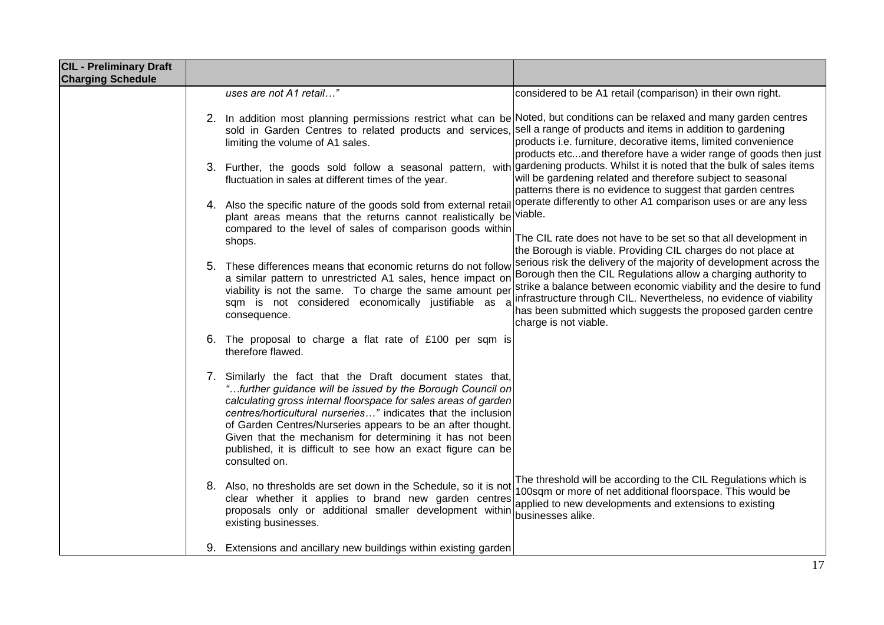| <b>CIL - Preliminary Draft</b><br><b>Charging Schedule</b> |                                                                                                                                                                                                                                                                                                                                                                                                                                                                                                                                                                                                                                                                |
|------------------------------------------------------------|----------------------------------------------------------------------------------------------------------------------------------------------------------------------------------------------------------------------------------------------------------------------------------------------------------------------------------------------------------------------------------------------------------------------------------------------------------------------------------------------------------------------------------------------------------------------------------------------------------------------------------------------------------------|
|                                                            | uses are not A1 retail"<br>considered to be A1 retail (comparison) in their own right.                                                                                                                                                                                                                                                                                                                                                                                                                                                                                                                                                                         |
|                                                            | 2. In addition most planning permissions restrict what can be Noted, but conditions can be relaxed and many garden centres<br>sold in Garden Centres to related products and services, sell a range of products and items in addition to gardening<br>products <i>i.e.</i> furniture, decorative items, limited convenience<br>limiting the volume of A1 sales.<br>products etcand therefore have a wider range of goods then just                                                                                                                                                                                                                             |
|                                                            | gardening products. Whilst it is noted that the bulk of sales items<br>3. Further, the goods sold follow a seasonal pattern, with<br>will be gardening related and therefore subject to seasonal<br>fluctuation in sales at different times of the year.<br>patterns there is no evidence to suggest that garden centres                                                                                                                                                                                                                                                                                                                                       |
|                                                            | operate differently to other A1 comparison uses or are any less<br>4. Also the specific nature of the goods sold from external retail<br>plant areas means that the returns cannot realistically be viable.<br>compared to the level of sales of comparison goods within                                                                                                                                                                                                                                                                                                                                                                                       |
|                                                            | The CIL rate does not have to be set so that all development in<br>shops.<br>the Borough is viable. Providing CIL charges do not place at                                                                                                                                                                                                                                                                                                                                                                                                                                                                                                                      |
|                                                            | serious risk the delivery of the majority of development across the<br>5. These differences means that economic returns do not follow<br>Borough then the CIL Regulations allow a charging authority to<br>a similar pattern to unrestricted A1 sales, hence impact on<br>strike a balance between economic viability and the desire to fund<br>viability is not the same. To charge the same amount per<br>infrastructure through CIL. Nevertheless, no evidence of viability<br>sqm is not considered economically justifiable as<br>$\overline{a}$<br>has been submitted which suggests the proposed garden centre<br>consequence.<br>charge is not viable. |
|                                                            | 6. The proposal to charge a flat rate of £100 per sqm is<br>therefore flawed.                                                                                                                                                                                                                                                                                                                                                                                                                                                                                                                                                                                  |
|                                                            | 7. Similarly the fact that the Draft document states that,<br>"further guidance will be issued by the Borough Council on<br>calculating gross internal floorspace for sales areas of garden<br>centres/horticultural nurseries" indicates that the inclusion<br>of Garden Centres/Nurseries appears to be an after thought.<br>Given that the mechanism for determining it has not been<br>published, it is difficult to see how an exact figure can be<br>consulted on.                                                                                                                                                                                       |
|                                                            | The threshold will be according to the CIL Regulations which is<br>8. Also, no thresholds are set down in the Schedule, so it is not<br>100sqm or more of net additional floorspace. This would be<br>clear whether it applies to brand new garden centres<br>applied to new developments and extensions to existing<br>proposals only or additional smaller development within<br>businesses alike.<br>existing businesses.                                                                                                                                                                                                                                   |
|                                                            | 9. Extensions and ancillary new buildings within existing garden                                                                                                                                                                                                                                                                                                                                                                                                                                                                                                                                                                                               |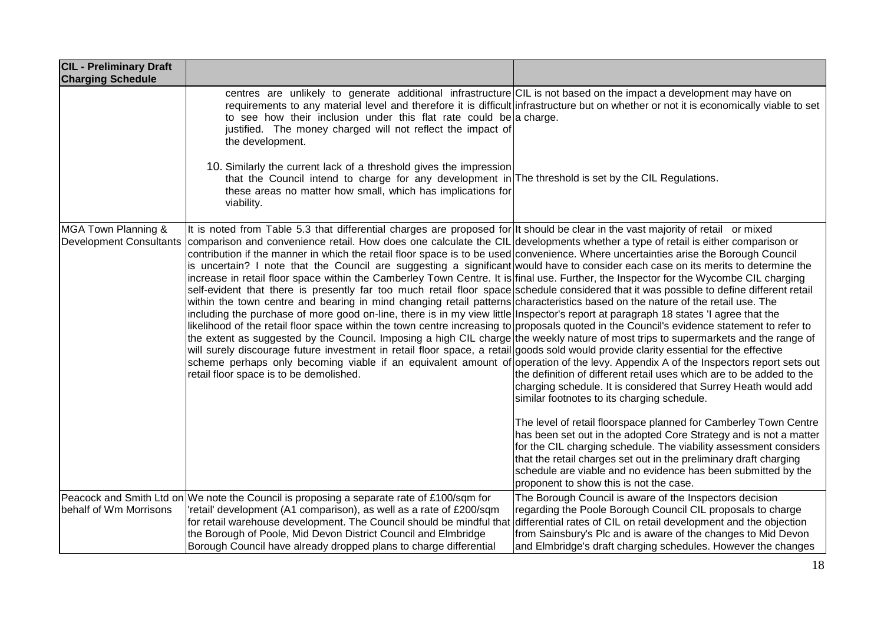| <b>CIL - Preliminary Draft</b><br><b>Charging Schedule</b> |                                                                                                                                                                                                                                                                                                                                                                                                                                                                                                                                                                                                                                                                                                                                                                                                                                                                                                                                                                                                                                                                                                                                                                                                                                                                                                                                                                                                                                                                                                                                                                                                                                                                                                                               |                                                                                                                                                                                                                                                                                                                                                                                                                                                                                                                                                                                       |
|------------------------------------------------------------|-------------------------------------------------------------------------------------------------------------------------------------------------------------------------------------------------------------------------------------------------------------------------------------------------------------------------------------------------------------------------------------------------------------------------------------------------------------------------------------------------------------------------------------------------------------------------------------------------------------------------------------------------------------------------------------------------------------------------------------------------------------------------------------------------------------------------------------------------------------------------------------------------------------------------------------------------------------------------------------------------------------------------------------------------------------------------------------------------------------------------------------------------------------------------------------------------------------------------------------------------------------------------------------------------------------------------------------------------------------------------------------------------------------------------------------------------------------------------------------------------------------------------------------------------------------------------------------------------------------------------------------------------------------------------------------------------------------------------------|---------------------------------------------------------------------------------------------------------------------------------------------------------------------------------------------------------------------------------------------------------------------------------------------------------------------------------------------------------------------------------------------------------------------------------------------------------------------------------------------------------------------------------------------------------------------------------------|
|                                                            | centres are unlikely to generate additional infrastructure CIL is not based on the impact a development may have on<br>to see how their inclusion under this flat rate could be a charge.<br>justified. The money charged will not reflect the impact of<br>the development.                                                                                                                                                                                                                                                                                                                                                                                                                                                                                                                                                                                                                                                                                                                                                                                                                                                                                                                                                                                                                                                                                                                                                                                                                                                                                                                                                                                                                                                  | requirements to any material level and therefore it is difficult infrastructure but on whether or not it is economically viable to set                                                                                                                                                                                                                                                                                                                                                                                                                                                |
|                                                            | 10. Similarly the current lack of a threshold gives the impression<br>that the Council intend to charge for any development in The threshold is set by the CIL Regulations.<br>these areas no matter how small, which has implications for<br>viability.                                                                                                                                                                                                                                                                                                                                                                                                                                                                                                                                                                                                                                                                                                                                                                                                                                                                                                                                                                                                                                                                                                                                                                                                                                                                                                                                                                                                                                                                      |                                                                                                                                                                                                                                                                                                                                                                                                                                                                                                                                                                                       |
| MGA Town Planning &<br><b>Development Consultants</b>      | It is noted from Table 5.3 that differential charges are proposed for It should be clear in the vast majority of retail or mixed<br>comparison and convenience retail. How does one calculate the CIL developments whether a type of retail is either comparison or<br>contribution if the manner in which the retail floor space is to be used convenience. Where uncertainties arise the Borough Council<br>is uncertain? I note that the Council are suggesting a significant would have to consider each case on its merits to determine the<br>increase in retail floor space within the Camberley Town Centre. It is final use. Further, the Inspector for the Wycombe CIL charging<br>self-evident that there is presently far too much retail floor space schedule considered that it was possible to define different retail<br>within the town centre and bearing in mind changing retail patterns characteristics based on the nature of the retail use. The<br>including the purchase of more good on-line, there is in my view little Inspector's report at paragraph 18 states 'I agree that the<br>likelihood of the retail floor space within the town centre increasing to proposals quoted in the Council's evidence statement to refer to<br>the extent as suggested by the Council. Imposing a high CIL charge the weekly nature of most trips to supermarkets and the range of<br>will surely discourage future investment in retail floor space, a retail goods sold would provide clarity essential for the effective<br>scheme perhaps only becoming viable if an equivalent amount of operation of the levy. Appendix A of the Inspectors report sets out<br>retail floor space is to be demolished. | the definition of different retail uses which are to be added to the<br>charging schedule. It is considered that Surrey Heath would add<br>similar footnotes to its charging schedule.<br>The level of retail floorspace planned for Camberley Town Centre<br>has been set out in the adopted Core Strategy and is not a matter<br>for the CIL charging schedule. The viability assessment considers<br>that the retail charges set out in the preliminary draft charging<br>schedule are viable and no evidence has been submitted by the<br>proponent to show this is not the case. |
| behalf of Wm Morrisons                                     | Peacock and Smith Ltd on We note the Council is proposing a separate rate of £100/sqm for<br>'retail' development (A1 comparison), as well as a rate of £200/sqm<br>for retail warehouse development. The Council should be mindful that<br>the Borough of Poole, Mid Devon District Council and Elmbridge<br>Borough Council have already dropped plans to charge differential                                                                                                                                                                                                                                                                                                                                                                                                                                                                                                                                                                                                                                                                                                                                                                                                                                                                                                                                                                                                                                                                                                                                                                                                                                                                                                                                               | The Borough Council is aware of the Inspectors decision<br>regarding the Poole Borough Council CIL proposals to charge<br>differential rates of CIL on retail development and the objection<br>from Sainsbury's Plc and is aware of the changes to Mid Devon<br>and Elmbridge's draft charging schedules. However the changes                                                                                                                                                                                                                                                         |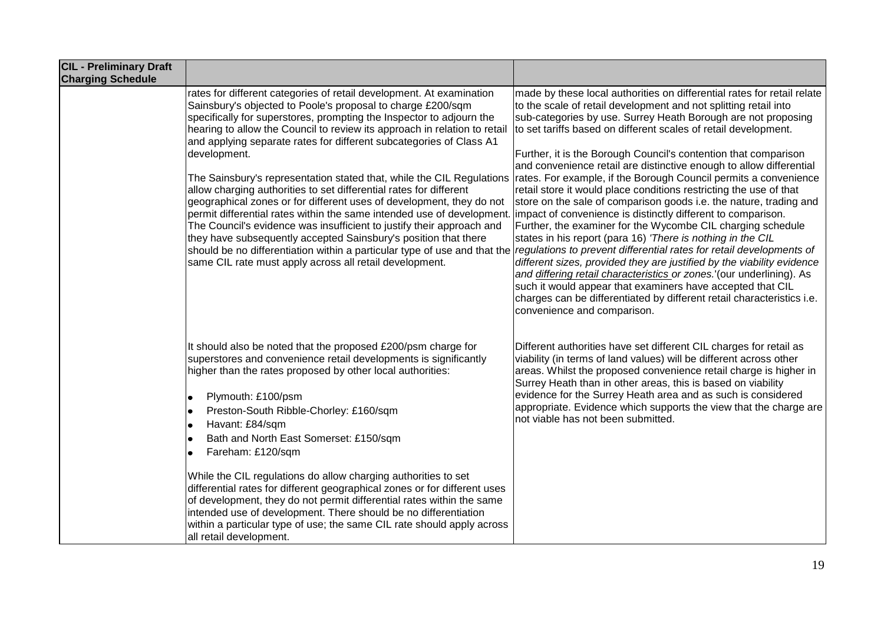| <b>CIL - Preliminary Draft</b><br><b>Charging Schedule</b> |                                                                                                                                                                                                                                                                                                                                                                                                                                                                                                                                                                                                                                                                                                                                                                                                                                                                                                                                                                      |                                                                                                                                                                                                                                                                                                                                                                                                                                                                                                                                                                                                                                                                                                                                                                                                                                                                                                                                                                                                                                                                                                                                                                                                                                          |
|------------------------------------------------------------|----------------------------------------------------------------------------------------------------------------------------------------------------------------------------------------------------------------------------------------------------------------------------------------------------------------------------------------------------------------------------------------------------------------------------------------------------------------------------------------------------------------------------------------------------------------------------------------------------------------------------------------------------------------------------------------------------------------------------------------------------------------------------------------------------------------------------------------------------------------------------------------------------------------------------------------------------------------------|------------------------------------------------------------------------------------------------------------------------------------------------------------------------------------------------------------------------------------------------------------------------------------------------------------------------------------------------------------------------------------------------------------------------------------------------------------------------------------------------------------------------------------------------------------------------------------------------------------------------------------------------------------------------------------------------------------------------------------------------------------------------------------------------------------------------------------------------------------------------------------------------------------------------------------------------------------------------------------------------------------------------------------------------------------------------------------------------------------------------------------------------------------------------------------------------------------------------------------------|
|                                                            | rates for different categories of retail development. At examination<br>Sainsbury's objected to Poole's proposal to charge £200/sqm<br>specifically for superstores, prompting the Inspector to adjourn the<br>hearing to allow the Council to review its approach in relation to retail<br>and applying separate rates for different subcategories of Class A1<br>development.<br>The Sainsbury's representation stated that, while the CIL Regulations<br>allow charging authorities to set differential rates for different<br>geographical zones or for different uses of development, they do not<br>permit differential rates within the same intended use of development.<br>The Council's evidence was insufficient to justify their approach and<br>they have subsequently accepted Sainsbury's position that there<br>should be no differentiation within a particular type of use and that the<br>same CIL rate must apply across all retail development. | made by these local authorities on differential rates for retail relate<br>to the scale of retail development and not splitting retail into<br>sub-categories by use. Surrey Heath Borough are not proposing<br>to set tariffs based on different scales of retail development.<br>Further, it is the Borough Council's contention that comparison<br>and convenience retail are distinctive enough to allow differential<br>rates. For example, if the Borough Council permits a convenience<br>retail store it would place conditions restricting the use of that<br>store on the sale of comparison goods i.e. the nature, trading and<br>impact of convenience is distinctly different to comparison.<br>Further, the examiner for the Wycombe CIL charging schedule<br>states in his report (para 16) 'There is nothing in the CIL<br>regulations to prevent differential rates for retail developments of<br>different sizes, provided they are justified by the viability evidence<br>and differing retail characteristics or zones. (our underlining). As<br>such it would appear that examiners have accepted that CIL<br>charges can be differentiated by different retail characteristics i.e.<br>convenience and comparison. |
|                                                            | It should also be noted that the proposed £200/psm charge for<br>superstores and convenience retail developments is significantly<br>higher than the rates proposed by other local authorities:<br>Plymouth: £100/psm<br>٠<br>Preston-South Ribble-Chorley: £160/sqm<br>Havant: £84/sqm<br>$\bullet$<br>Bath and North East Somerset: £150/sqm<br>Fareham: £120/sqm<br>While the CIL regulations do allow charging authorities to set<br>differential rates for different geographical zones or for different uses<br>of development, they do not permit differential rates within the same<br>intended use of development. There should be no differentiation<br>within a particular type of use; the same CIL rate should apply across<br>all retail development.                                                                                                                                                                                                  | Different authorities have set different CIL charges for retail as<br>viability (in terms of land values) will be different across other<br>areas. Whilst the proposed convenience retail charge is higher in<br>Surrey Heath than in other areas, this is based on viability<br>evidence for the Surrey Heath area and as such is considered<br>appropriate. Evidence which supports the view that the charge are<br>not viable has not been submitted.                                                                                                                                                                                                                                                                                                                                                                                                                                                                                                                                                                                                                                                                                                                                                                                 |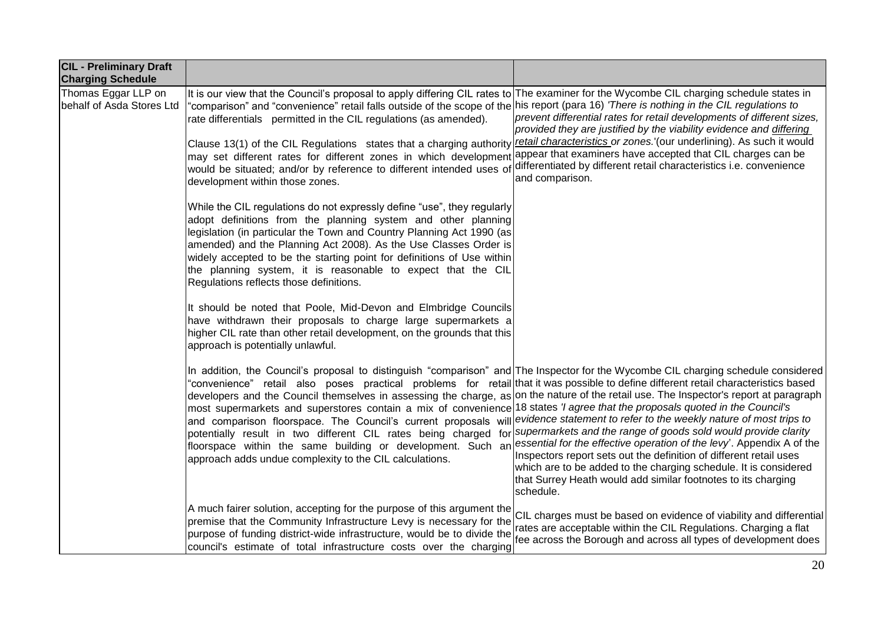| <b>CIL - Preliminary Draft</b><br><b>Charging Schedule</b> |                                                                                                                                                                                                                                                                                                                                                                                                                                                                                                                                                                                                                                                                                                                                                                                                                     |                                                                                                                                                                                                                                                                                                                                                                                                                                      |
|------------------------------------------------------------|---------------------------------------------------------------------------------------------------------------------------------------------------------------------------------------------------------------------------------------------------------------------------------------------------------------------------------------------------------------------------------------------------------------------------------------------------------------------------------------------------------------------------------------------------------------------------------------------------------------------------------------------------------------------------------------------------------------------------------------------------------------------------------------------------------------------|--------------------------------------------------------------------------------------------------------------------------------------------------------------------------------------------------------------------------------------------------------------------------------------------------------------------------------------------------------------------------------------------------------------------------------------|
| Thomas Eggar LLP on<br>behalf of Asda Stores Ltd           | It is our view that the Council's proposal to apply differing CIL rates to The examiner for the Wycombe CIL charging schedule states in<br>"comparison" and "convenience" retail falls outside of the scope of the his report (para 16) 'There is nothing in the CIL regulations to<br>rate differentials permitted in the CIL regulations (as amended).<br>Clause 13(1) of the CIL Regulations states that a charging authority<br>may set different rates for different zones in which development<br>would be situated; and/or by reference to different intended uses of<br>development within those zones.                                                                                                                                                                                                     | prevent differential rates for retail developments of different sizes,<br>provided they are justified by the viability evidence and differing<br>retail characteristics or zones.'(our underlining). As such it would<br>appear that examiners have accepted that CIL charges can be<br>differentiated by different retail characteristics i.e. convenience<br>and comparison.                                                       |
|                                                            | While the CIL regulations do not expressly define "use", they regularly<br>adopt definitions from the planning system and other planning<br>legislation (in particular the Town and Country Planning Act 1990 (as<br>amended) and the Planning Act 2008). As the Use Classes Order is<br>widely accepted to be the starting point for definitions of Use within<br>the planning system, it is reasonable to expect that the CIL<br>Regulations reflects those definitions.                                                                                                                                                                                                                                                                                                                                          |                                                                                                                                                                                                                                                                                                                                                                                                                                      |
|                                                            | It should be noted that Poole, Mid-Devon and Elmbridge Councils<br>have withdrawn their proposals to charge large supermarkets a<br>higher CIL rate than other retail development, on the grounds that this<br>approach is potentially unlawful.                                                                                                                                                                                                                                                                                                                                                                                                                                                                                                                                                                    |                                                                                                                                                                                                                                                                                                                                                                                                                                      |
|                                                            | In addition, the Council's proposal to distinguish "comparison" and The Inspector for the Wycombe CIL charging schedule considered<br>"convenience" retail also poses practical problems for retail that it was possible to define different retail characteristics based<br>developers and the Council themselves in assessing the charge, as on the nature of the retail use. The Inspector's report at paragraph<br>most supermarkets and superstores contain a mix of convenience 18 states 'l agree that the proposals quoted in the Council's<br>and comparison floorspace. The Council's current proposals will<br>potentially result in two different CIL rates being charged for<br>floorspace within the same building or development. Such an<br>approach adds undue complexity to the CIL calculations. | evidence statement to refer to the weekly nature of most trips to<br>supermarkets and the range of goods sold would provide clarity<br>essential for the effective operation of the levy'. Appendix A of the<br>Inspectors report sets out the definition of different retail uses<br>which are to be added to the charging schedule. It is considered<br>that Surrey Heath would add similar footnotes to its charging<br>schedule. |
|                                                            | A much fairer solution, accepting for the purpose of this argument the<br>premise that the Community Infrastructure Levy is necessary for the<br>purpose of funding district-wide infrastructure, would be to divide the<br>council's estimate of total infrastructure costs over the charging                                                                                                                                                                                                                                                                                                                                                                                                                                                                                                                      | CIL charges must be based on evidence of viability and differential<br>rates are acceptable within the CIL Regulations. Charging a flat<br>fee across the Borough and across all types of development does                                                                                                                                                                                                                           |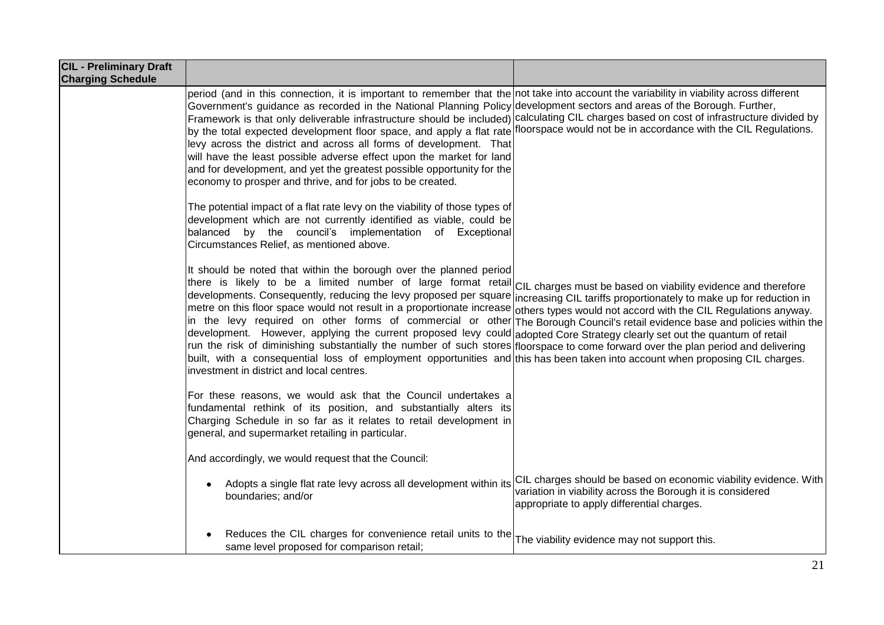| <b>CIL - Preliminary Draft</b><br><b>Charging Schedule</b> |                                                                                                                                                                                                                                                                                                                                                                                                                                                                                                                                                                                                                                                                                                                                                                                                                                                                                                                                                                                                    |                                                                                                                                                                              |
|------------------------------------------------------------|----------------------------------------------------------------------------------------------------------------------------------------------------------------------------------------------------------------------------------------------------------------------------------------------------------------------------------------------------------------------------------------------------------------------------------------------------------------------------------------------------------------------------------------------------------------------------------------------------------------------------------------------------------------------------------------------------------------------------------------------------------------------------------------------------------------------------------------------------------------------------------------------------------------------------------------------------------------------------------------------------|------------------------------------------------------------------------------------------------------------------------------------------------------------------------------|
|                                                            | period (and in this connection, it is important to remember that the not take into account the variability in viability across different<br>Government's guidance as recorded in the National Planning Policy development sectors and areas of the Borough. Further,<br>Framework is that only deliverable infrastructure should be included) calculating CIL charges based on cost of infrastructure divided by<br>by the total expected development floor space, and apply a flat rate floorspace would not be in accordance with the CIL Regulations.<br>levy across the district and across all forms of development. That<br>will have the least possible adverse effect upon the market for land<br>and for development, and yet the greatest possible opportunity for the<br>economy to prosper and thrive, and for jobs to be created.                                                                                                                                                     |                                                                                                                                                                              |
|                                                            | The potential impact of a flat rate levy on the viability of those types of<br>development which are not currently identified as viable, could be<br>balanced by the council's implementation of Exceptional<br>Circumstances Relief, as mentioned above.                                                                                                                                                                                                                                                                                                                                                                                                                                                                                                                                                                                                                                                                                                                                          |                                                                                                                                                                              |
|                                                            | It should be noted that within the borough over the planned period<br>there is likely to be a limited number of large format retail CIL charges must be based on viability evidence and therefore<br>developments. Consequently, reducing the levy proposed per square<br>metre on this floor space would not result in a proportionate increase others types would not accord with the CIL Regulations anyway.<br>in the levy required on other forms of commercial or other The Borough Council's retail evidence base and policies within the<br>development. However, applying the current proposed levy could adopted Core Strategy clearly set out the quantum of retail<br>run the risk of diminishing substantially the number of such stores floorspace to come forward over the plan period and delivering<br>built, with a consequential loss of employment opportunities and this has been taken into account when proposing CIL charges.<br>investment in district and local centres. | increasing CIL tariffs proportionately to make up for reduction in                                                                                                           |
|                                                            | For these reasons, we would ask that the Council undertakes a<br>fundamental rethink of its position, and substantially alters its<br>Charging Schedule in so far as it relates to retail development in<br>general, and supermarket retailing in particular.                                                                                                                                                                                                                                                                                                                                                                                                                                                                                                                                                                                                                                                                                                                                      |                                                                                                                                                                              |
|                                                            | And accordingly, we would request that the Council:                                                                                                                                                                                                                                                                                                                                                                                                                                                                                                                                                                                                                                                                                                                                                                                                                                                                                                                                                |                                                                                                                                                                              |
|                                                            | Adopts a single flat rate levy across all development within its<br>boundaries; and/or                                                                                                                                                                                                                                                                                                                                                                                                                                                                                                                                                                                                                                                                                                                                                                                                                                                                                                             | CIL charges should be based on economic viability evidence. With<br>variation in viability across the Borough it is considered<br>appropriate to apply differential charges. |
|                                                            | Reduces the CIL charges for convenience retail units to the<br>same level proposed for comparison retail;                                                                                                                                                                                                                                                                                                                                                                                                                                                                                                                                                                                                                                                                                                                                                                                                                                                                                          | The viability evidence may not support this.                                                                                                                                 |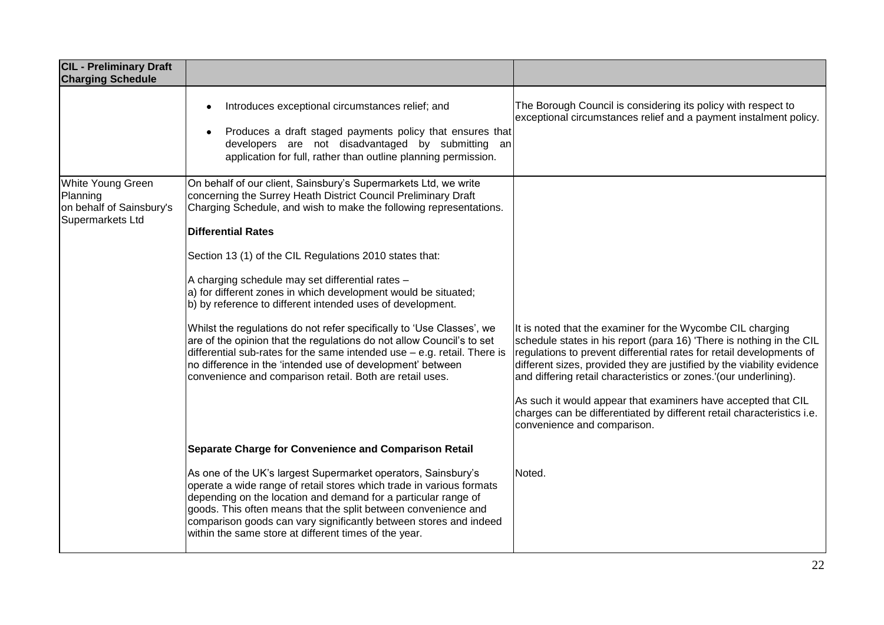| <b>CIL - Preliminary Draft</b><br><b>Charging Schedule</b>                    |                                                                                                                                                                                                                                                                                                                                                                                                         |                                                                                                                                                                                                                                                                                                                                                           |
|-------------------------------------------------------------------------------|---------------------------------------------------------------------------------------------------------------------------------------------------------------------------------------------------------------------------------------------------------------------------------------------------------------------------------------------------------------------------------------------------------|-----------------------------------------------------------------------------------------------------------------------------------------------------------------------------------------------------------------------------------------------------------------------------------------------------------------------------------------------------------|
|                                                                               | Introduces exceptional circumstances relief; and<br>Produces a draft staged payments policy that ensures that<br>developers are not disadvantaged by submitting an<br>application for full, rather than outline planning permission.                                                                                                                                                                    | The Borough Council is considering its policy with respect to<br>exceptional circumstances relief and a payment instalment policy.                                                                                                                                                                                                                        |
| White Young Green<br>Planning<br>on behalf of Sainsbury's<br>Supermarkets Ltd | On behalf of our client, Sainsbury's Supermarkets Ltd, we write<br>concerning the Surrey Heath District Council Preliminary Draft<br>Charging Schedule, and wish to make the following representations.<br><b>Differential Rates</b>                                                                                                                                                                    |                                                                                                                                                                                                                                                                                                                                                           |
|                                                                               | Section 13 (1) of the CIL Regulations 2010 states that:<br>A charging schedule may set differential rates -<br>a) for different zones in which development would be situated;<br>b) by reference to different intended uses of development.                                                                                                                                                             |                                                                                                                                                                                                                                                                                                                                                           |
|                                                                               | Whilst the regulations do not refer specifically to 'Use Classes', we<br>are of the opinion that the regulations do not allow Council's to set<br>differential sub-rates for the same intended use $-$ e.g. retail. There is<br>no difference in the 'intended use of development' between<br>convenience and comparison retail. Both are retail uses.                                                  | It is noted that the examiner for the Wycombe CIL charging<br>schedule states in his report (para 16) 'There is nothing in the CIL<br>regulations to prevent differential rates for retail developments of<br>different sizes, provided they are justified by the viability evidence<br>and differing retail characteristics or zones.'(our underlining). |
|                                                                               |                                                                                                                                                                                                                                                                                                                                                                                                         | As such it would appear that examiners have accepted that CIL<br>charges can be differentiated by different retail characteristics i.e.<br>convenience and comparison.                                                                                                                                                                                    |
|                                                                               | Separate Charge for Convenience and Comparison Retail                                                                                                                                                                                                                                                                                                                                                   |                                                                                                                                                                                                                                                                                                                                                           |
|                                                                               | As one of the UK's largest Supermarket operators, Sainsbury's<br>operate a wide range of retail stores which trade in various formats<br>depending on the location and demand for a particular range of<br>goods. This often means that the split between convenience and<br>comparison goods can vary significantly between stores and indeed<br>within the same store at different times of the year. | Noted.                                                                                                                                                                                                                                                                                                                                                    |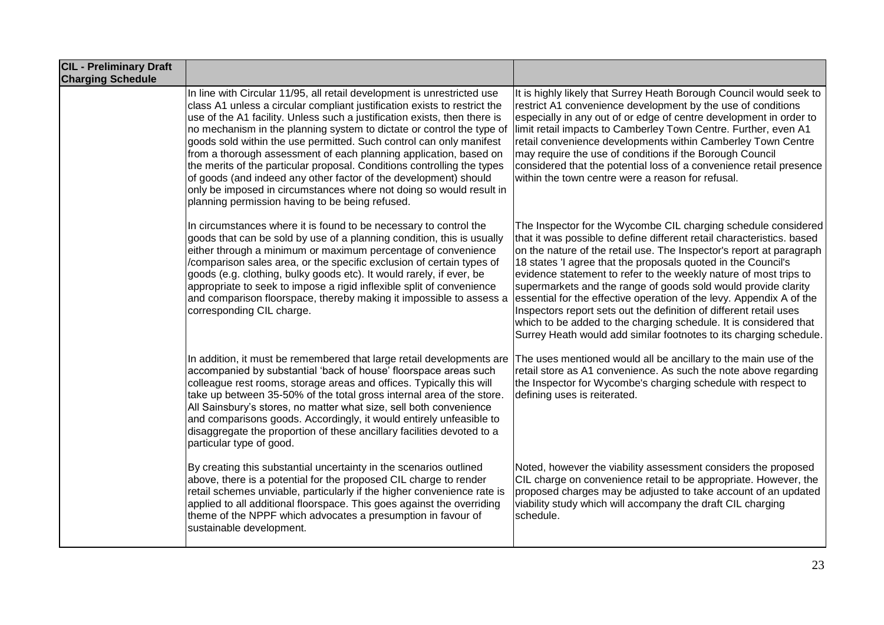| <b>CIL - Preliminary Draft</b><br><b>Charging Schedule</b> |                                                                                                                                                                                                                                                                                                                                                                                                                                                                                                                                                                                                                                                                                                                                 |                                                                                                                                                                                                                                                                                                                                                                                                                                                                                                                                                                                                                                                                                                                   |
|------------------------------------------------------------|---------------------------------------------------------------------------------------------------------------------------------------------------------------------------------------------------------------------------------------------------------------------------------------------------------------------------------------------------------------------------------------------------------------------------------------------------------------------------------------------------------------------------------------------------------------------------------------------------------------------------------------------------------------------------------------------------------------------------------|-------------------------------------------------------------------------------------------------------------------------------------------------------------------------------------------------------------------------------------------------------------------------------------------------------------------------------------------------------------------------------------------------------------------------------------------------------------------------------------------------------------------------------------------------------------------------------------------------------------------------------------------------------------------------------------------------------------------|
|                                                            | In line with Circular 11/95, all retail development is unrestricted use<br>class A1 unless a circular compliant justification exists to restrict the<br>use of the A1 facility. Unless such a justification exists, then there is<br>no mechanism in the planning system to dictate or control the type of<br>goods sold within the use permitted. Such control can only manifest<br>from a thorough assessment of each planning application, based on<br>the merits of the particular proposal. Conditions controlling the types<br>of goods (and indeed any other factor of the development) should<br>only be imposed in circumstances where not doing so would result in<br>planning permission having to be being refused. | It is highly likely that Surrey Heath Borough Council would seek to<br>restrict A1 convenience development by the use of conditions<br>especially in any out of or edge of centre development in order to<br>limit retail impacts to Camberley Town Centre. Further, even A1<br>retail convenience developments within Camberley Town Centre<br>may require the use of conditions if the Borough Council<br>considered that the potential loss of a convenience retail presence<br>within the town centre were a reason for refusal.                                                                                                                                                                              |
|                                                            | In circumstances where it is found to be necessary to control the<br>goods that can be sold by use of a planning condition, this is usually<br>either through a minimum or maximum percentage of convenience<br>/comparison sales area, or the specific exclusion of certain types of<br>goods (e.g. clothing, bulky goods etc). It would rarely, if ever, be<br>appropriate to seek to impose a rigid inflexible split of convenience<br>and comparison floorspace, thereby making it impossible to assess a<br>corresponding CIL charge.                                                                                                                                                                                      | The Inspector for the Wycombe CIL charging schedule considered<br>that it was possible to define different retail characteristics. based<br>on the nature of the retail use. The Inspector's report at paragraph<br>18 states 'I agree that the proposals quoted in the Council's<br>evidence statement to refer to the weekly nature of most trips to<br>supermarkets and the range of goods sold would provide clarity<br>essential for the effective operation of the levy. Appendix A of the<br>Inspectors report sets out the definition of different retail uses<br>which to be added to the charging schedule. It is considered that<br>Surrey Heath would add similar footnotes to its charging schedule. |
|                                                            | In addition, it must be remembered that large retail developments are<br>accompanied by substantial 'back of house' floorspace areas such<br>colleague rest rooms, storage areas and offices. Typically this will<br>take up between 35-50% of the total gross internal area of the store.<br>All Sainsbury's stores, no matter what size, sell both convenience<br>and comparisons goods. Accordingly, it would entirely unfeasible to<br>disaggregate the proportion of these ancillary facilities devoted to a<br>particular type of good.                                                                                                                                                                                   | The uses mentioned would all be ancillary to the main use of the<br>retail store as A1 convenience. As such the note above regarding<br>the Inspector for Wycombe's charging schedule with respect to<br>defining uses is reiterated.                                                                                                                                                                                                                                                                                                                                                                                                                                                                             |
|                                                            | By creating this substantial uncertainty in the scenarios outlined<br>above, there is a potential for the proposed CIL charge to render<br>retail schemes unviable, particularly if the higher convenience rate is<br>applied to all additional floorspace. This goes against the overriding<br>theme of the NPPF which advocates a presumption in favour of<br>sustainable development.                                                                                                                                                                                                                                                                                                                                        | Noted, however the viability assessment considers the proposed<br>CIL charge on convenience retail to be appropriate. However, the<br>proposed charges may be adjusted to take account of an updated<br>viability study which will accompany the draft CIL charging<br>schedule.                                                                                                                                                                                                                                                                                                                                                                                                                                  |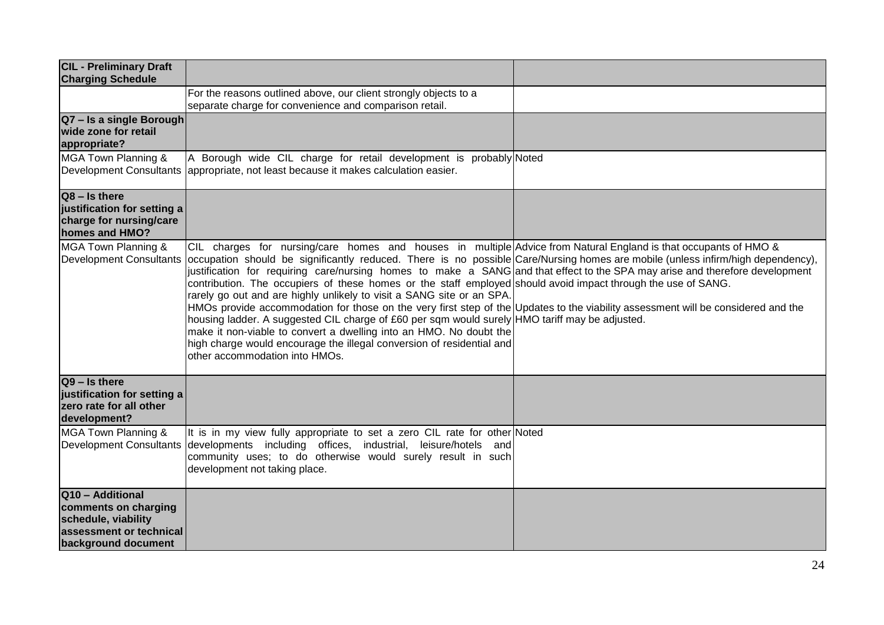| <b>CIL - Preliminary Draft</b><br><b>Charging Schedule</b>                                                        |                                                                                                                                                                                                                                                                                                                                                                                                                                                                                                                                                                                                                                                                                                                                                                                                                                                                                                                                                                                                       |  |
|-------------------------------------------------------------------------------------------------------------------|-------------------------------------------------------------------------------------------------------------------------------------------------------------------------------------------------------------------------------------------------------------------------------------------------------------------------------------------------------------------------------------------------------------------------------------------------------------------------------------------------------------------------------------------------------------------------------------------------------------------------------------------------------------------------------------------------------------------------------------------------------------------------------------------------------------------------------------------------------------------------------------------------------------------------------------------------------------------------------------------------------|--|
|                                                                                                                   | For the reasons outlined above, our client strongly objects to a<br>separate charge for convenience and comparison retail.                                                                                                                                                                                                                                                                                                                                                                                                                                                                                                                                                                                                                                                                                                                                                                                                                                                                            |  |
| Q7 - Is a single Borough<br>wide zone for retail<br>appropriate?                                                  |                                                                                                                                                                                                                                                                                                                                                                                                                                                                                                                                                                                                                                                                                                                                                                                                                                                                                                                                                                                                       |  |
| MGA Town Planning &                                                                                               | A Borough wide CIL charge for retail development is probably Noted<br>Development Consultants appropriate, not least because it makes calculation easier.                                                                                                                                                                                                                                                                                                                                                                                                                                                                                                                                                                                                                                                                                                                                                                                                                                             |  |
| $Q8 - Is there$<br>justification for setting a<br>charge for nursing/care<br>homes and HMO?                       |                                                                                                                                                                                                                                                                                                                                                                                                                                                                                                                                                                                                                                                                                                                                                                                                                                                                                                                                                                                                       |  |
| MGA Town Planning &<br><b>Development Consultants</b>                                                             | CIL charges for nursing/care homes and houses in multiple Advice from Natural England is that occupants of HMO &<br>occupation should be significantly reduced. There is no possible Care/Nursing homes are mobile (unless infirm/high dependency),<br>justification for requiring care/nursing homes to make a SANG and that effect to the SPA may arise and therefore development<br>contribution. The occupiers of these homes or the staff employed should avoid impact through the use of SANG.<br>rarely go out and are highly unlikely to visit a SANG site or an SPA.<br>HMOs provide accommodation for those on the very first step of the Updates to the viability assessment will be considered and the<br>housing ladder. A suggested CIL charge of £60 per sqm would surely HMO tariff may be adjusted.<br>make it non-viable to convert a dwelling into an HMO. No doubt the<br>high charge would encourage the illegal conversion of residential and<br>other accommodation into HMOs. |  |
| $Q9 - Is there$<br>justification for setting a<br>zero rate for all other<br>development?                         |                                                                                                                                                                                                                                                                                                                                                                                                                                                                                                                                                                                                                                                                                                                                                                                                                                                                                                                                                                                                       |  |
| MGA Town Planning &<br><b>Development Consultants</b>                                                             | It is in my view fully appropriate to set a zero CIL rate for other Noted<br>developments including offices, industrial, leisure/hotels<br>and<br>community uses; to do otherwise would surely result in such<br>development not taking place.                                                                                                                                                                                                                                                                                                                                                                                                                                                                                                                                                                                                                                                                                                                                                        |  |
| Q10 - Additional<br>comments on charging<br>schedule, viability<br>assessment or technical<br>background document |                                                                                                                                                                                                                                                                                                                                                                                                                                                                                                                                                                                                                                                                                                                                                                                                                                                                                                                                                                                                       |  |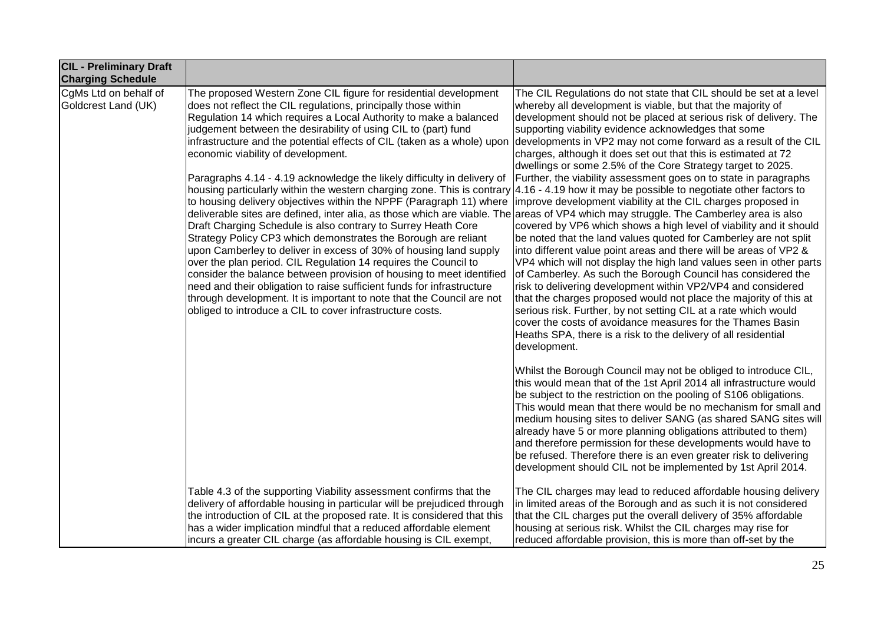| <b>CIL - Preliminary Draft</b><br><b>Charging Schedule</b> |                                                                                                                                                                                                                                                                                                                                                                                                                                                                                                                                                                                                                                                                                                                                                                                                                                                                                                                                                                                                                                                                                                                                                                                                                                                                                                                                                                                                      |                                                                                                                                                                                                                                                                                                                                                                                                                                                                                                                                                                                                                                                                                                                                                                                                                                                                                                                                                                                                                                                                                                                                                                                                                                                                                                                      |
|------------------------------------------------------------|------------------------------------------------------------------------------------------------------------------------------------------------------------------------------------------------------------------------------------------------------------------------------------------------------------------------------------------------------------------------------------------------------------------------------------------------------------------------------------------------------------------------------------------------------------------------------------------------------------------------------------------------------------------------------------------------------------------------------------------------------------------------------------------------------------------------------------------------------------------------------------------------------------------------------------------------------------------------------------------------------------------------------------------------------------------------------------------------------------------------------------------------------------------------------------------------------------------------------------------------------------------------------------------------------------------------------------------------------------------------------------------------------|----------------------------------------------------------------------------------------------------------------------------------------------------------------------------------------------------------------------------------------------------------------------------------------------------------------------------------------------------------------------------------------------------------------------------------------------------------------------------------------------------------------------------------------------------------------------------------------------------------------------------------------------------------------------------------------------------------------------------------------------------------------------------------------------------------------------------------------------------------------------------------------------------------------------------------------------------------------------------------------------------------------------------------------------------------------------------------------------------------------------------------------------------------------------------------------------------------------------------------------------------------------------------------------------------------------------|
| CgMs Ltd on behalf of<br>Goldcrest Land (UK)               | The proposed Western Zone CIL figure for residential development<br>does not reflect the CIL regulations, principally those within<br>Regulation 14 which requires a Local Authority to make a balanced<br>judgement between the desirability of using CIL to (part) fund<br>infrastructure and the potential effects of CIL (taken as a whole) upon<br>economic viability of development.<br>Paragraphs 4.14 - 4.19 acknowledge the likely difficulty in delivery of<br>housing particularly within the western charging zone. This is contrary 4.16 - 4.19 how it may be possible to negotiate other factors to<br>to housing delivery objectives within the NPPF (Paragraph 11) where<br>deliverable sites are defined, inter alia, as those which are viable. The areas of VP4 which may struggle. The Camberley area is also<br>Draft Charging Schedule is also contrary to Surrey Heath Core<br>Strategy Policy CP3 which demonstrates the Borough are reliant<br>upon Camberley to deliver in excess of 30% of housing land supply<br>over the plan period. CIL Regulation 14 requires the Council to<br>consider the balance between provision of housing to meet identified<br>need and their obligation to raise sufficient funds for infrastructure<br>through development. It is important to note that the Council are not<br>obliged to introduce a CIL to cover infrastructure costs. | The CIL Regulations do not state that CIL should be set at a level<br>whereby all development is viable, but that the majority of<br>development should not be placed at serious risk of delivery. The<br>supporting viability evidence acknowledges that some<br>developments in VP2 may not come forward as a result of the CIL<br>charges, although it does set out that this is estimated at 72<br>dwellings or some 2.5% of the Core Strategy target to 2025.<br>Further, the viability assessment goes on to state in paragraphs<br>improve development viability at the CIL charges proposed in<br>covered by VP6 which shows a high level of viability and it should<br>be noted that the land values quoted for Camberley are not split<br>into different value point areas and there will be areas of VP2 &<br>VP4 which will not display the high land values seen in other parts<br>of Camberley. As such the Borough Council has considered the<br>risk to delivering development within VP2/VP4 and considered<br>that the charges proposed would not place the majority of this at<br>serious risk. Further, by not setting CIL at a rate which would<br>cover the costs of avoidance measures for the Thames Basin<br>Heaths SPA, there is a risk to the delivery of all residential<br>development. |
|                                                            |                                                                                                                                                                                                                                                                                                                                                                                                                                                                                                                                                                                                                                                                                                                                                                                                                                                                                                                                                                                                                                                                                                                                                                                                                                                                                                                                                                                                      | Whilst the Borough Council may not be obliged to introduce CIL,<br>this would mean that of the 1st April 2014 all infrastructure would<br>be subject to the restriction on the pooling of S106 obligations.<br>This would mean that there would be no mechanism for small and<br>medium housing sites to deliver SANG (as shared SANG sites will<br>already have 5 or more planning obligations attributed to them)<br>and therefore permission for these developments would have to<br>be refused. Therefore there is an even greater risk to delivering<br>development should CIL not be implemented by 1st April 2014.                                                                                                                                                                                                                                                                                                                                                                                                                                                                                                                                                                                                                                                                                            |
|                                                            | Table 4.3 of the supporting Viability assessment confirms that the<br>delivery of affordable housing in particular will be prejudiced through<br>the introduction of CIL at the proposed rate. It is considered that this<br>has a wider implication mindful that a reduced affordable element<br>incurs a greater CIL charge (as affordable housing is CIL exempt,                                                                                                                                                                                                                                                                                                                                                                                                                                                                                                                                                                                                                                                                                                                                                                                                                                                                                                                                                                                                                                  | The CIL charges may lead to reduced affordable housing delivery<br>in limited areas of the Borough and as such it is not considered<br>that the CIL charges put the overall delivery of 35% affordable<br>housing at serious risk. Whilst the CIL charges may rise for<br>reduced affordable provision, this is more than off-set by the                                                                                                                                                                                                                                                                                                                                                                                                                                                                                                                                                                                                                                                                                                                                                                                                                                                                                                                                                                             |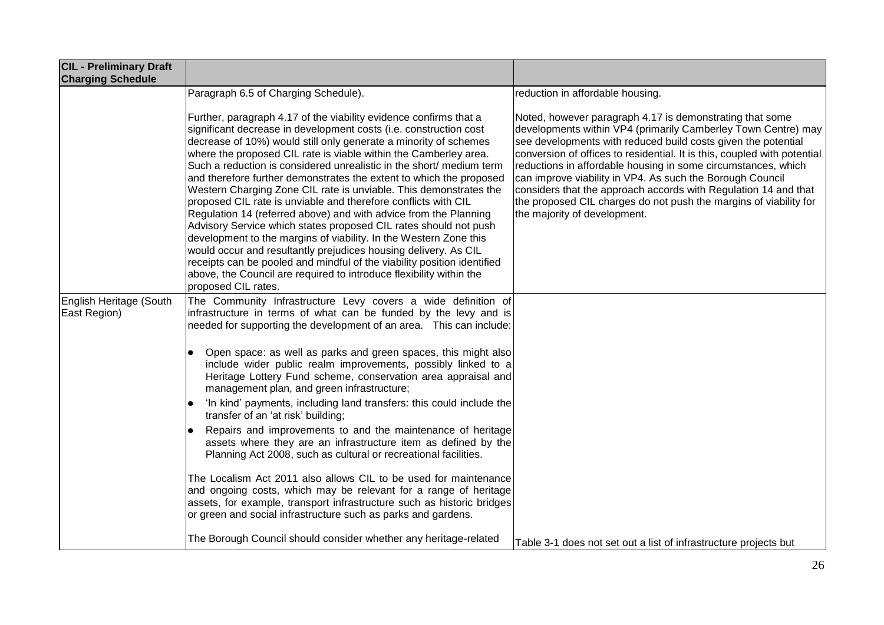| <b>CIL - Preliminary Draft</b><br><b>Charging Schedule</b> |                                                                                                                                                                                                                                                                                                                                                                                                                                                                                                                                                                                                                                                                                                                                                                                                                                                                                                                                                                                                                               |                                                                                                                                                                                                                                                                                                                                                                                                                                                                                                                                                                              |
|------------------------------------------------------------|-------------------------------------------------------------------------------------------------------------------------------------------------------------------------------------------------------------------------------------------------------------------------------------------------------------------------------------------------------------------------------------------------------------------------------------------------------------------------------------------------------------------------------------------------------------------------------------------------------------------------------------------------------------------------------------------------------------------------------------------------------------------------------------------------------------------------------------------------------------------------------------------------------------------------------------------------------------------------------------------------------------------------------|------------------------------------------------------------------------------------------------------------------------------------------------------------------------------------------------------------------------------------------------------------------------------------------------------------------------------------------------------------------------------------------------------------------------------------------------------------------------------------------------------------------------------------------------------------------------------|
|                                                            | Paragraph 6.5 of Charging Schedule).                                                                                                                                                                                                                                                                                                                                                                                                                                                                                                                                                                                                                                                                                                                                                                                                                                                                                                                                                                                          | reduction in affordable housing.                                                                                                                                                                                                                                                                                                                                                                                                                                                                                                                                             |
|                                                            | Further, paragraph 4.17 of the viability evidence confirms that a<br>significant decrease in development costs (i.e. construction cost<br>decrease of 10%) would still only generate a minority of schemes<br>where the proposed CIL rate is viable within the Camberley area.<br>Such a reduction is considered unrealistic in the short/ medium term<br>and therefore further demonstrates the extent to which the proposed<br>Western Charging Zone CIL rate is unviable. This demonstrates the<br>proposed CIL rate is unviable and therefore conflicts with CIL<br>Regulation 14 (referred above) and with advice from the Planning<br>Advisory Service which states proposed CIL rates should not push<br>development to the margins of viability. In the Western Zone this<br>would occur and resultantly prejudices housing delivery. As CIL<br>receipts can be pooled and mindful of the viability position identified<br>above, the Council are required to introduce flexibility within the<br>proposed CIL rates. | Noted, however paragraph 4.17 is demonstrating that some<br>developments within VP4 (primarily Camberley Town Centre) may<br>see developments with reduced build costs given the potential<br>conversion of offices to residential. It is this, coupled with potential<br>reductions in affordable housing in some circumstances, which<br>can improve viability in VP4. As such the Borough Council<br>considers that the approach accords with Regulation 14 and that<br>the proposed CIL charges do not push the margins of viability for<br>the majority of development. |
| English Heritage (South<br>East Region)                    | The Community Infrastructure Levy covers a wide definition of<br>infrastructure in terms of what can be funded by the levy and is<br>needed for supporting the development of an area. This can include:<br>Open space: as well as parks and green spaces, this might also<br>include wider public realm improvements, possibly linked to a<br>Heritage Lottery Fund scheme, conservation area appraisal and<br>management plan, and green infrastructure;<br>'In kind' payments, including land transfers: this could include the<br>transfer of an 'at risk' building;<br>Repairs and improvements to and the maintenance of heritage<br>assets where they are an infrastructure item as defined by the<br>Planning Act 2008, such as cultural or recreational facilities.<br>The Localism Act 2011 also allows CIL to be used for maintenance<br>and ongoing costs, which may be relevant for a range of heritage<br>assets, for example, transport infrastructure such as historic bridges                                |                                                                                                                                                                                                                                                                                                                                                                                                                                                                                                                                                                              |
|                                                            | or green and social infrastructure such as parks and gardens.<br>The Borough Council should consider whether any heritage-related                                                                                                                                                                                                                                                                                                                                                                                                                                                                                                                                                                                                                                                                                                                                                                                                                                                                                             | Table 3-1 does not set out a list of infrastructure projects but                                                                                                                                                                                                                                                                                                                                                                                                                                                                                                             |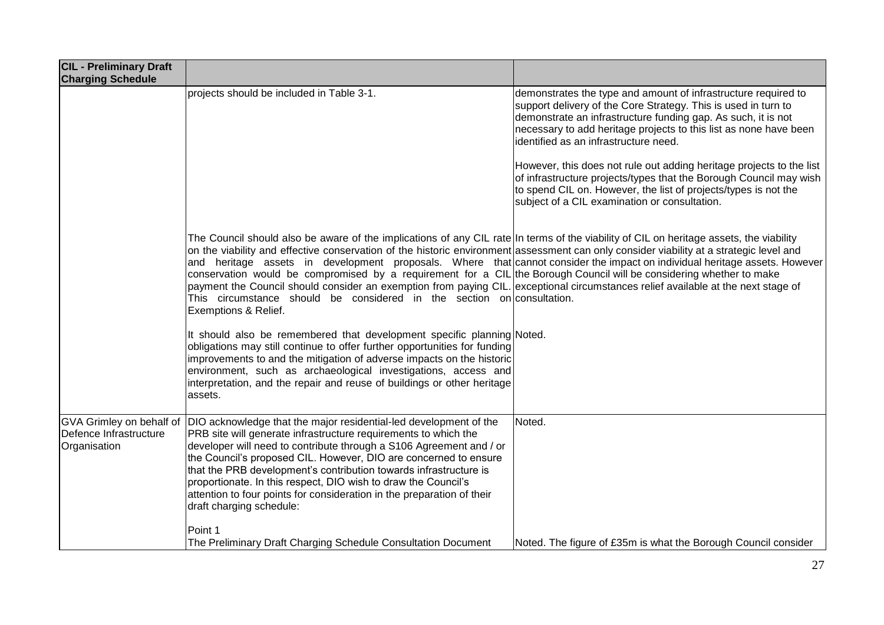| <b>CIL - Preliminary Draft</b><br><b>Charging Schedule</b>                |                                                                                                                                                                                                                                                                                                                                                                                                                                                                                                                                                                                                                                                                                                                                                                                 |                                                                                                                                                                                                                                                                                                                                                                                                                                                                                                                                                                                   |
|---------------------------------------------------------------------------|---------------------------------------------------------------------------------------------------------------------------------------------------------------------------------------------------------------------------------------------------------------------------------------------------------------------------------------------------------------------------------------------------------------------------------------------------------------------------------------------------------------------------------------------------------------------------------------------------------------------------------------------------------------------------------------------------------------------------------------------------------------------------------|-----------------------------------------------------------------------------------------------------------------------------------------------------------------------------------------------------------------------------------------------------------------------------------------------------------------------------------------------------------------------------------------------------------------------------------------------------------------------------------------------------------------------------------------------------------------------------------|
|                                                                           | projects should be included in Table 3-1.                                                                                                                                                                                                                                                                                                                                                                                                                                                                                                                                                                                                                                                                                                                                       | demonstrates the type and amount of infrastructure required to<br>support delivery of the Core Strategy. This is used in turn to<br>demonstrate an infrastructure funding gap. As such, it is not<br>necessary to add heritage projects to this list as none have been<br>identified as an infrastructure need.<br>However, this does not rule out adding heritage projects to the list<br>of infrastructure projects/types that the Borough Council may wish<br>to spend CIL on. However, the list of projects/types is not the<br>subject of a CIL examination or consultation. |
|                                                                           | The Council should also be aware of the implications of any CIL rate In terms of the viability of CIL on heritage assets, the viability<br>on the viability and effective conservation of the historic environment assessment can only consider viability at a strategic level and<br>and heritage assets in development proposals. Where that cannot consider the impact on individual heritage assets. However<br>conservation would be compromised by a requirement for a CIL the Borough Council will be considering whether to make<br>payment the Council should consider an exemption from paying CIL. exceptional circumstances relief available at the next stage of<br>This circumstance should be considered in the section on consultation.<br>Exemptions & Relief. |                                                                                                                                                                                                                                                                                                                                                                                                                                                                                                                                                                                   |
|                                                                           | It should also be remembered that development specific planning Noted.<br>obligations may still continue to offer further opportunities for funding<br>improvements to and the mitigation of adverse impacts on the historic<br>environment, such as archaeological investigations, access and<br>interpretation, and the repair and reuse of buildings or other heritage<br>assets.                                                                                                                                                                                                                                                                                                                                                                                            |                                                                                                                                                                                                                                                                                                                                                                                                                                                                                                                                                                                   |
| <b>GVA Grimley on behalf of</b><br>Defence Infrastructure<br>Organisation | DIO acknowledge that the major residential-led development of the<br>PRB site will generate infrastructure requirements to which the<br>developer will need to contribute through a S106 Agreement and / or<br>the Council's proposed CIL. However, DIO are concerned to ensure<br>that the PRB development's contribution towards infrastructure is<br>proportionate. In this respect, DIO wish to draw the Council's<br>attention to four points for consideration in the preparation of their<br>draft charging schedule:                                                                                                                                                                                                                                                    | Noted.                                                                                                                                                                                                                                                                                                                                                                                                                                                                                                                                                                            |
|                                                                           | Point 1<br>The Preliminary Draft Charging Schedule Consultation Document                                                                                                                                                                                                                                                                                                                                                                                                                                                                                                                                                                                                                                                                                                        | Noted. The figure of £35m is what the Borough Council consider                                                                                                                                                                                                                                                                                                                                                                                                                                                                                                                    |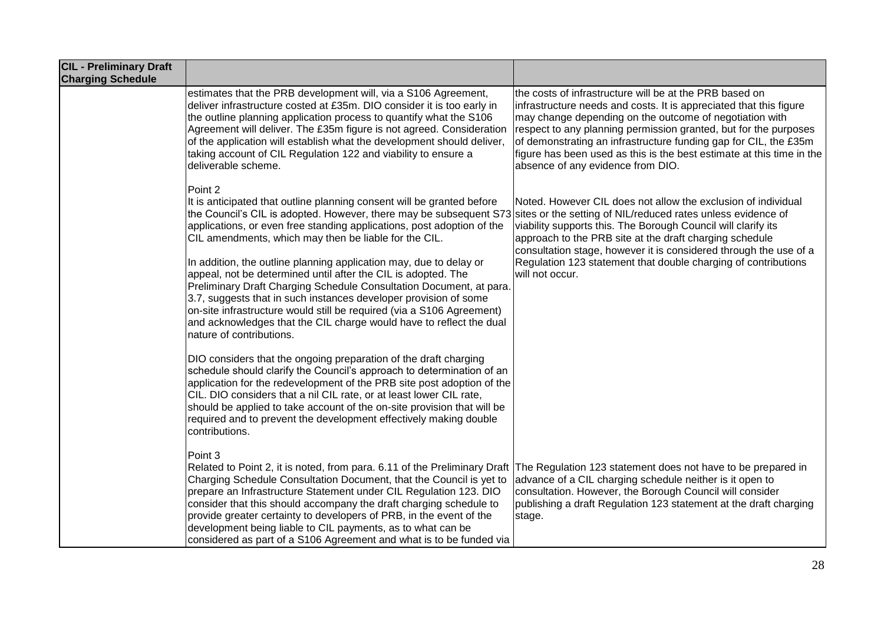| <b>CIL - Preliminary Draft</b><br><b>Charging Schedule</b> |                                                                                                                                                                                                                                                                                                                                                                                                                                                                                                                                                                                                                                                                                                                                                                                                                                                                                                                                                                                                                                                                                                                                                                                                                                                                                       |                                                                                                                                                                                                                                                                                                                                                                                                                                                |
|------------------------------------------------------------|---------------------------------------------------------------------------------------------------------------------------------------------------------------------------------------------------------------------------------------------------------------------------------------------------------------------------------------------------------------------------------------------------------------------------------------------------------------------------------------------------------------------------------------------------------------------------------------------------------------------------------------------------------------------------------------------------------------------------------------------------------------------------------------------------------------------------------------------------------------------------------------------------------------------------------------------------------------------------------------------------------------------------------------------------------------------------------------------------------------------------------------------------------------------------------------------------------------------------------------------------------------------------------------|------------------------------------------------------------------------------------------------------------------------------------------------------------------------------------------------------------------------------------------------------------------------------------------------------------------------------------------------------------------------------------------------------------------------------------------------|
|                                                            | estimates that the PRB development will, via a S106 Agreement,<br>deliver infrastructure costed at £35m. DIO consider it is too early in<br>the outline planning application process to quantify what the S106<br>Agreement will deliver. The £35m figure is not agreed. Consideration<br>of the application will establish what the development should deliver,<br>taking account of CIL Regulation 122 and viability to ensure a<br>deliverable scheme.                                                                                                                                                                                                                                                                                                                                                                                                                                                                                                                                                                                                                                                                                                                                                                                                                             | the costs of infrastructure will be at the PRB based on<br>infrastructure needs and costs. It is appreciated that this figure<br>may change depending on the outcome of negotiation with<br>respect to any planning permission granted, but for the purposes<br>of demonstrating an infrastructure funding gap for CIL, the £35m<br>figure has been used as this is the best estimate at this time in the<br>absence of any evidence from DIO. |
|                                                            | Point 2<br>It is anticipated that outline planning consent will be granted before<br>the Council's CIL is adopted. However, there may be subsequent S73 sites or the setting of NIL/reduced rates unless evidence of<br>applications, or even free standing applications, post adoption of the<br>CIL amendments, which may then be liable for the CIL.<br>In addition, the outline planning application may, due to delay or<br>appeal, not be determined until after the CIL is adopted. The<br>Preliminary Draft Charging Schedule Consultation Document, at para.<br>3.7, suggests that in such instances developer provision of some<br>on-site infrastructure would still be required (via a S106 Agreement)<br>and acknowledges that the CIL charge would have to reflect the dual<br>nature of contributions.<br>DIO considers that the ongoing preparation of the draft charging<br>schedule should clarify the Council's approach to determination of an<br>application for the redevelopment of the PRB site post adoption of the<br>CIL. DIO considers that a nil CIL rate, or at least lower CIL rate,<br>should be applied to take account of the on-site provision that will be<br>required and to prevent the development effectively making double<br>contributions. | Noted. However CIL does not allow the exclusion of individual<br>viability supports this. The Borough Council will clarify its<br>approach to the PRB site at the draft charging schedule<br>consultation stage, however it is considered through the use of a<br>Regulation 123 statement that double charging of contributions<br>will not occur.                                                                                            |
|                                                            | Point 3<br>Related to Point 2, it is noted, from para. 6.11 of the Preliminary Draft<br>Charging Schedule Consultation Document, that the Council is yet to<br>prepare an Infrastructure Statement under CIL Regulation 123. DIO<br>consider that this should accompany the draft charging schedule to<br>provide greater certainty to developers of PRB, in the event of the<br>development being liable to CIL payments, as to what can be<br>considered as part of a S106 Agreement and what is to be funded via                                                                                                                                                                                                                                                                                                                                                                                                                                                                                                                                                                                                                                                                                                                                                                   | The Regulation 123 statement does not have to be prepared in<br>advance of a CIL charging schedule neither is it open to<br>consultation. However, the Borough Council will consider<br>publishing a draft Regulation 123 statement at the draft charging<br>stage.                                                                                                                                                                            |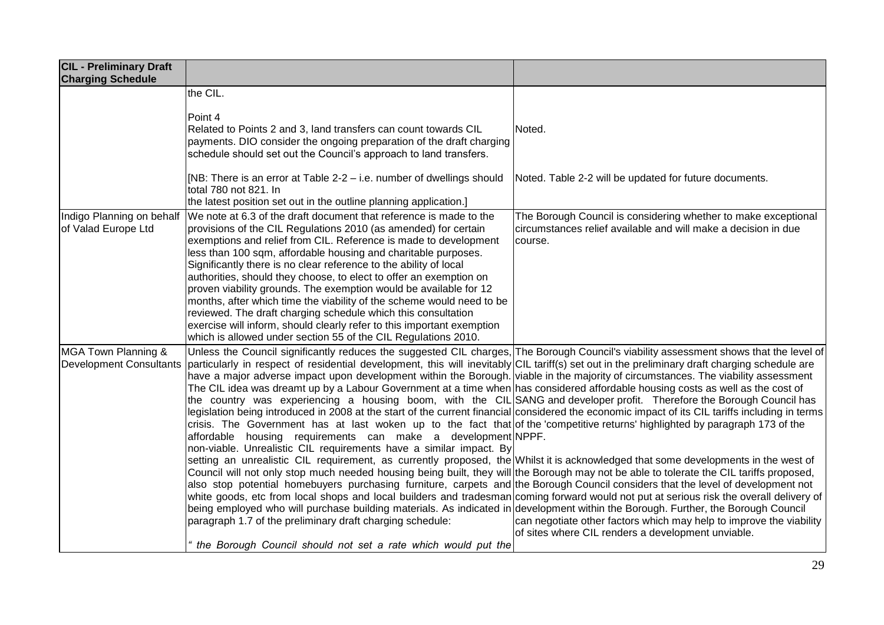| <b>CIL - Preliminary Draft</b><br><b>Charging Schedule</b> |                                                                                                                                                                                                                                                                                                                                                                                                                                                                                                                                                                                                                                                                                                                                                                                                                                                                                                                                                                                                                                                                                                                                                                                                                                                                                                                                                                                                                                                                                                                                                                                                                                                                                                                                                                                                                                                                                                                                                        |                                                                                                                                             |
|------------------------------------------------------------|--------------------------------------------------------------------------------------------------------------------------------------------------------------------------------------------------------------------------------------------------------------------------------------------------------------------------------------------------------------------------------------------------------------------------------------------------------------------------------------------------------------------------------------------------------------------------------------------------------------------------------------------------------------------------------------------------------------------------------------------------------------------------------------------------------------------------------------------------------------------------------------------------------------------------------------------------------------------------------------------------------------------------------------------------------------------------------------------------------------------------------------------------------------------------------------------------------------------------------------------------------------------------------------------------------------------------------------------------------------------------------------------------------------------------------------------------------------------------------------------------------------------------------------------------------------------------------------------------------------------------------------------------------------------------------------------------------------------------------------------------------------------------------------------------------------------------------------------------------------------------------------------------------------------------------------------------------|---------------------------------------------------------------------------------------------------------------------------------------------|
|                                                            | the CIL.                                                                                                                                                                                                                                                                                                                                                                                                                                                                                                                                                                                                                                                                                                                                                                                                                                                                                                                                                                                                                                                                                                                                                                                                                                                                                                                                                                                                                                                                                                                                                                                                                                                                                                                                                                                                                                                                                                                                               |                                                                                                                                             |
|                                                            | Point 4<br>Related to Points 2 and 3, land transfers can count towards CIL                                                                                                                                                                                                                                                                                                                                                                                                                                                                                                                                                                                                                                                                                                                                                                                                                                                                                                                                                                                                                                                                                                                                                                                                                                                                                                                                                                                                                                                                                                                                                                                                                                                                                                                                                                                                                                                                             | Noted.                                                                                                                                      |
|                                                            | payments. DIO consider the ongoing preparation of the draft charging<br>schedule should set out the Council's approach to land transfers.                                                                                                                                                                                                                                                                                                                                                                                                                                                                                                                                                                                                                                                                                                                                                                                                                                                                                                                                                                                                                                                                                                                                                                                                                                                                                                                                                                                                                                                                                                                                                                                                                                                                                                                                                                                                              |                                                                                                                                             |
|                                                            | [NB: There is an error at Table 2-2 – i.e. number of dwellings should<br>total 780 not 821. In<br>the latest position set out in the outline planning application.]                                                                                                                                                                                                                                                                                                                                                                                                                                                                                                                                                                                                                                                                                                                                                                                                                                                                                                                                                                                                                                                                                                                                                                                                                                                                                                                                                                                                                                                                                                                                                                                                                                                                                                                                                                                    | Noted. Table 2-2 will be updated for future documents.                                                                                      |
| Indigo Planning on behalf<br>of Valad Europe Ltd           | We note at 6.3 of the draft document that reference is made to the<br>provisions of the CIL Regulations 2010 (as amended) for certain<br>exemptions and relief from CIL. Reference is made to development<br>less than 100 sqm, affordable housing and charitable purposes.<br>Significantly there is no clear reference to the ability of local<br>authorities, should they choose, to elect to offer an exemption on<br>proven viability grounds. The exemption would be available for 12<br>months, after which time the viability of the scheme would need to be<br>reviewed. The draft charging schedule which this consultation<br>exercise will inform, should clearly refer to this important exemption<br>which is allowed under section 55 of the CIL Regulations 2010.                                                                                                                                                                                                                                                                                                                                                                                                                                                                                                                                                                                                                                                                                                                                                                                                                                                                                                                                                                                                                                                                                                                                                                      | The Borough Council is considering whether to make exceptional<br>circumstances relief available and will make a decision in due<br>course. |
| MGA Town Planning &<br><b>Development Consultants</b>      | Unless the Council significantly reduces the suggested CIL charges, The Borough Council's viability assessment shows that the level of<br>particularly in respect of residential development, this will inevitably CIL tariff(s) set out in the preliminary draft charging schedule are<br>have a major adverse impact upon development within the Borough. viable in the majority of circumstances. The viability assessment<br>The CIL idea was dreamt up by a Labour Government at a time when has considered affordable housing costs as well as the cost of<br>the country was experiencing a housing boom, with the CIL SANG and developer profit. Therefore the Borough Council has<br>legislation being introduced in 2008 at the start of the current financial considered the economic impact of its CIL tariffs including in terms<br>crisis. The Government has at last woken up to the fact that of the competitive returns' highlighted by paragraph 173 of the<br>affordable housing requirements can make a development NPPF.<br>non-viable. Unrealistic CIL requirements have a similar impact. By<br>setting an unrealistic CIL requirement, as currently proposed, the Whilst it is acknowledged that some developments in the west of<br>Council will not only stop much needed housing being built, they will the Borough may not be able to tolerate the CIL tariffs proposed,<br>also stop potential homebuyers purchasing furniture, carpets and the Borough Council considers that the level of development not<br>white goods, etc from local shops and local builders and tradesman coming forward would not put at serious risk the overall delivery of<br>being employed who will purchase building materials. As indicated in development within the Borough. Further, the Borough Council<br>paragraph 1.7 of the preliminary draft charging schedule:<br>the Borough Council should not set a rate which would put the | can negotiate other factors which may help to improve the viability<br>of sites where CIL renders a development unviable.                   |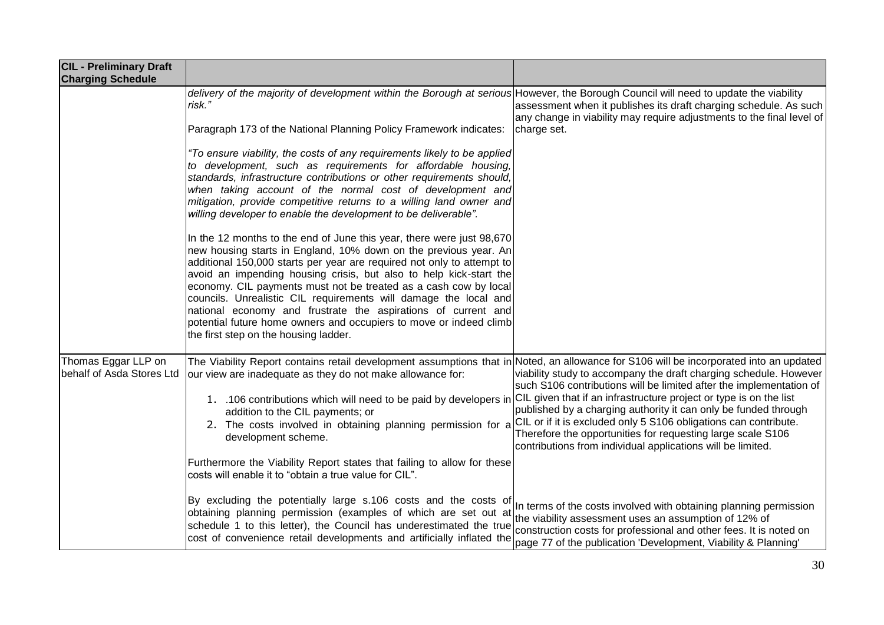| <b>CIL - Preliminary Draft</b><br><b>Charging Schedule</b> |                                                                                                                                                                                                                                                                                                                                                                                                                                                                                                                                                                                                                   |                                                                                                                                                                                                                                                                                                                                                                                                                                                                                     |
|------------------------------------------------------------|-------------------------------------------------------------------------------------------------------------------------------------------------------------------------------------------------------------------------------------------------------------------------------------------------------------------------------------------------------------------------------------------------------------------------------------------------------------------------------------------------------------------------------------------------------------------------------------------------------------------|-------------------------------------------------------------------------------------------------------------------------------------------------------------------------------------------------------------------------------------------------------------------------------------------------------------------------------------------------------------------------------------------------------------------------------------------------------------------------------------|
|                                                            | delivery of the majority of development within the Borough at serious However, the Borough Council will need to update the viability<br>risk."<br>Paragraph 173 of the National Planning Policy Framework indicates:                                                                                                                                                                                                                                                                                                                                                                                              | assessment when it publishes its draft charging schedule. As such<br>any change in viability may require adjustments to the final level of<br>charge set.                                                                                                                                                                                                                                                                                                                           |
|                                                            | "To ensure viability, the costs of any requirements likely to be applied<br>to development, such as requirements for affordable housing,<br>standards, infrastructure contributions or other requirements should,<br>when taking account of the normal cost of development and<br>mitigation, provide competitive returns to a willing land owner and<br>willing developer to enable the development to be deliverable".                                                                                                                                                                                          |                                                                                                                                                                                                                                                                                                                                                                                                                                                                                     |
|                                                            | In the 12 months to the end of June this year, there were just 98,670<br>new housing starts in England, 10% down on the previous year. An<br>additional 150,000 starts per year are required not only to attempt to<br>avoid an impending housing crisis, but also to help kick-start the<br>economy. CIL payments must not be treated as a cash cow by local<br>councils. Unrealistic CIL requirements will damage the local and<br>national economy and frustrate the aspirations of current and<br>potential future home owners and occupiers to move or indeed climb<br>the first step on the housing ladder. |                                                                                                                                                                                                                                                                                                                                                                                                                                                                                     |
| Thomas Eggar LLP on<br>behalf of Asda Stores Ltd           | The Viability Report contains retail development assumptions that in Noted, an allowance for S106 will be incorporated into an updated<br>our view are inadequate as they do not make allowance for:<br>1. .106 contributions which will need to be paid by developers in<br>addition to the CIL payments; or<br>2. The costs involved in obtaining planning permission for a<br>development scheme.<br>Furthermore the Viability Report states that failing to allow for these                                                                                                                                   | viability study to accompany the draft charging schedule. However<br>such S106 contributions will be limited after the implementation of<br>CIL given that if an infrastructure project or type is on the list<br>published by a charging authority it can only be funded through<br>CIL or if it is excluded only 5 S106 obligations can contribute.<br>Therefore the opportunities for requesting large scale S106<br>contributions from individual applications will be limited. |
|                                                            | costs will enable it to "obtain a true value for CIL".<br>By excluding the potentially large s.106 costs and the costs of<br>obtaining planning permission (examples of which are set out at<br>schedule 1 to this letter), the Council has underestimated the true<br>cost of convenience retail developments and artificially inflated the                                                                                                                                                                                                                                                                      | In terms of the costs involved with obtaining planning permission<br>the viability assessment uses an assumption of 12% of<br>construction costs for professional and other fees. It is noted on<br>page 77 of the publication 'Development, Viability & Planning'                                                                                                                                                                                                                  |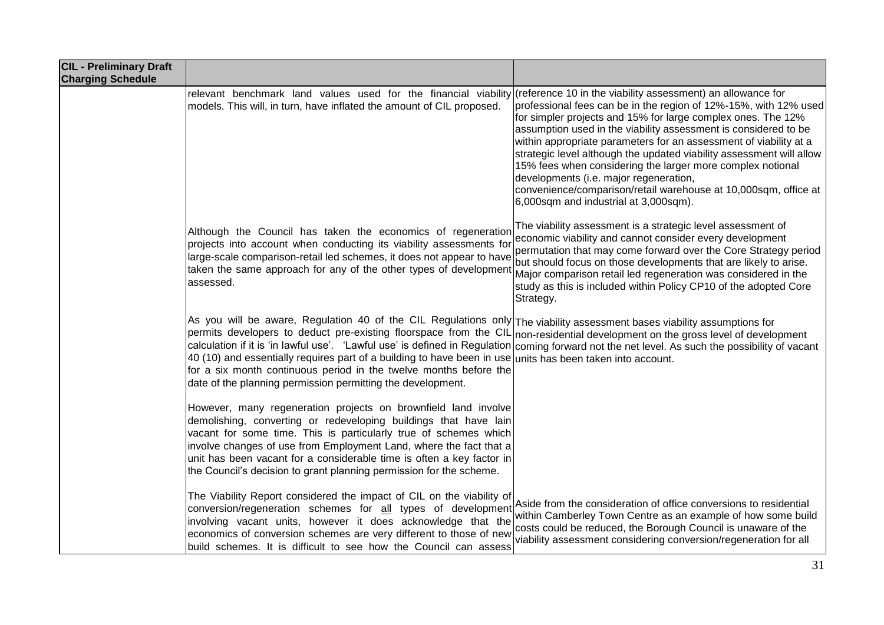| <b>CIL - Preliminary Draft</b><br><b>Charging Schedule</b> |                                                                                                                                                                                                                                                                                                                                                                                                                                                                                                                                                                                              |                                                                                                                                                                                                                                                                                                                                                                                                                                                                                                                                                                      |
|------------------------------------------------------------|----------------------------------------------------------------------------------------------------------------------------------------------------------------------------------------------------------------------------------------------------------------------------------------------------------------------------------------------------------------------------------------------------------------------------------------------------------------------------------------------------------------------------------------------------------------------------------------------|----------------------------------------------------------------------------------------------------------------------------------------------------------------------------------------------------------------------------------------------------------------------------------------------------------------------------------------------------------------------------------------------------------------------------------------------------------------------------------------------------------------------------------------------------------------------|
|                                                            | relevant benchmark land values used for the financial viability (reference 10 in the viability assessment) an allowance for<br>models. This will, in turn, have inflated the amount of CIL proposed.                                                                                                                                                                                                                                                                                                                                                                                         | professional fees can be in the region of 12%-15%, with 12% used<br>for simpler projects and 15% for large complex ones. The 12%<br>assumption used in the viability assessment is considered to be<br>within appropriate parameters for an assessment of viability at a<br>strategic level although the updated viability assessment will allow<br>15% fees when considering the larger more complex notional<br>developments (i.e. major regeneration,<br>convenience/comparison/retail warehouse at 10,000sqm, office at<br>6,000sqm and industrial at 3,000sqm). |
|                                                            | Although the Council has taken the economics of regeneration<br>projects into account when conducting its viability assessments for<br>large-scale comparison-retail led schemes, it does not appear to have<br>taken the same approach for any of the other types of development<br>assessed.                                                                                                                                                                                                                                                                                               | The viability assessment is a strategic level assessment of<br>economic viability and cannot consider every development<br>permutation that may come forward over the Core Strategy period<br>but should focus on those developments that are likely to arise.<br>Major comparison retail led regeneration was considered in the<br>study as this is included within Policy CP10 of the adopted Core<br>Strategy.                                                                                                                                                    |
|                                                            | As you will be aware, Regulation 40 of the CIL Regulations only The viability assessment bases viability assumptions for<br>permits developers to deduct pre-existing floorspace from the CIL non-residential development on the gross level of development<br>calculation if it is 'in lawful use'. 'Lawful use' is defined in Regulation<br>40 (10) and essentially requires part of a building to have been in use units has been taken into account.<br>for a six month continuous period in the twelve months before the<br>date of the planning permission permitting the development. | coming forward not the net level. As such the possibility of vacant                                                                                                                                                                                                                                                                                                                                                                                                                                                                                                  |
|                                                            | However, many regeneration projects on brownfield land involve<br>demolishing, converting or redeveloping buildings that have lain<br>vacant for some time. This is particularly true of schemes which<br>involve changes of use from Employment Land, where the fact that a<br>unit has been vacant for a considerable time is often a key factor in<br>the Council's decision to grant planning permission for the scheme.                                                                                                                                                                 |                                                                                                                                                                                                                                                                                                                                                                                                                                                                                                                                                                      |
|                                                            | The Viability Report considered the impact of CIL on the viability of<br>conversion/regeneration schemes for all types of development<br>involving vacant units, however it does acknowledge that the<br>economics of conversion schemes are very different to those of new<br>build schemes. It is difficult to see how the Council can assess                                                                                                                                                                                                                                              | Aside from the consideration of office conversions to residential<br>within Camberley Town Centre as an example of how some build<br>costs could be reduced, the Borough Council is unaware of the<br>viability assessment considering conversion/regeneration for all                                                                                                                                                                                                                                                                                               |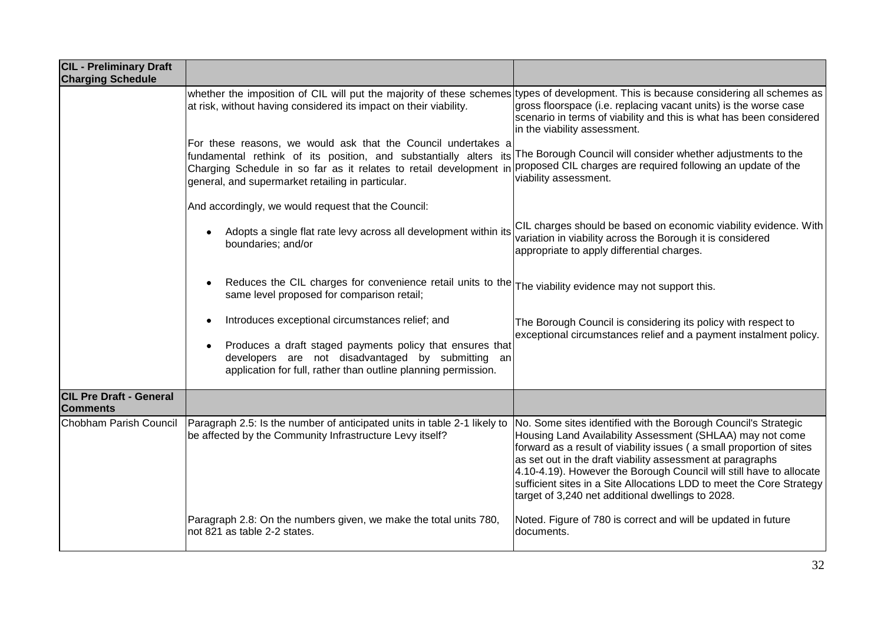| <b>CIL - Preliminary Draft</b><br><b>Charging Schedule</b> |                                                                                                                                                                                                                                                               |                                                                                                                                                                                                                                                                                                                                                                                                                                                                        |
|------------------------------------------------------------|---------------------------------------------------------------------------------------------------------------------------------------------------------------------------------------------------------------------------------------------------------------|------------------------------------------------------------------------------------------------------------------------------------------------------------------------------------------------------------------------------------------------------------------------------------------------------------------------------------------------------------------------------------------------------------------------------------------------------------------------|
|                                                            | whether the imposition of CIL will put the majority of these schemes types of development. This is because considering all schemes as<br>at risk, without having considered its impact on their viability.                                                    | gross floorspace (i.e. replacing vacant units) is the worse case<br>scenario in terms of viability and this is what has been considered<br>in the viability assessment.                                                                                                                                                                                                                                                                                                |
|                                                            | For these reasons, we would ask that the Council undertakes a<br>fundamental rethink of its position, and substantially alters its<br>Charging Schedule in so far as it relates to retail development in<br>general, and supermarket retailing in particular. | The Borough Council will consider whether adjustments to the<br>proposed CIL charges are required following an update of the<br>viability assessment.                                                                                                                                                                                                                                                                                                                  |
|                                                            | And accordingly, we would request that the Council:                                                                                                                                                                                                           |                                                                                                                                                                                                                                                                                                                                                                                                                                                                        |
|                                                            | Adopts a single flat rate levy across all development within its<br>boundaries; and/or                                                                                                                                                                        | CIL charges should be based on economic viability evidence. With<br>variation in viability across the Borough it is considered<br>appropriate to apply differential charges.                                                                                                                                                                                                                                                                                           |
|                                                            | Reduces the CIL charges for convenience retail units to the The viability evidence may not support this.<br>same level proposed for comparison retail;                                                                                                        |                                                                                                                                                                                                                                                                                                                                                                                                                                                                        |
|                                                            | Introduces exceptional circumstances relief; and<br>Produces a draft staged payments policy that ensures that<br>developers are not disadvantaged by submitting an<br>application for full, rather than outline planning permission.                          | The Borough Council is considering its policy with respect to<br>exceptional circumstances relief and a payment instalment policy.                                                                                                                                                                                                                                                                                                                                     |
| <b>CIL Pre Draft - General</b>                             |                                                                                                                                                                                                                                                               |                                                                                                                                                                                                                                                                                                                                                                                                                                                                        |
| <b>Comments</b>                                            |                                                                                                                                                                                                                                                               |                                                                                                                                                                                                                                                                                                                                                                                                                                                                        |
| Chobham Parish Council                                     | Paragraph 2.5: Is the number of anticipated units in table 2-1 likely to<br>be affected by the Community Infrastructure Levy itself?                                                                                                                          | No. Some sites identified with the Borough Council's Strategic<br>Housing Land Availability Assessment (SHLAA) may not come<br>forward as a result of viability issues ( a small proportion of sites<br>as set out in the draft viability assessment at paragraphs<br>4.10-4.19). However the Borough Council will still have to allocate<br>sufficient sites in a Site Allocations LDD to meet the Core Strategy<br>target of 3,240 net additional dwellings to 2028. |
|                                                            | Paragraph 2.8: On the numbers given, we make the total units 780,<br>not 821 as table 2-2 states.                                                                                                                                                             | Noted. Figure of 780 is correct and will be updated in future<br>documents.                                                                                                                                                                                                                                                                                                                                                                                            |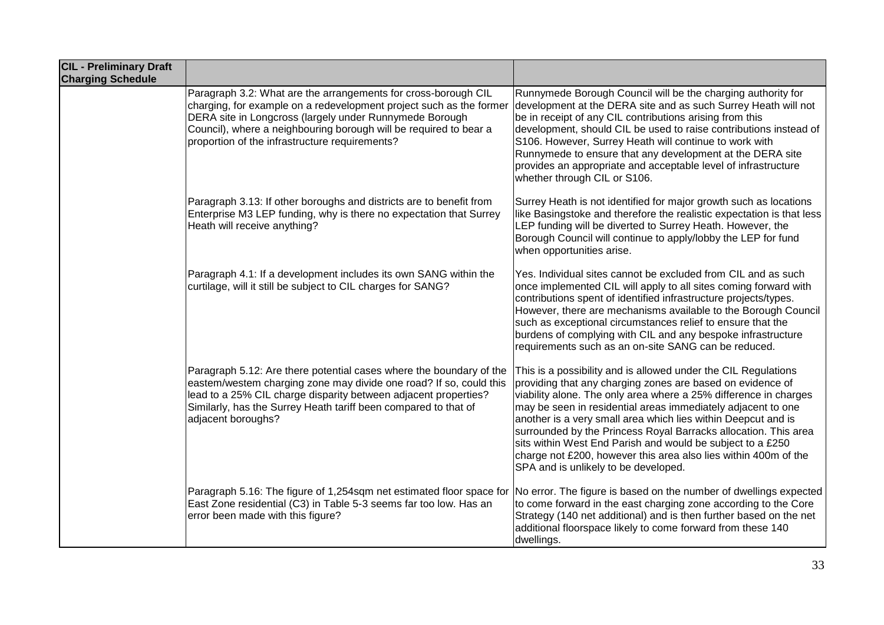| <b>CIL - Preliminary Draft</b><br><b>Charging Schedule</b> |                                                                                                                                                                                                                                                                                                                         |                                                                                                                                                                                                                                                                                                                                                                                                                                                                                                                                                                               |
|------------------------------------------------------------|-------------------------------------------------------------------------------------------------------------------------------------------------------------------------------------------------------------------------------------------------------------------------------------------------------------------------|-------------------------------------------------------------------------------------------------------------------------------------------------------------------------------------------------------------------------------------------------------------------------------------------------------------------------------------------------------------------------------------------------------------------------------------------------------------------------------------------------------------------------------------------------------------------------------|
|                                                            | Paragraph 3.2: What are the arrangements for cross-borough CIL<br>charging, for example on a redevelopment project such as the former<br>DERA site in Longcross (largely under Runnymede Borough<br>Council), where a neighbouring borough will be required to bear a<br>proportion of the infrastructure requirements? | Runnymede Borough Council will be the charging authority for<br>development at the DERA site and as such Surrey Heath will not<br>be in receipt of any CIL contributions arising from this<br>development, should CIL be used to raise contributions instead of<br>S106. However, Surrey Heath will continue to work with<br>Runnymede to ensure that any development at the DERA site<br>provides an appropriate and acceptable level of infrastructure<br>whether through CIL or S106.                                                                                      |
|                                                            | Paragraph 3.13: If other boroughs and districts are to benefit from<br>Enterprise M3 LEP funding, why is there no expectation that Surrey<br>Heath will receive anything?                                                                                                                                               | Surrey Heath is not identified for major growth such as locations<br>like Basingstoke and therefore the realistic expectation is that less<br>LEP funding will be diverted to Surrey Heath. However, the<br>Borough Council will continue to apply/lobby the LEP for fund<br>when opportunities arise.                                                                                                                                                                                                                                                                        |
|                                                            | Paragraph 4.1: If a development includes its own SANG within the<br>curtilage, will it still be subject to CIL charges for SANG?                                                                                                                                                                                        | Yes. Individual sites cannot be excluded from CIL and as such<br>once implemented CIL will apply to all sites coming forward with<br>contributions spent of identified infrastructure projects/types.<br>However, there are mechanisms available to the Borough Council<br>such as exceptional circumstances relief to ensure that the<br>burdens of complying with CIL and any bespoke infrastructure<br>requirements such as an on-site SANG can be reduced.                                                                                                                |
|                                                            | Paragraph 5.12: Are there potential cases where the boundary of the<br>eastem/westem charging zone may divide one road? If so, could this<br>lead to a 25% CIL charge disparity between adjacent properties?<br>Similarly, has the Surrey Heath tariff been compared to that of<br>adjacent boroughs?                   | This is a possibility and is allowed under the CIL Regulations<br>providing that any charging zones are based on evidence of<br>viability alone. The only area where a 25% difference in charges<br>may be seen in residential areas immediately adjacent to one<br>another is a very small area which lies within Deepcut and is<br>surrounded by the Princess Royal Barracks allocation. This area<br>sits within West End Parish and would be subject to a £250<br>charge not £200, however this area also lies within 400m of the<br>SPA and is unlikely to be developed. |
|                                                            | Paragraph 5.16: The figure of 1,254sqm net estimated floor space for<br>East Zone residential (C3) in Table 5-3 seems far too low. Has an<br>error been made with this figure?                                                                                                                                          | No error. The figure is based on the number of dwellings expected<br>to come forward in the east charging zone according to the Core<br>Strategy (140 net additional) and is then further based on the net<br>additional floorspace likely to come forward from these 140<br>dwellings.                                                                                                                                                                                                                                                                                       |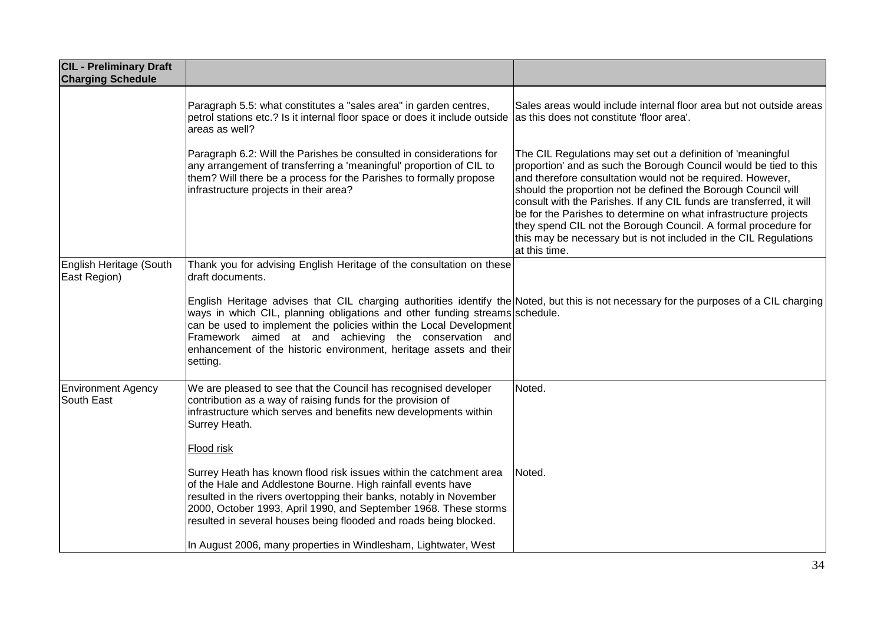| <b>CIL - Preliminary Draft</b><br><b>Charging Schedule</b> |                                                                                                                                                                                                                                                                                                                                                                                                                                         |                                                                                                                                                                                                                                                                                                                                                                                                                                                                                                                                                                    |
|------------------------------------------------------------|-----------------------------------------------------------------------------------------------------------------------------------------------------------------------------------------------------------------------------------------------------------------------------------------------------------------------------------------------------------------------------------------------------------------------------------------|--------------------------------------------------------------------------------------------------------------------------------------------------------------------------------------------------------------------------------------------------------------------------------------------------------------------------------------------------------------------------------------------------------------------------------------------------------------------------------------------------------------------------------------------------------------------|
|                                                            | Paragraph 5.5: what constitutes a "sales area" in garden centres,<br>petrol stations etc.? Is it internal floor space or does it include outside<br>areas as well?                                                                                                                                                                                                                                                                      | Sales areas would include internal floor area but not outside areas<br>as this does not constitute 'floor area'.                                                                                                                                                                                                                                                                                                                                                                                                                                                   |
|                                                            | Paragraph 6.2: Will the Parishes be consulted in considerations for<br>any arrangement of transferring a 'meaningful' proportion of CIL to<br>them? Will there be a process for the Parishes to formally propose<br>infrastructure projects in their area?                                                                                                                                                                              | The CIL Regulations may set out a definition of 'meaningful<br>proportion' and as such the Borough Council would be tied to this<br>and therefore consultation would not be required. However,<br>should the proportion not be defined the Borough Council will<br>consult with the Parishes. If any CIL funds are transferred, it will<br>be for the Parishes to determine on what infrastructure projects<br>they spend CIL not the Borough Council. A formal procedure for<br>this may be necessary but is not included in the CIL Regulations<br>at this time. |
| English Heritage (South<br>East Region)                    | Thank you for advising English Heritage of the consultation on these<br>draft documents.                                                                                                                                                                                                                                                                                                                                                |                                                                                                                                                                                                                                                                                                                                                                                                                                                                                                                                                                    |
|                                                            | English Heritage advises that CIL charging authorities identify the Noted, but this is not necessary for the purposes of a CIL charging<br>ways in which CIL, planning obligations and other funding streams schedule.<br>can be used to implement the policies within the Local Development<br>Framework aimed at and achieving the conservation and<br>enhancement of the historic environment, heritage assets and their<br>setting. |                                                                                                                                                                                                                                                                                                                                                                                                                                                                                                                                                                    |
| <b>Environment Agency</b><br>South East                    | We are pleased to see that the Council has recognised developer<br>contribution as a way of raising funds for the provision of<br>infrastructure which serves and benefits new developments within<br>Surrey Heath.                                                                                                                                                                                                                     | Noted.                                                                                                                                                                                                                                                                                                                                                                                                                                                                                                                                                             |
|                                                            | Flood risk                                                                                                                                                                                                                                                                                                                                                                                                                              |                                                                                                                                                                                                                                                                                                                                                                                                                                                                                                                                                                    |
|                                                            | Surrey Heath has known flood risk issues within the catchment area<br>of the Hale and Addlestone Bourne. High rainfall events have<br>resulted in the rivers overtopping their banks, notably in November<br>2000, October 1993, April 1990, and September 1968. These storms<br>resulted in several houses being flooded and roads being blocked.                                                                                      | Noted.                                                                                                                                                                                                                                                                                                                                                                                                                                                                                                                                                             |
|                                                            | In August 2006, many properties in Windlesham, Lightwater, West                                                                                                                                                                                                                                                                                                                                                                         |                                                                                                                                                                                                                                                                                                                                                                                                                                                                                                                                                                    |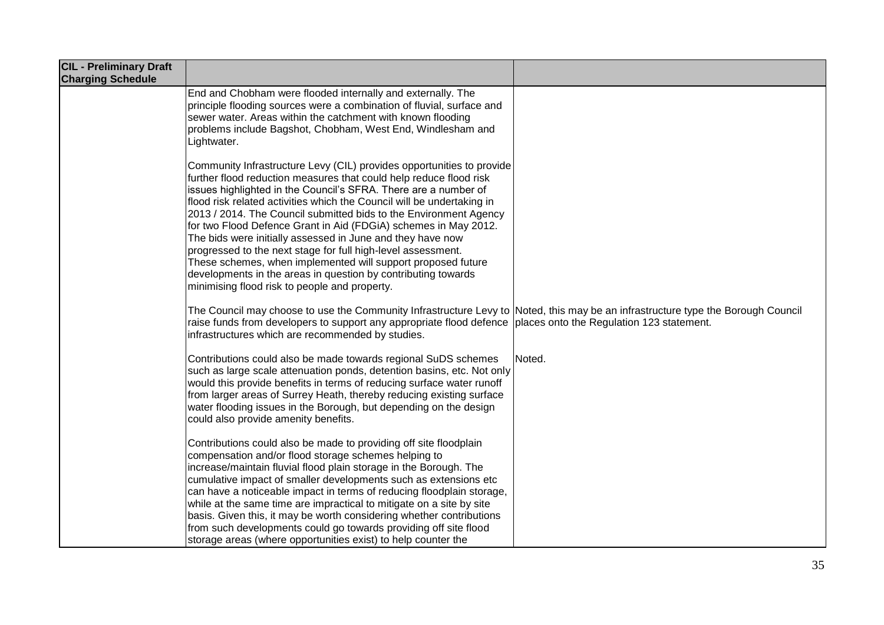| <b>CIL - Preliminary Draft</b><br><b>Charging Schedule</b> |                                                                                                                                                                                                                                                                                                                                                                                                                                                                                                                                                                                                                                                                                                                                                  |        |
|------------------------------------------------------------|--------------------------------------------------------------------------------------------------------------------------------------------------------------------------------------------------------------------------------------------------------------------------------------------------------------------------------------------------------------------------------------------------------------------------------------------------------------------------------------------------------------------------------------------------------------------------------------------------------------------------------------------------------------------------------------------------------------------------------------------------|--------|
|                                                            | End and Chobham were flooded internally and externally. The<br>principle flooding sources were a combination of fluvial, surface and<br>sewer water. Areas within the catchment with known flooding<br>problems include Bagshot, Chobham, West End, Windlesham and<br>Lightwater.                                                                                                                                                                                                                                                                                                                                                                                                                                                                |        |
|                                                            | Community Infrastructure Levy (CIL) provides opportunities to provide<br>further flood reduction measures that could help reduce flood risk<br>issues highlighted in the Council's SFRA. There are a number of<br>flood risk related activities which the Council will be undertaking in<br>2013 / 2014. The Council submitted bids to the Environment Agency<br>for two Flood Defence Grant in Aid (FDGiA) schemes in May 2012.<br>The bids were initially assessed in June and they have now<br>progressed to the next stage for full high-level assessment.<br>These schemes, when implemented will support proposed future<br>developments in the areas in question by contributing towards<br>minimising flood risk to people and property. |        |
|                                                            | The Council may choose to use the Community Infrastructure Levy to Noted, this may be an infrastructure type the Borough Council<br>raise funds from developers to support any appropriate flood defence places onto the Regulation 123 statement.<br>infrastructures which are recommended by studies.                                                                                                                                                                                                                                                                                                                                                                                                                                          |        |
|                                                            | Contributions could also be made towards regional SuDS schemes<br>such as large scale attenuation ponds, detention basins, etc. Not only<br>would this provide benefits in terms of reducing surface water runoff<br>from larger areas of Surrey Heath, thereby reducing existing surface<br>water flooding issues in the Borough, but depending on the design<br>could also provide amenity benefits.                                                                                                                                                                                                                                                                                                                                           | Noted. |
|                                                            | Contributions could also be made to providing off site floodplain<br>compensation and/or flood storage schemes helping to<br>increase/maintain fluvial flood plain storage in the Borough. The<br>cumulative impact of smaller developments such as extensions etc<br>can have a noticeable impact in terms of reducing floodplain storage,<br>while at the same time are impractical to mitigate on a site by site<br>basis. Given this, it may be worth considering whether contributions<br>from such developments could go towards providing off site flood<br>storage areas (where opportunities exist) to help counter the                                                                                                                 |        |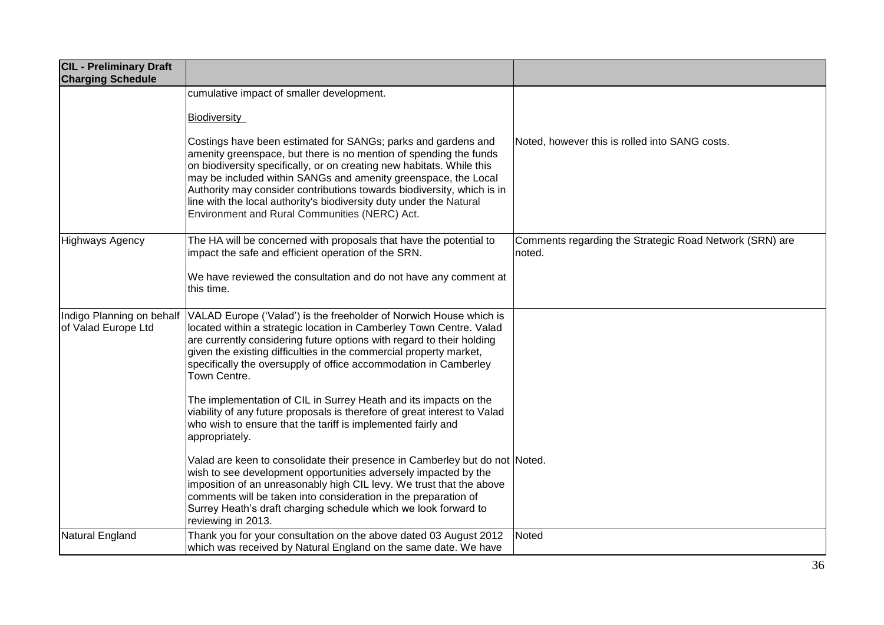| <b>CIL - Preliminary Draft</b><br><b>Charging Schedule</b> |                                                                                                                                                                                                                                                                                                                                                                                                                                                                                 |                                                                   |
|------------------------------------------------------------|---------------------------------------------------------------------------------------------------------------------------------------------------------------------------------------------------------------------------------------------------------------------------------------------------------------------------------------------------------------------------------------------------------------------------------------------------------------------------------|-------------------------------------------------------------------|
|                                                            | cumulative impact of smaller development.                                                                                                                                                                                                                                                                                                                                                                                                                                       |                                                                   |
|                                                            | <b>Biodiversity</b>                                                                                                                                                                                                                                                                                                                                                                                                                                                             |                                                                   |
|                                                            | Costings have been estimated for SANGs; parks and gardens and<br>amenity greenspace, but there is no mention of spending the funds<br>on biodiversity specifically, or on creating new habitats. While this<br>may be included within SANGs and amenity greenspace, the Local<br>Authority may consider contributions towards biodiversity, which is in<br>line with the local authority's biodiversity duty under the Natural<br>Environment and Rural Communities (NERC) Act. | Noted, however this is rolled into SANG costs.                    |
| Highways Agency                                            | The HA will be concerned with proposals that have the potential to<br>impact the safe and efficient operation of the SRN.                                                                                                                                                                                                                                                                                                                                                       | Comments regarding the Strategic Road Network (SRN) are<br>noted. |
|                                                            | We have reviewed the consultation and do not have any comment at<br>this time.                                                                                                                                                                                                                                                                                                                                                                                                  |                                                                   |
| Indigo Planning on behalf<br>of Valad Europe Ltd           | VALAD Europe ('Valad') is the freeholder of Norwich House which is<br>located within a strategic location in Camberley Town Centre. Valad<br>are currently considering future options with regard to their holding<br>given the existing difficulties in the commercial property market,<br>specifically the oversupply of office accommodation in Camberley<br>Town Centre.                                                                                                    |                                                                   |
|                                                            | The implementation of CIL in Surrey Heath and its impacts on the<br>viability of any future proposals is therefore of great interest to Valad<br>who wish to ensure that the tariff is implemented fairly and<br>appropriately.                                                                                                                                                                                                                                                 |                                                                   |
|                                                            | Valad are keen to consolidate their presence in Camberley but do not Noted.<br>wish to see development opportunities adversely impacted by the<br>imposition of an unreasonably high CIL levy. We trust that the above<br>comments will be taken into consideration in the preparation of<br>Surrey Heath's draft charging schedule which we look forward to<br>reviewing in 2013.                                                                                              |                                                                   |
| Natural England                                            | Thank you for your consultation on the above dated 03 August 2012<br>which was received by Natural England on the same date. We have                                                                                                                                                                                                                                                                                                                                            | Noted                                                             |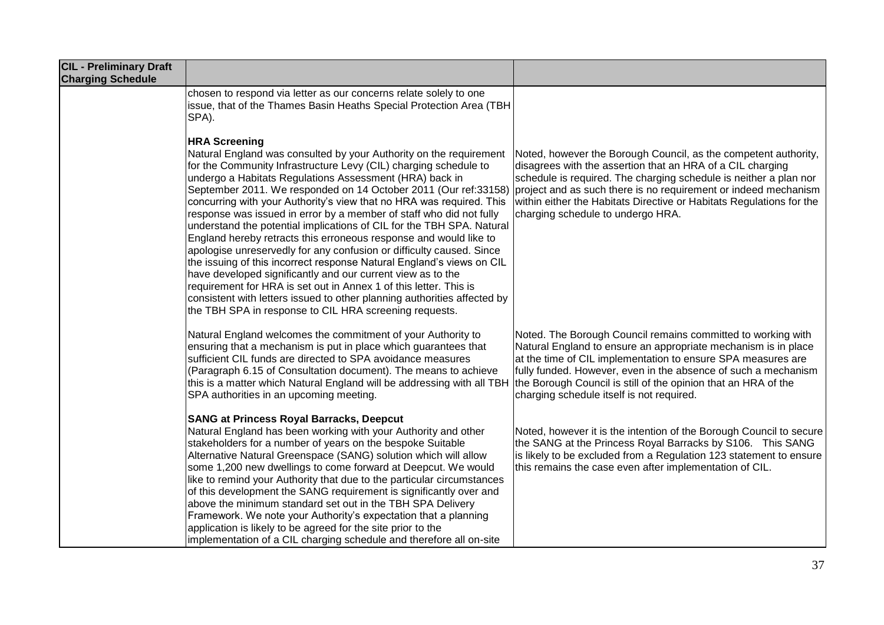| <b>CIL - Preliminary Draft</b><br><b>Charging Schedule</b> |                                                                                                                                                                                                                                                                                                                                                                                                                                                                                                                                                                                                                                                                                                                                                                                                                                                                                                                                                                                                                      |                                                                                                                                                                                                                                                                                                                                                                                    |
|------------------------------------------------------------|----------------------------------------------------------------------------------------------------------------------------------------------------------------------------------------------------------------------------------------------------------------------------------------------------------------------------------------------------------------------------------------------------------------------------------------------------------------------------------------------------------------------------------------------------------------------------------------------------------------------------------------------------------------------------------------------------------------------------------------------------------------------------------------------------------------------------------------------------------------------------------------------------------------------------------------------------------------------------------------------------------------------|------------------------------------------------------------------------------------------------------------------------------------------------------------------------------------------------------------------------------------------------------------------------------------------------------------------------------------------------------------------------------------|
|                                                            | chosen to respond via letter as our concerns relate solely to one<br>issue, that of the Thames Basin Heaths Special Protection Area (TBH<br>SPA).                                                                                                                                                                                                                                                                                                                                                                                                                                                                                                                                                                                                                                                                                                                                                                                                                                                                    |                                                                                                                                                                                                                                                                                                                                                                                    |
|                                                            | <b>HRA Screening</b><br>Natural England was consulted by your Authority on the requirement<br>for the Community Infrastructure Levy (CIL) charging schedule to<br>undergo a Habitats Regulations Assessment (HRA) back in<br>September 2011. We responded on 14 October 2011 (Our ref:33158)<br>concurring with your Authority's view that no HRA was required. This<br>response was issued in error by a member of staff who did not fully<br>understand the potential implications of CIL for the TBH SPA. Natural<br>England hereby retracts this erroneous response and would like to<br>apologise unreservedly for any confusion or difficulty caused. Since<br>the issuing of this incorrect response Natural England's views on CIL<br>have developed significantly and our current view as to the<br>requirement for HRA is set out in Annex 1 of this letter. This is<br>consistent with letters issued to other planning authorities affected by<br>the TBH SPA in response to CIL HRA screening requests. | Noted, however the Borough Council, as the competent authority,<br>disagrees with the assertion that an HRA of a CIL charging<br>schedule is required. The charging schedule is neither a plan nor<br>project and as such there is no requirement or indeed mechanism<br>within either the Habitats Directive or Habitats Regulations for the<br>charging schedule to undergo HRA. |
|                                                            | Natural England welcomes the commitment of your Authority to<br>ensuring that a mechanism is put in place which guarantees that<br>sufficient CIL funds are directed to SPA avoidance measures<br>(Paragraph 6.15 of Consultation document). The means to achieve<br>this is a matter which Natural England will be addressing with all TBH<br>SPA authorities in an upcoming meeting.                                                                                                                                                                                                                                                                                                                                                                                                                                                                                                                                                                                                                               | Noted. The Borough Council remains committed to working with<br>Natural England to ensure an appropriate mechanism is in place<br>at the time of CIL implementation to ensure SPA measures are<br>fully funded. However, even in the absence of such a mechanism<br>the Borough Council is still of the opinion that an HRA of the<br>charging schedule itself is not required.    |
|                                                            | <b>SANG at Princess Royal Barracks, Deepcut</b><br>Natural England has been working with your Authority and other<br>stakeholders for a number of years on the bespoke Suitable<br>Alternative Natural Greenspace (SANG) solution which will allow<br>some 1,200 new dwellings to come forward at Deepcut. We would<br>like to remind your Authority that due to the particular circumstances<br>of this development the SANG requirement is significantly over and<br>above the minimum standard set out in the TBH SPA Delivery<br>Framework. We note your Authority's expectation that a planning<br>application is likely to be agreed for the site prior to the<br>implementation of a CIL charging schedule and therefore all on-site                                                                                                                                                                                                                                                                          | Noted, however it is the intention of the Borough Council to secure<br>the SANG at the Princess Royal Barracks by S106. This SANG<br>is likely to be excluded from a Regulation 123 statement to ensure<br>this remains the case even after implementation of CIL.                                                                                                                 |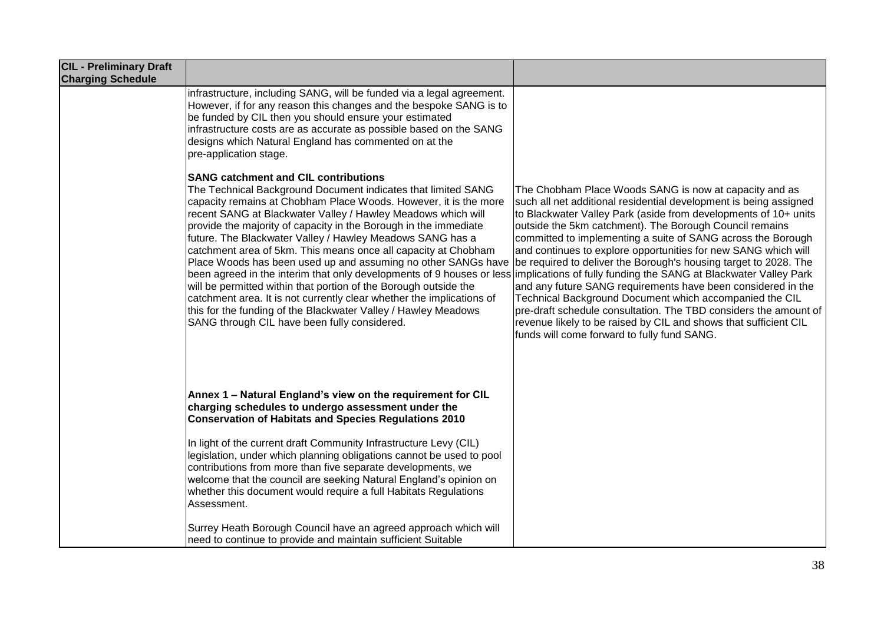| <b>CIL - Preliminary Draft</b><br><b>Charging Schedule</b> |                                                                                                                                                                                                                                                                                                                                                                                                                                                                                                                                                                                                                                                                                                                                                                                                                                                                                                                               |                                                                                                                                                                                                                                                                                                                                                                                                                                                                                                                                                                                                                                                                                                                                                                                   |
|------------------------------------------------------------|-------------------------------------------------------------------------------------------------------------------------------------------------------------------------------------------------------------------------------------------------------------------------------------------------------------------------------------------------------------------------------------------------------------------------------------------------------------------------------------------------------------------------------------------------------------------------------------------------------------------------------------------------------------------------------------------------------------------------------------------------------------------------------------------------------------------------------------------------------------------------------------------------------------------------------|-----------------------------------------------------------------------------------------------------------------------------------------------------------------------------------------------------------------------------------------------------------------------------------------------------------------------------------------------------------------------------------------------------------------------------------------------------------------------------------------------------------------------------------------------------------------------------------------------------------------------------------------------------------------------------------------------------------------------------------------------------------------------------------|
|                                                            | infrastructure, including SANG, will be funded via a legal agreement.<br>However, if for any reason this changes and the bespoke SANG is to<br>be funded by CIL then you should ensure your estimated<br>infrastructure costs are as accurate as possible based on the SANG<br>designs which Natural England has commented on at the<br>pre-application stage.                                                                                                                                                                                                                                                                                                                                                                                                                                                                                                                                                                |                                                                                                                                                                                                                                                                                                                                                                                                                                                                                                                                                                                                                                                                                                                                                                                   |
|                                                            | <b>SANG catchment and CIL contributions</b><br>The Technical Background Document indicates that limited SANG<br>capacity remains at Chobham Place Woods. However, it is the more<br>recent SANG at Blackwater Valley / Hawley Meadows which will<br>provide the majority of capacity in the Borough in the immediate<br>future. The Blackwater Valley / Hawley Meadows SANG has a<br>catchment area of 5km. This means once all capacity at Chobham<br>Place Woods has been used up and assuming no other SANGs have<br>been agreed in the interim that only developments of 9 houses or less implications of fully funding the SANG at Blackwater Valley Park<br>will be permitted within that portion of the Borough outside the<br>catchment area. It is not currently clear whether the implications of<br>this for the funding of the Blackwater Valley / Hawley Meadows<br>SANG through CIL have been fully considered. | The Chobham Place Woods SANG is now at capacity and as<br>such all net additional residential development is being assigned<br>to Blackwater Valley Park (aside from developments of 10+ units<br>outside the 5km catchment). The Borough Council remains<br>committed to implementing a suite of SANG across the Borough<br>and continues to explore opportunities for new SANG which will<br>be required to deliver the Borough's housing target to 2028. The<br>and any future SANG requirements have been considered in the<br>Technical Background Document which accompanied the CIL<br>pre-draft schedule consultation. The TBD considers the amount of<br>revenue likely to be raised by CIL and shows that sufficient CIL<br>funds will come forward to fully fund SANG. |
|                                                            | Annex 1 - Natural England's view on the requirement for CIL<br>charging schedules to undergo assessment under the<br><b>Conservation of Habitats and Species Regulations 2010</b><br>In light of the current draft Community Infrastructure Levy (CIL)<br>legislation, under which planning obligations cannot be used to pool<br>contributions from more than five separate developments, we<br>welcome that the council are seeking Natural England's opinion on<br>whether this document would require a full Habitats Regulations<br>Assessment.                                                                                                                                                                                                                                                                                                                                                                          |                                                                                                                                                                                                                                                                                                                                                                                                                                                                                                                                                                                                                                                                                                                                                                                   |
|                                                            | Surrey Heath Borough Council have an agreed approach which will<br>need to continue to provide and maintain sufficient Suitable                                                                                                                                                                                                                                                                                                                                                                                                                                                                                                                                                                                                                                                                                                                                                                                               |                                                                                                                                                                                                                                                                                                                                                                                                                                                                                                                                                                                                                                                                                                                                                                                   |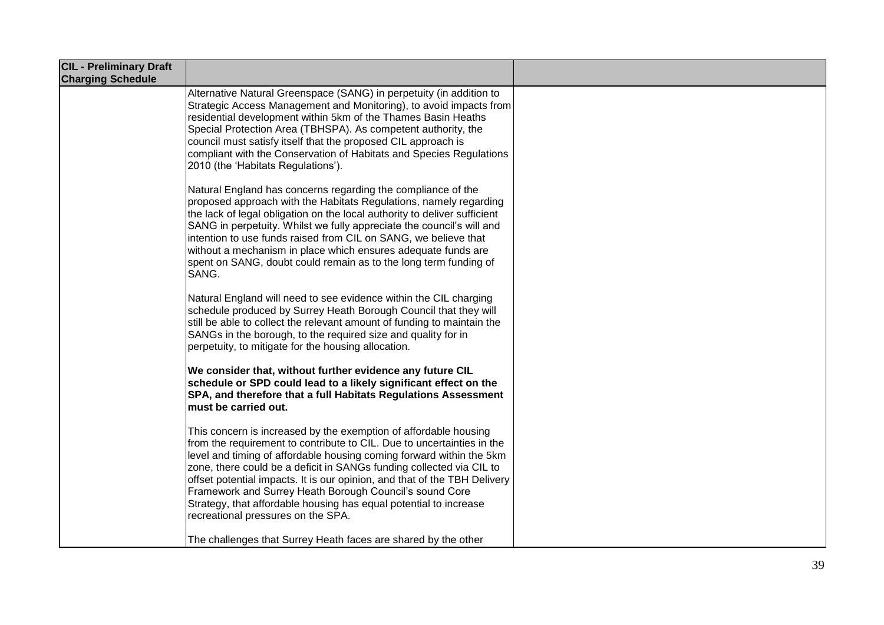| <b>CIL - Preliminary Draft</b><br><b>Charging Schedule</b> |                                                                                                                                                                                                                                                                                                                                                                                                                                                                                                                                               |  |
|------------------------------------------------------------|-----------------------------------------------------------------------------------------------------------------------------------------------------------------------------------------------------------------------------------------------------------------------------------------------------------------------------------------------------------------------------------------------------------------------------------------------------------------------------------------------------------------------------------------------|--|
|                                                            | Alternative Natural Greenspace (SANG) in perpetuity (in addition to<br>Strategic Access Management and Monitoring), to avoid impacts from<br>residential development within 5km of the Thames Basin Heaths<br>Special Protection Area (TBHSPA). As competent authority, the<br>council must satisfy itself that the proposed CIL approach is<br>compliant with the Conservation of Habitats and Species Regulations<br>2010 (the 'Habitats Regulations').                                                                                     |  |
|                                                            | Natural England has concerns regarding the compliance of the<br>proposed approach with the Habitats Regulations, namely regarding<br>the lack of legal obligation on the local authority to deliver sufficient<br>SANG in perpetuity. Whilst we fully appreciate the council's will and<br>intention to use funds raised from CIL on SANG, we believe that<br>without a mechanism in place which ensures adequate funds are<br>spent on SANG, doubt could remain as to the long term funding of<br>SANG.                                      |  |
|                                                            | Natural England will need to see evidence within the CIL charging<br>schedule produced by Surrey Heath Borough Council that they will<br>still be able to collect the relevant amount of funding to maintain the<br>SANGs in the borough, to the required size and quality for in<br>perpetuity, to mitigate for the housing allocation.                                                                                                                                                                                                      |  |
|                                                            | We consider that, without further evidence any future CIL<br>schedule or SPD could lead to a likely significant effect on the<br>SPA, and therefore that a full Habitats Regulations Assessment<br>must be carried out.                                                                                                                                                                                                                                                                                                                       |  |
|                                                            | This concern is increased by the exemption of affordable housing<br>from the requirement to contribute to CIL. Due to uncertainties in the<br>level and timing of affordable housing coming forward within the 5km<br>zone, there could be a deficit in SANGs funding collected via CIL to<br>offset potential impacts. It is our opinion, and that of the TBH Delivery<br>Framework and Surrey Heath Borough Council's sound Core<br>Strategy, that affordable housing has equal potential to increase<br>recreational pressures on the SPA. |  |
|                                                            | The challenges that Surrey Heath faces are shared by the other                                                                                                                                                                                                                                                                                                                                                                                                                                                                                |  |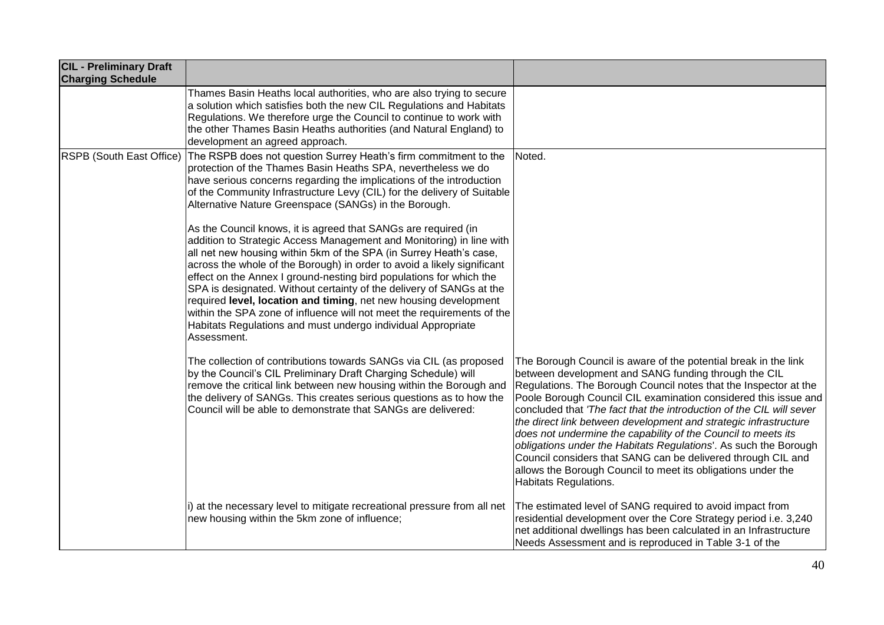| <b>CIL - Preliminary Draft</b><br><b>Charging Schedule</b> |                                                                                                                                                                                                                                                                                                                                                                                                                                                                                                                                                                                                                                                                                                                                                                                                                                                                                                                                                                                                                      |                                                                                                                                                                                                                                                                                                                                                                                                                                                                                                                                                                                                                                                                                                          |
|------------------------------------------------------------|----------------------------------------------------------------------------------------------------------------------------------------------------------------------------------------------------------------------------------------------------------------------------------------------------------------------------------------------------------------------------------------------------------------------------------------------------------------------------------------------------------------------------------------------------------------------------------------------------------------------------------------------------------------------------------------------------------------------------------------------------------------------------------------------------------------------------------------------------------------------------------------------------------------------------------------------------------------------------------------------------------------------|----------------------------------------------------------------------------------------------------------------------------------------------------------------------------------------------------------------------------------------------------------------------------------------------------------------------------------------------------------------------------------------------------------------------------------------------------------------------------------------------------------------------------------------------------------------------------------------------------------------------------------------------------------------------------------------------------------|
|                                                            | Thames Basin Heaths local authorities, who are also trying to secure<br>a solution which satisfies both the new CIL Regulations and Habitats<br>Regulations. We therefore urge the Council to continue to work with<br>the other Thames Basin Heaths authorities (and Natural England) to<br>development an agreed approach.                                                                                                                                                                                                                                                                                                                                                                                                                                                                                                                                                                                                                                                                                         |                                                                                                                                                                                                                                                                                                                                                                                                                                                                                                                                                                                                                                                                                                          |
| RSPB (South East Office)                                   | The RSPB does not question Surrey Heath's firm commitment to the<br>protection of the Thames Basin Heaths SPA, nevertheless we do<br>have serious concerns regarding the implications of the introduction<br>of the Community Infrastructure Levy (CIL) for the delivery of Suitable<br>Alternative Nature Greenspace (SANGs) in the Borough.<br>As the Council knows, it is agreed that SANGs are required (in<br>addition to Strategic Access Management and Monitoring) in line with<br>all net new housing within 5km of the SPA (in Surrey Heath's case,<br>across the whole of the Borough) in order to avoid a likely significant<br>effect on the Annex I ground-nesting bird populations for which the<br>SPA is designated. Without certainty of the delivery of SANGs at the<br>required level, location and timing, net new housing development<br>within the SPA zone of influence will not meet the requirements of the<br>Habitats Regulations and must undergo individual Appropriate<br>Assessment. | Noted.                                                                                                                                                                                                                                                                                                                                                                                                                                                                                                                                                                                                                                                                                                   |
|                                                            | The collection of contributions towards SANGs via CIL (as proposed<br>by the Council's CIL Preliminary Draft Charging Schedule) will<br>remove the critical link between new housing within the Borough and<br>the delivery of SANGs. This creates serious questions as to how the<br>Council will be able to demonstrate that SANGs are delivered:                                                                                                                                                                                                                                                                                                                                                                                                                                                                                                                                                                                                                                                                  | The Borough Council is aware of the potential break in the link<br>between development and SANG funding through the CIL<br>Regulations. The Borough Council notes that the Inspector at the<br>Poole Borough Council CIL examination considered this issue and<br>concluded that 'The fact that the introduction of the CIL will sever<br>the direct link between development and strategic infrastructure<br>does not undermine the capability of the Council to meets its<br>obligations under the Habitats Regulations'. As such the Borough<br>Council considers that SANG can be delivered through CIL and<br>allows the Borough Council to meet its obligations under the<br>Habitats Regulations. |
|                                                            | i) at the necessary level to mitigate recreational pressure from all net<br>new housing within the 5km zone of influence;                                                                                                                                                                                                                                                                                                                                                                                                                                                                                                                                                                                                                                                                                                                                                                                                                                                                                            | The estimated level of SANG required to avoid impact from<br>residential development over the Core Strategy period i.e. 3,240<br>net additional dwellings has been calculated in an Infrastructure<br>Needs Assessment and is reproduced in Table 3-1 of the                                                                                                                                                                                                                                                                                                                                                                                                                                             |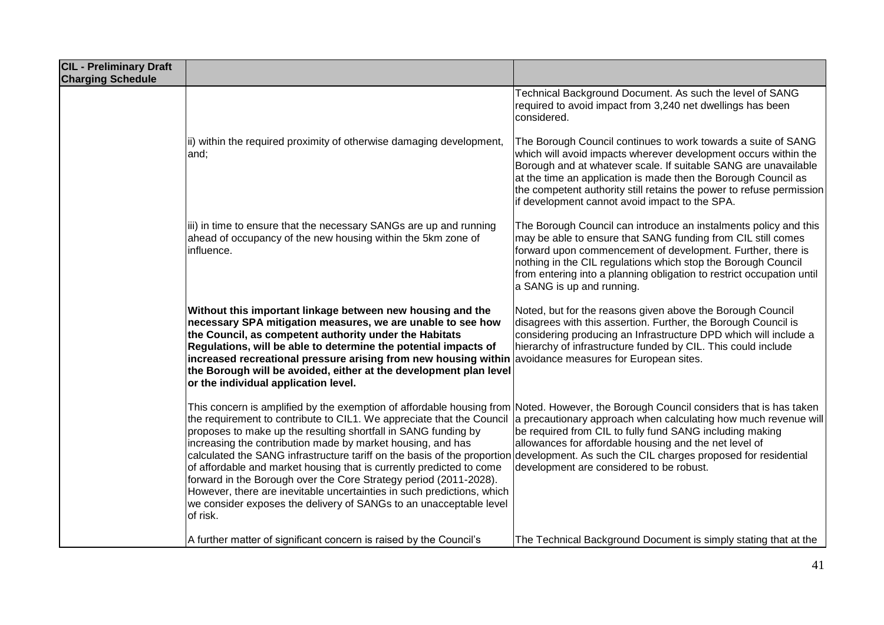| <b>CIL - Preliminary Draft</b><br><b>Charging Schedule</b> |                                                                                                                                                                                                                                                                                                                                                                                                                                                                                                                                                                                                                                                                                                                                      |                                                                                                                                                                                                                                                                                                                                                                                                 |
|------------------------------------------------------------|--------------------------------------------------------------------------------------------------------------------------------------------------------------------------------------------------------------------------------------------------------------------------------------------------------------------------------------------------------------------------------------------------------------------------------------------------------------------------------------------------------------------------------------------------------------------------------------------------------------------------------------------------------------------------------------------------------------------------------------|-------------------------------------------------------------------------------------------------------------------------------------------------------------------------------------------------------------------------------------------------------------------------------------------------------------------------------------------------------------------------------------------------|
|                                                            |                                                                                                                                                                                                                                                                                                                                                                                                                                                                                                                                                                                                                                                                                                                                      | Technical Background Document. As such the level of SANG<br>required to avoid impact from 3,240 net dwellings has been<br>lconsidered.                                                                                                                                                                                                                                                          |
|                                                            | ii) within the required proximity of otherwise damaging development,<br>and;                                                                                                                                                                                                                                                                                                                                                                                                                                                                                                                                                                                                                                                         | The Borough Council continues to work towards a suite of SANG<br>which will avoid impacts wherever development occurs within the<br>Borough and at whatever scale. If suitable SANG are unavailable<br>at the time an application is made then the Borough Council as<br>the competent authority still retains the power to refuse permission<br>if development cannot avoid impact to the SPA. |
|                                                            | iii) in time to ensure that the necessary SANGs are up and running<br>ahead of occupancy of the new housing within the 5km zone of<br>influence.                                                                                                                                                                                                                                                                                                                                                                                                                                                                                                                                                                                     | The Borough Council can introduce an instalments policy and this<br>may be able to ensure that SANG funding from CIL still comes<br>forward upon commencement of development. Further, there is<br>nothing in the CIL regulations which stop the Borough Council<br>from entering into a planning obligation to restrict occupation until<br>a SANG is up and running.                          |
|                                                            | Without this important linkage between new housing and the<br>necessary SPA mitigation measures, we are unable to see how<br>the Council, as competent authority under the Habitats<br>Regulations, will be able to determine the potential impacts of<br>increased recreational pressure arising from new housing within $\alpha$ avoidance measures for European sites.<br>the Borough will be avoided, either at the development plan level<br>or the individual application level.                                                                                                                                                                                                                                               | Noted, but for the reasons given above the Borough Council<br>disagrees with this assertion. Further, the Borough Council is<br>considering producing an Infrastructure DPD which will include a<br>hierarchy of infrastructure funded by CIL. This could include                                                                                                                               |
|                                                            | This concern is amplified by the exemption of affordable housing from Noted. However, the Borough Council considers that is has taken<br>the requirement to contribute to CIL1. We appreciate that the Council<br>proposes to make up the resulting shortfall in SANG funding by<br>increasing the contribution made by market housing, and has<br>calculated the SANG infrastructure tariff on the basis of the proportion<br>of affordable and market housing that is currently predicted to come<br>forward in the Borough over the Core Strategy period (2011-2028).<br>However, there are inevitable uncertainties in such predictions, which<br>we consider exposes the delivery of SANGs to an unacceptable level<br>of risk. | a precautionary approach when calculating how much revenue will<br>be required from CIL to fully fund SANG including making<br>allowances for affordable housing and the net level of<br>development. As such the CIL charges proposed for residential<br>development are considered to be robust.                                                                                              |
|                                                            | A further matter of significant concern is raised by the Council's                                                                                                                                                                                                                                                                                                                                                                                                                                                                                                                                                                                                                                                                   | The Technical Background Document is simply stating that at the                                                                                                                                                                                                                                                                                                                                 |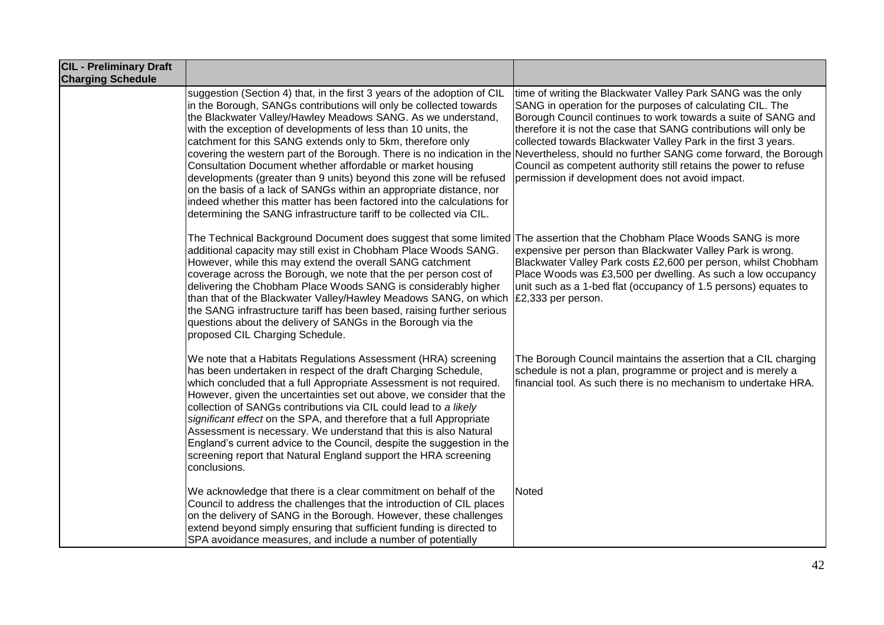| <b>CIL - Preliminary Draft</b><br><b>Charging Schedule</b> |                                                                                                                                                                                                                                                                                                                                                                                                                                                                                                                                                                                                                                                                                                                                                                                                                                                        |                                                                                                                                                                                                                                                                                                                                                                                                                                                            |
|------------------------------------------------------------|--------------------------------------------------------------------------------------------------------------------------------------------------------------------------------------------------------------------------------------------------------------------------------------------------------------------------------------------------------------------------------------------------------------------------------------------------------------------------------------------------------------------------------------------------------------------------------------------------------------------------------------------------------------------------------------------------------------------------------------------------------------------------------------------------------------------------------------------------------|------------------------------------------------------------------------------------------------------------------------------------------------------------------------------------------------------------------------------------------------------------------------------------------------------------------------------------------------------------------------------------------------------------------------------------------------------------|
|                                                            | suggestion (Section 4) that, in the first 3 years of the adoption of CIL<br>in the Borough, SANGs contributions will only be collected towards<br>the Blackwater Valley/Hawley Meadows SANG. As we understand,<br>with the exception of developments of less than 10 units, the<br>catchment for this SANG extends only to 5km, therefore only<br>covering the western part of the Borough. There is no indication in the Nevertheless, should no further SANG come forward, the Borough<br>Consultation Document whether affordable or market housing<br>developments (greater than 9 units) beyond this zone will be refused<br>on the basis of a lack of SANGs within an appropriate distance, nor<br>indeed whether this matter has been factored into the calculations for<br>determining the SANG infrastructure tariff to be collected via CIL. | time of writing the Blackwater Valley Park SANG was the only<br>SANG in operation for the purposes of calculating CIL. The<br>Borough Council continues to work towards a suite of SANG and<br>therefore it is not the case that SANG contributions will only be<br>collected towards Blackwater Valley Park in the first 3 years.<br>Council as competent authority still retains the power to refuse<br>permission if development does not avoid impact. |
|                                                            | The Technical Background Document does suggest that some limited The assertion that the Chobham Place Woods SANG is more<br>additional capacity may still exist in Chobham Place Woods SANG.<br>However, while this may extend the overall SANG catchment<br>coverage across the Borough, we note that the per person cost of<br>delivering the Chobham Place Woods SANG is considerably higher<br>than that of the Blackwater Valley/Hawley Meadows SANG, on which $\mathcal{E}2,333$ per person.<br>the SANG infrastructure tariff has been based, raising further serious<br>questions about the delivery of SANGs in the Borough via the<br>proposed CIL Charging Schedule.                                                                                                                                                                        | expensive per person than Blackwater Valley Park is wrong.<br>Blackwater Valley Park costs £2,600 per person, whilst Chobham<br>Place Woods was £3,500 per dwelling. As such a low occupancy<br>unit such as a 1-bed flat (occupancy of 1.5 persons) equates to                                                                                                                                                                                            |
|                                                            | We note that a Habitats Regulations Assessment (HRA) screening<br>has been undertaken in respect of the draft Charging Schedule,<br>which concluded that a full Appropriate Assessment is not required.<br>However, given the uncertainties set out above, we consider that the<br>collection of SANGs contributions via CIL could lead to a likely<br>significant effect on the SPA, and therefore that a full Appropriate<br>Assessment is necessary. We understand that this is also Natural<br>England's current advice to the Council, despite the suggestion in the<br>screening report that Natural England support the HRA screening<br>conclusions.                                                                                                                                                                                           | The Borough Council maintains the assertion that a CIL charging<br>schedule is not a plan, programme or project and is merely a<br>financial tool. As such there is no mechanism to undertake HRA.                                                                                                                                                                                                                                                         |
|                                                            | We acknowledge that there is a clear commitment on behalf of the<br>Council to address the challenges that the introduction of CIL places<br>on the delivery of SANG in the Borough. However, these challenges<br>extend beyond simply ensuring that sufficient funding is directed to<br>SPA avoidance measures, and include a number of potentially                                                                                                                                                                                                                                                                                                                                                                                                                                                                                                  | Noted                                                                                                                                                                                                                                                                                                                                                                                                                                                      |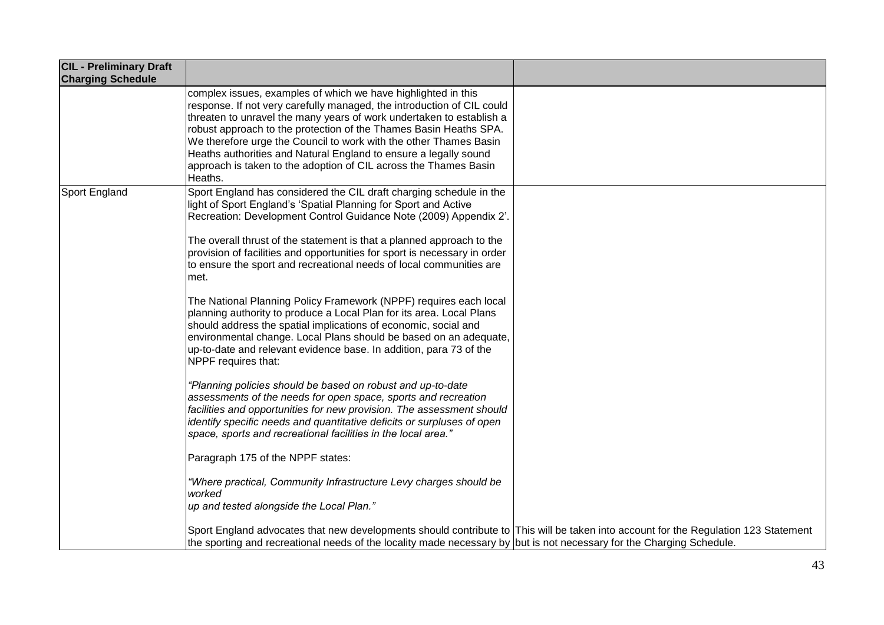| <b>CIL - Preliminary Draft</b><br><b>Charging Schedule</b> |                                                                                                                                                                                                                                                                                                                                                                                                                                                                                                              |  |
|------------------------------------------------------------|--------------------------------------------------------------------------------------------------------------------------------------------------------------------------------------------------------------------------------------------------------------------------------------------------------------------------------------------------------------------------------------------------------------------------------------------------------------------------------------------------------------|--|
|                                                            | complex issues, examples of which we have highlighted in this<br>response. If not very carefully managed, the introduction of CIL could<br>threaten to unravel the many years of work undertaken to establish a<br>robust approach to the protection of the Thames Basin Heaths SPA.<br>We therefore urge the Council to work with the other Thames Basin<br>Heaths authorities and Natural England to ensure a legally sound<br>approach is taken to the adoption of CIL across the Thames Basin<br>Heaths. |  |
| Sport England                                              | Sport England has considered the CIL draft charging schedule in the<br>light of Sport England's 'Spatial Planning for Sport and Active<br>Recreation: Development Control Guidance Note (2009) Appendix 2'.                                                                                                                                                                                                                                                                                                  |  |
|                                                            | The overall thrust of the statement is that a planned approach to the<br>provision of facilities and opportunities for sport is necessary in order<br>to ensure the sport and recreational needs of local communities are<br>met.                                                                                                                                                                                                                                                                            |  |
|                                                            | The National Planning Policy Framework (NPPF) requires each local<br>planning authority to produce a Local Plan for its area. Local Plans<br>should address the spatial implications of economic, social and<br>environmental change. Local Plans should be based on an adequate,<br>up-to-date and relevant evidence base. In addition, para 73 of the<br>NPPF requires that:                                                                                                                               |  |
|                                                            | "Planning policies should be based on robust and up-to-date<br>assessments of the needs for open space, sports and recreation<br>facilities and opportunities for new provision. The assessment should<br>identify specific needs and quantitative deficits or surpluses of open<br>space, sports and recreational facilities in the local area."                                                                                                                                                            |  |
|                                                            | Paragraph 175 of the NPPF states:                                                                                                                                                                                                                                                                                                                                                                                                                                                                            |  |
|                                                            | "Where practical, Community Infrastructure Levy charges should be<br>worked<br>up and tested alongside the Local Plan."                                                                                                                                                                                                                                                                                                                                                                                      |  |
|                                                            | Sport England advocates that new developments should contribute to This will be taken into account for the Regulation 123 Statement<br>the sporting and recreational needs of the locality made necessary by but is not necessary for the Charging Schedule.                                                                                                                                                                                                                                                 |  |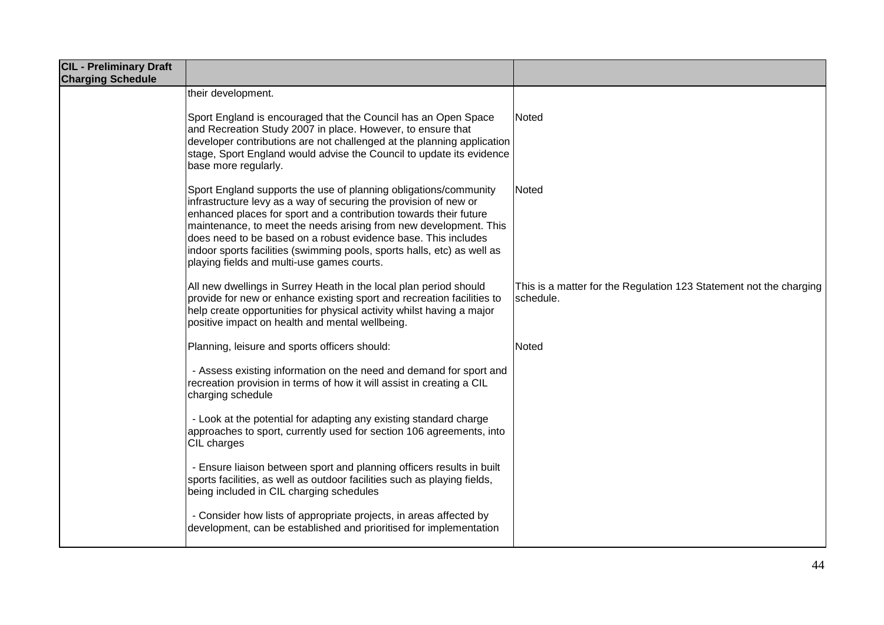| <b>CIL - Preliminary Draft</b><br><b>Charging Schedule</b> |                                                                                                                                                                                                                                                                                                                                                                                                                                                                           |                                                                                 |
|------------------------------------------------------------|---------------------------------------------------------------------------------------------------------------------------------------------------------------------------------------------------------------------------------------------------------------------------------------------------------------------------------------------------------------------------------------------------------------------------------------------------------------------------|---------------------------------------------------------------------------------|
|                                                            | their development.                                                                                                                                                                                                                                                                                                                                                                                                                                                        |                                                                                 |
|                                                            | Sport England is encouraged that the Council has an Open Space<br>and Recreation Study 2007 in place. However, to ensure that<br>developer contributions are not challenged at the planning application<br>stage, Sport England would advise the Council to update its evidence<br>base more regularly.                                                                                                                                                                   | Noted                                                                           |
|                                                            | Sport England supports the use of planning obligations/community<br>infrastructure levy as a way of securing the provision of new or<br>enhanced places for sport and a contribution towards their future<br>maintenance, to meet the needs arising from new development. This<br>does need to be based on a robust evidence base. This includes<br>indoor sports facilities (swimming pools, sports halls, etc) as well as<br>playing fields and multi-use games courts. | <b>Noted</b>                                                                    |
|                                                            | All new dwellings in Surrey Heath in the local plan period should<br>provide for new or enhance existing sport and recreation facilities to<br>help create opportunities for physical activity whilst having a major<br>positive impact on health and mental wellbeing.                                                                                                                                                                                                   | This is a matter for the Regulation 123 Statement not the charging<br>schedule. |
|                                                            | Planning, leisure and sports officers should:                                                                                                                                                                                                                                                                                                                                                                                                                             | Noted                                                                           |
|                                                            | - Assess existing information on the need and demand for sport and<br>recreation provision in terms of how it will assist in creating a CIL<br>charging schedule                                                                                                                                                                                                                                                                                                          |                                                                                 |
|                                                            | - Look at the potential for adapting any existing standard charge<br>approaches to sport, currently used for section 106 agreements, into<br>CIL charges                                                                                                                                                                                                                                                                                                                  |                                                                                 |
|                                                            | - Ensure liaison between sport and planning officers results in built<br>sports facilities, as well as outdoor facilities such as playing fields,<br>being included in CIL charging schedules                                                                                                                                                                                                                                                                             |                                                                                 |
|                                                            | - Consider how lists of appropriate projects, in areas affected by<br>development, can be established and prioritised for implementation                                                                                                                                                                                                                                                                                                                                  |                                                                                 |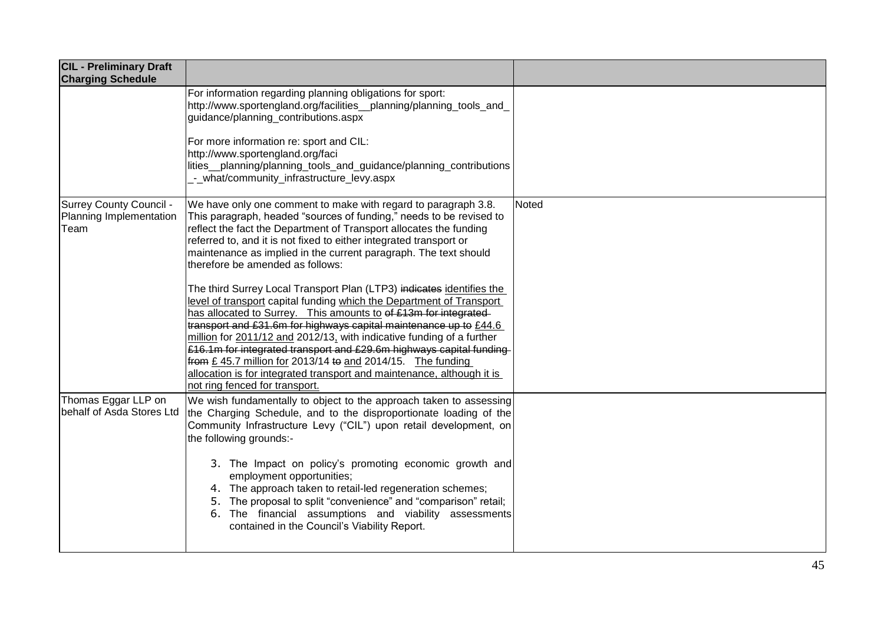| <b>CIL - Preliminary Draft</b><br><b>Charging Schedule</b>        |                                                                                                                                                                                                                                                                                                                                                                                                                                                                                                                                                                                                                  |       |
|-------------------------------------------------------------------|------------------------------------------------------------------------------------------------------------------------------------------------------------------------------------------------------------------------------------------------------------------------------------------------------------------------------------------------------------------------------------------------------------------------------------------------------------------------------------------------------------------------------------------------------------------------------------------------------------------|-------|
|                                                                   | For information regarding planning obligations for sport:<br>http://www.sportengland.org/facilities__planning/planning_tools_and_<br>guidance/planning contributions.aspx                                                                                                                                                                                                                                                                                                                                                                                                                                        |       |
|                                                                   | For more information re: sport and CIL:<br>http://www.sportengland.org/faci<br>lities_planning/planning_tools_and_guidance/planning_contributions<br>- what/community_infrastructure_levy.aspx                                                                                                                                                                                                                                                                                                                                                                                                                   |       |
| <b>Surrey County Council -</b><br>Planning Implementation<br>Team | We have only one comment to make with regard to paragraph 3.8.<br>This paragraph, headed "sources of funding," needs to be revised to<br>reflect the fact the Department of Transport allocates the funding<br>referred to, and it is not fixed to either integrated transport or<br>maintenance as implied in the current paragraph. The text should<br>therefore be amended as follows:                                                                                                                                                                                                                        | Noted |
|                                                                   | The third Surrey Local Transport Plan (LTP3) indicates identifies the<br>level of transport capital funding which the Department of Transport<br>has allocated to Surrey. This amounts to of £13m for integrated<br>transport and £31.6m for highways capital maintenance up to £44.6<br>million for 2011/12 and 2012/13, with indicative funding of a further<br>£16.1m for integrated transport and £29.6m highways capital funding-<br>from £45.7 million for 2013/14 to and 2014/15. The funding<br>allocation is for integrated transport and maintenance, although it is<br>not ring fenced for transport. |       |
| Thomas Eggar LLP on<br>behalf of Asda Stores Ltd                  | We wish fundamentally to object to the approach taken to assessing<br>the Charging Schedule, and to the disproportionate loading of the<br>Community Infrastructure Levy ("CIL") upon retail development, on<br>the following grounds:-                                                                                                                                                                                                                                                                                                                                                                          |       |
|                                                                   | 3. The Impact on policy's promoting economic growth and<br>employment opportunities;<br>4. The approach taken to retail-led regeneration schemes;<br>5. The proposal to split "convenience" and "comparison" retail;<br>6. The financial assumptions and viability assessments<br>contained in the Council's Viability Report.                                                                                                                                                                                                                                                                                   |       |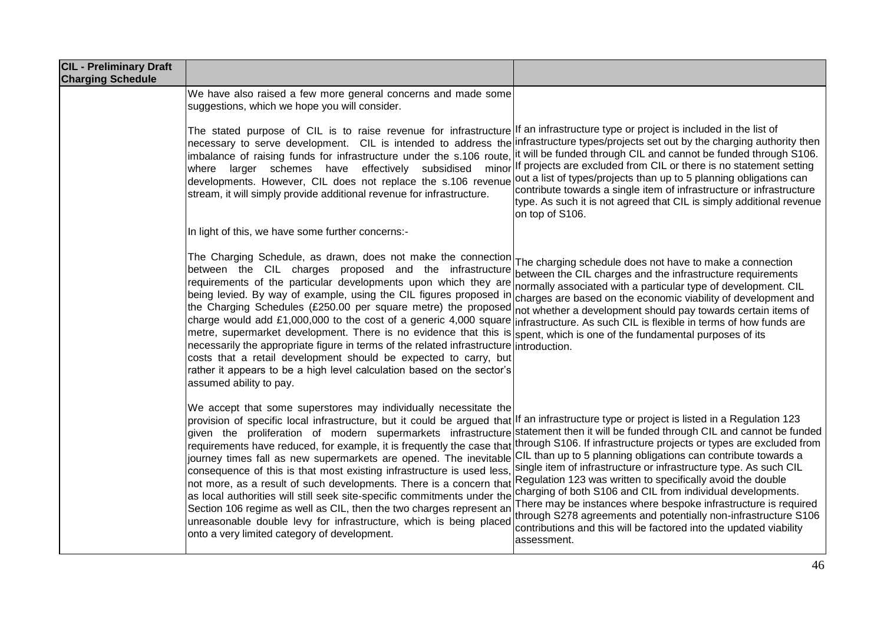| <b>CIL - Preliminary Draft</b><br><b>Charging Schedule</b> |                                                                                                                                                                                                                                                                                                                                                                                                                                                                                                                                                                                                                                                                                                                                                                                                                                                                                                                               |                                                                                                                                                                                                                                                                                                                                                                                                                                                                                                                                                                   |
|------------------------------------------------------------|-------------------------------------------------------------------------------------------------------------------------------------------------------------------------------------------------------------------------------------------------------------------------------------------------------------------------------------------------------------------------------------------------------------------------------------------------------------------------------------------------------------------------------------------------------------------------------------------------------------------------------------------------------------------------------------------------------------------------------------------------------------------------------------------------------------------------------------------------------------------------------------------------------------------------------|-------------------------------------------------------------------------------------------------------------------------------------------------------------------------------------------------------------------------------------------------------------------------------------------------------------------------------------------------------------------------------------------------------------------------------------------------------------------------------------------------------------------------------------------------------------------|
|                                                            | We have also raised a few more general concerns and made some<br>suggestions, which we hope you will consider.                                                                                                                                                                                                                                                                                                                                                                                                                                                                                                                                                                                                                                                                                                                                                                                                                |                                                                                                                                                                                                                                                                                                                                                                                                                                                                                                                                                                   |
|                                                            | The stated purpose of CIL is to raise revenue for infrastructure If an infrastructure type or project is included in the list of<br>necessary to serve development. CIL is intended to address the infrastructure types/projects set out by the charging authority then<br>imbalance of raising funds for infrastructure under the s.106 route, it will be funded through CIL and cannot be funded through S106.<br>where larger schemes have effectively subsidised minor<br>developments. However, CIL does not replace the s.106 revenue<br>stream, it will simply provide additional revenue for infrastructure.                                                                                                                                                                                                                                                                                                          | If projects are excluded from CIL or there is no statement setting<br>out a list of types/projects than up to 5 planning obligations can<br>contribute towards a single item of infrastructure or infrastructure<br>type. As such it is not agreed that CIL is simply additional revenue<br>on top of S106.                                                                                                                                                                                                                                                       |
|                                                            | In light of this, we have some further concerns:-                                                                                                                                                                                                                                                                                                                                                                                                                                                                                                                                                                                                                                                                                                                                                                                                                                                                             |                                                                                                                                                                                                                                                                                                                                                                                                                                                                                                                                                                   |
|                                                            | The Charging Schedule, as drawn, does not make the connection<br>between the CIL charges proposed and the infrastructure<br>requirements of the particular developments upon which they are<br>being levied. By way of example, using the CIL figures proposed in<br>the Charging Schedules (£250.00 per square metre) the proposed<br>charge would add £1,000,000 to the cost of a generic 4,000 square infrastructure. As such CIL is flexible in terms of how funds are<br>metre, supermarket development. There is no evidence that this is spent, which is one of the fundamental purposes of its<br>necessarily the appropriate figure in terms of the related infrastructure introduction.<br>costs that a retail development should be expected to carry, but<br>rather it appears to be a high level calculation based on the sector's<br>assumed ability to pay.                                                    | The charging schedule does not have to make a connection<br>between the CIL charges and the infrastructure requirements<br>normally associated with a particular type of development. CIL<br>charges are based on the economic viability of development and<br>not whether a development should pay towards certain items of                                                                                                                                                                                                                                      |
|                                                            | We accept that some superstores may individually necessitate the<br>provision of specific local infrastructure, but it could be argued that If an infrastructure type or project is listed in a Regulation 123<br>given the proliferation of modern supermarkets infrastructure<br>requirements have reduced, for example, it is frequently the case that through S106. If infrastructure projects or types are excluded from<br>journey times fall as new supermarkets are opened. The inevitable<br>consequence of this is that most existing infrastructure is used less,<br>not more, as a result of such developments. There is a concern that<br>as local authorities will still seek site-specific commitments under the<br>Section 106 regime as well as CIL, then the two charges represent an<br>unreasonable double levy for infrastructure, which is being placed<br>onto a very limited category of development. | statement then it will be funded through CIL and cannot be funded<br>CIL than up to 5 planning obligations can contribute towards a<br>single item of infrastructure or infrastructure type. As such CIL<br>Regulation 123 was written to specifically avoid the double<br>charging of both S106 and CIL from individual developments.<br>There may be instances where bespoke infrastructure is required<br>through S278 agreements and potentially non-infrastructure S106<br>contributions and this will be factored into the updated viability<br>assessment. |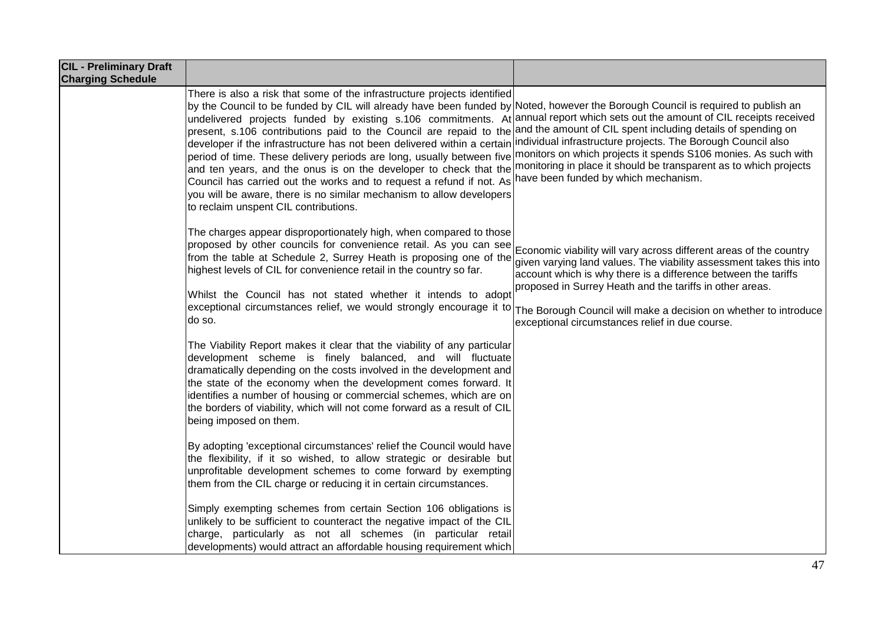| <b>CIL - Preliminary Draft</b><br><b>Charging Schedule</b> |                                                                                                                                                                                                                                                                                                                                                                                                                                                                                                                                                                                                                                                                                                                                                                                                                                                                                                                                                                    |                                                                                                                                                                                                                                                      |
|------------------------------------------------------------|--------------------------------------------------------------------------------------------------------------------------------------------------------------------------------------------------------------------------------------------------------------------------------------------------------------------------------------------------------------------------------------------------------------------------------------------------------------------------------------------------------------------------------------------------------------------------------------------------------------------------------------------------------------------------------------------------------------------------------------------------------------------------------------------------------------------------------------------------------------------------------------------------------------------------------------------------------------------|------------------------------------------------------------------------------------------------------------------------------------------------------------------------------------------------------------------------------------------------------|
|                                                            | There is also a risk that some of the infrastructure projects identified<br>by the Council to be funded by CIL will already have been funded by Noted, however the Borough Council is required to publish an<br>undelivered projects funded by existing s.106 commitments. At annual report which sets out the amount of CIL receipts received<br>present, s.106 contributions paid to the Council are repaid to the<br>developer if the infrastructure has not been delivered within a certain individual infrastructure projects. The Borough Council also<br>period of time. These delivery periods are long, usually between five monitors on which projects it spends S106 monies. As such with<br>and ten years, and the onus is on the developer to check that the<br>Council has carried out the works and to request a refund if not. As<br>you will be aware, there is no similar mechanism to allow developers<br>to reclaim unspent CIL contributions. | and the amount of CIL spent including details of spending on<br>monitoring in place it should be transparent as to which projects<br>have been funded by which mechanism.                                                                            |
|                                                            | The charges appear disproportionately high, when compared to those<br>proposed by other councils for convenience retail. As you can see Economic viability will vary across different areas of the country<br>from the table at Schedule 2, Surrey Heath is proposing one of the<br>highest levels of CIL for convenience retail in the country so far.<br>Whilst the Council has not stated whether it intends to adopt<br>exceptional circumstances relief, we would strongly encourage it to The Borough Council will make a decision on whether to introduce<br>do so.                                                                                                                                                                                                                                                                                                                                                                                         | given varying land values. The viability assessment takes this into<br>account which is why there is a difference between the tariffs<br>proposed in Surrey Heath and the tariffs in other areas.<br>exceptional circumstances relief in due course. |
|                                                            | The Viability Report makes it clear that the viability of any particular<br>development scheme is finely balanced, and will fluctuate<br>dramatically depending on the costs involved in the development and<br>the state of the economy when the development comes forward. It<br>identifies a number of housing or commercial schemes, which are on<br>the borders of viability, which will not come forward as a result of CIL<br>being imposed on them.                                                                                                                                                                                                                                                                                                                                                                                                                                                                                                        |                                                                                                                                                                                                                                                      |
|                                                            | By adopting 'exceptional circumstances' relief the Council would have<br>the flexibility, if it so wished, to allow strategic or desirable but<br>unprofitable development schemes to come forward by exempting<br>them from the CIL charge or reducing it in certain circumstances.                                                                                                                                                                                                                                                                                                                                                                                                                                                                                                                                                                                                                                                                               |                                                                                                                                                                                                                                                      |
|                                                            | Simply exempting schemes from certain Section 106 obligations is<br>unlikely to be sufficient to counteract the negative impact of the CIL<br>charge, particularly as not all schemes (in particular retail<br>developments) would attract an affordable housing requirement which                                                                                                                                                                                                                                                                                                                                                                                                                                                                                                                                                                                                                                                                                 |                                                                                                                                                                                                                                                      |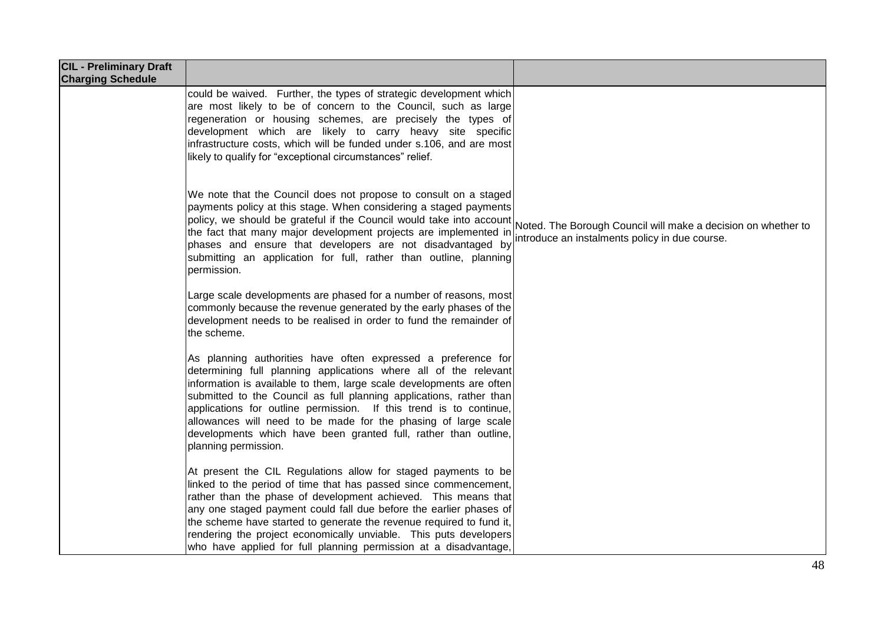| <b>CIL - Preliminary Draft</b><br><b>Charging Schedule</b> |                                                                                                                                                                                                                                                                                                                                                                                                                                                                                                                     |                                                                                                                 |
|------------------------------------------------------------|---------------------------------------------------------------------------------------------------------------------------------------------------------------------------------------------------------------------------------------------------------------------------------------------------------------------------------------------------------------------------------------------------------------------------------------------------------------------------------------------------------------------|-----------------------------------------------------------------------------------------------------------------|
|                                                            | could be waived. Further, the types of strategic development which<br>are most likely to be of concern to the Council, such as large<br>regeneration or housing schemes, are precisely the types of<br>development which are likely to carry heavy site specific<br>infrastructure costs, which will be funded under s.106, and are most<br>likely to qualify for "exceptional circumstances" relief.                                                                                                               |                                                                                                                 |
|                                                            | We note that the Council does not propose to consult on a staged<br>payments policy at this stage. When considering a staged payments<br>policy, we should be grateful if the Council would take into account<br>the fact that many major development projects are implemented in<br>phases and ensure that developers are not disadvantaged by<br>submitting an application for full, rather than outline, planning<br>permission.                                                                                 | Noted. The Borough Council will make a decision on whether to<br>introduce an instalments policy in due course. |
|                                                            | Large scale developments are phased for a number of reasons, most<br>commonly because the revenue generated by the early phases of the<br>development needs to be realised in order to fund the remainder of<br>the scheme.                                                                                                                                                                                                                                                                                         |                                                                                                                 |
|                                                            | As planning authorities have often expressed a preference for<br>determining full planning applications where all of the relevant<br>information is available to them, large scale developments are often<br>submitted to the Council as full planning applications, rather than<br>applications for outline permission. If this trend is to continue,<br>allowances will need to be made for the phasing of large scale<br>developments which have been granted full, rather than outline,<br>planning permission. |                                                                                                                 |
|                                                            | At present the CIL Regulations allow for staged payments to be<br>linked to the period of time that has passed since commencement,<br>rather than the phase of development achieved. This means that<br>any one staged payment could fall due before the earlier phases of<br>the scheme have started to generate the revenue required to fund it,<br>rendering the project economically unviable. This puts developers<br>who have applied for full planning permission at a disadvantage,                         |                                                                                                                 |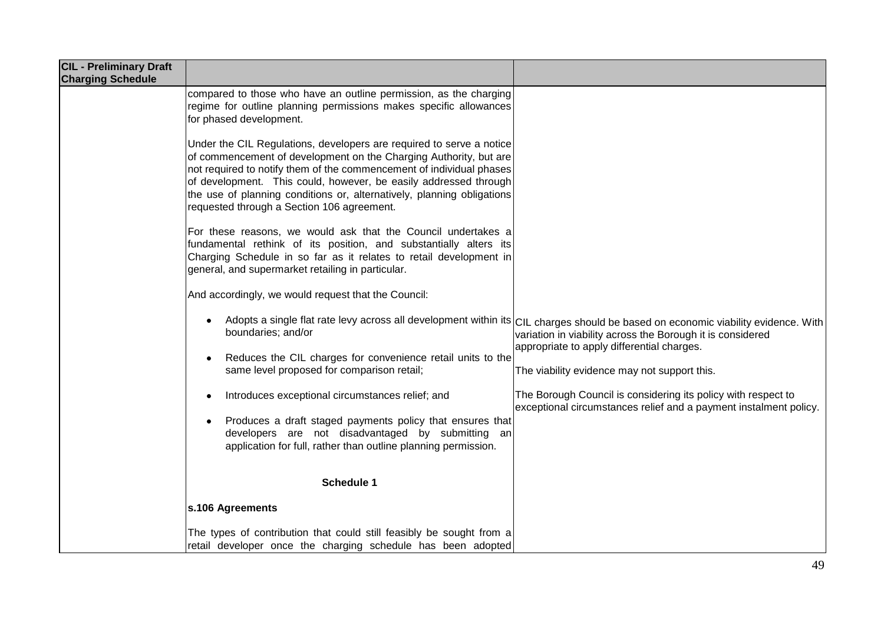| <b>CIL - Preliminary Draft</b><br><b>Charging Schedule</b> |                                                                                                                                                                                                                                                                                                                                                                                                               |                                                                                                                                                                                                                                                                                               |
|------------------------------------------------------------|---------------------------------------------------------------------------------------------------------------------------------------------------------------------------------------------------------------------------------------------------------------------------------------------------------------------------------------------------------------------------------------------------------------|-----------------------------------------------------------------------------------------------------------------------------------------------------------------------------------------------------------------------------------------------------------------------------------------------|
|                                                            | compared to those who have an outline permission, as the charging<br>regime for outline planning permissions makes specific allowances<br>for phased development.                                                                                                                                                                                                                                             |                                                                                                                                                                                                                                                                                               |
|                                                            | Under the CIL Regulations, developers are required to serve a notice<br>of commencement of development on the Charging Authority, but are<br>not required to notify them of the commencement of individual phases<br>of development. This could, however, be easily addressed through<br>the use of planning conditions or, alternatively, planning obligations<br>requested through a Section 106 agreement. |                                                                                                                                                                                                                                                                                               |
|                                                            | For these reasons, we would ask that the Council undertakes a<br>fundamental rethink of its position, and substantially alters its<br>Charging Schedule in so far as it relates to retail development in<br>general, and supermarket retailing in particular.                                                                                                                                                 |                                                                                                                                                                                                                                                                                               |
|                                                            | And accordingly, we would request that the Council:                                                                                                                                                                                                                                                                                                                                                           |                                                                                                                                                                                                                                                                                               |
|                                                            | ٠<br>boundaries; and/or<br>Reduces the CIL charges for convenience retail units to the<br>٠<br>same level proposed for comparison retail;                                                                                                                                                                                                                                                                     | Adopts a single flat rate levy across all development within its CIL charges should be based on economic viability evidence. With<br>variation in viability across the Borough it is considered<br>appropriate to apply differential charges.<br>The viability evidence may not support this. |
|                                                            | Introduces exceptional circumstances relief; and<br>٠                                                                                                                                                                                                                                                                                                                                                         | The Borough Council is considering its policy with respect to<br>exceptional circumstances relief and a payment instalment policy.                                                                                                                                                            |
|                                                            | Produces a draft staged payments policy that ensures that<br>٠<br>developers are not disadvantaged by submitting an<br>application for full, rather than outline planning permission.                                                                                                                                                                                                                         |                                                                                                                                                                                                                                                                                               |
|                                                            | <b>Schedule 1</b>                                                                                                                                                                                                                                                                                                                                                                                             |                                                                                                                                                                                                                                                                                               |
|                                                            | s.106 Agreements                                                                                                                                                                                                                                                                                                                                                                                              |                                                                                                                                                                                                                                                                                               |
|                                                            | The types of contribution that could still feasibly be sought from a<br>retail developer once the charging schedule has been adopted                                                                                                                                                                                                                                                                          |                                                                                                                                                                                                                                                                                               |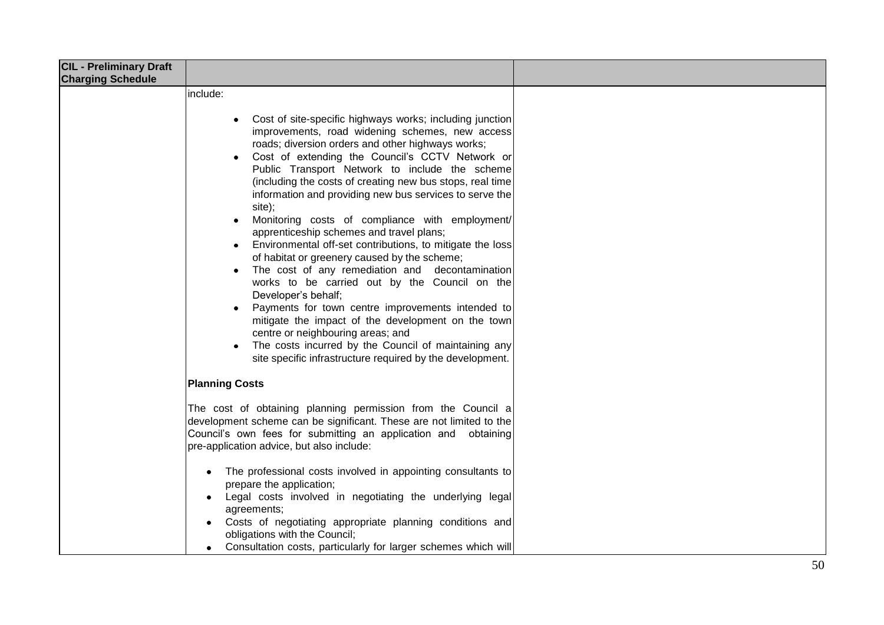| <b>CIL - Preliminary Draft</b> |                                                                                                                                                                                                                                                                                                                                                                                                                                                                                                                                                       |  |
|--------------------------------|-------------------------------------------------------------------------------------------------------------------------------------------------------------------------------------------------------------------------------------------------------------------------------------------------------------------------------------------------------------------------------------------------------------------------------------------------------------------------------------------------------------------------------------------------------|--|
| <b>Charging Schedule</b>       | include:<br>Cost of site-specific highways works; including junction<br>improvements, road widening schemes, new access<br>roads; diversion orders and other highways works;<br>Cost of extending the Council's CCTV Network or<br>Public Transport Network to include the scheme<br>(including the costs of creating new bus stops, real time<br>information and providing new bus services to serve the<br>site);<br>Monitoring costs of compliance with employment/                                                                                |  |
|                                | apprenticeship schemes and travel plans;<br>Environmental off-set contributions, to mitigate the loss<br>of habitat or greenery caused by the scheme;<br>The cost of any remediation and decontamination<br>works to be carried out by the Council on the<br>Developer's behalf;<br>Payments for town centre improvements intended to<br>mitigate the impact of the development on the town<br>centre or neighbouring areas; and<br>The costs incurred by the Council of maintaining any<br>site specific infrastructure required by the development. |  |
|                                | <b>Planning Costs</b><br>The cost of obtaining planning permission from the Council a<br>development scheme can be significant. These are not limited to the<br>Council's own fees for submitting an application and<br>obtaining<br>pre-application advice, but also include:                                                                                                                                                                                                                                                                        |  |
|                                | The professional costs involved in appointing consultants to<br>prepare the application;<br>Legal costs involved in negotiating the underlying legal<br>$\bullet$<br>agreements;<br>Costs of negotiating appropriate planning conditions and<br>$\bullet$<br>obligations with the Council;<br>Consultation costs, particularly for larger schemes which will                                                                                                                                                                                          |  |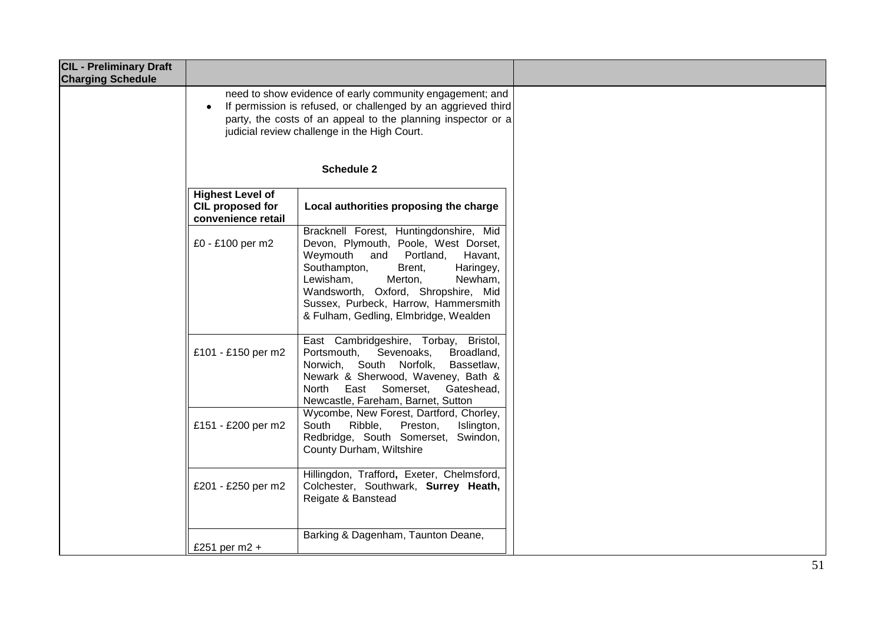| <b>CIL - Preliminary Draft</b><br><b>Charging Schedule</b> |                                                                   |                                                                                                                                                                                                                                                                                                                       |  |
|------------------------------------------------------------|-------------------------------------------------------------------|-----------------------------------------------------------------------------------------------------------------------------------------------------------------------------------------------------------------------------------------------------------------------------------------------------------------------|--|
|                                                            | $\bullet$                                                         | need to show evidence of early community engagement; and<br>If permission is refused, or challenged by an aggrieved third<br>party, the costs of an appeal to the planning inspector or a<br>judicial review challenge in the High Court.<br><b>Schedule 2</b>                                                        |  |
|                                                            | <b>Highest Level of</b><br>CIL proposed for<br>convenience retail | Local authorities proposing the charge                                                                                                                                                                                                                                                                                |  |
|                                                            | £0 - £100 per m2                                                  | Bracknell Forest, Huntingdonshire, Mid<br>Devon, Plymouth, Poole, West Dorset,<br>Weymouth and Portland,<br>Havant,<br>Southampton,<br>Brent,<br>Haringey,<br>Newham,<br>Lewisham,<br>Merton,<br>Wandsworth, Oxford, Shropshire, Mid<br>Sussex, Purbeck, Harrow, Hammersmith<br>& Fulham, Gedling, Elmbridge, Wealden |  |
|                                                            | £101 - £150 per m2                                                | East Cambridgeshire, Torbay, Bristol,<br>Portsmouth,<br>Sevenoaks,<br>Broadland,<br>Norwich, South Norfolk,<br>Bassetlaw,<br>Newark & Sherwood, Waveney, Bath &<br>East Somerset,<br>North<br>Gateshead,<br>Newcastle, Fareham, Barnet, Sutton                                                                        |  |
|                                                            | £151 - £200 per m2                                                | Wycombe, New Forest, Dartford, Chorley,<br>South<br>Ribble,<br>Preston,<br>Islington,<br>Redbridge, South Somerset, Swindon,<br>County Durham, Wiltshire                                                                                                                                                              |  |
|                                                            | £201 - £250 per m2                                                | Hillingdon, Trafford, Exeter, Chelmsford,<br>Colchester, Southwark, Surrey Heath,<br>Reigate & Banstead                                                                                                                                                                                                               |  |
|                                                            | £251 per $m2 +$                                                   | Barking & Dagenham, Taunton Deane,                                                                                                                                                                                                                                                                                    |  |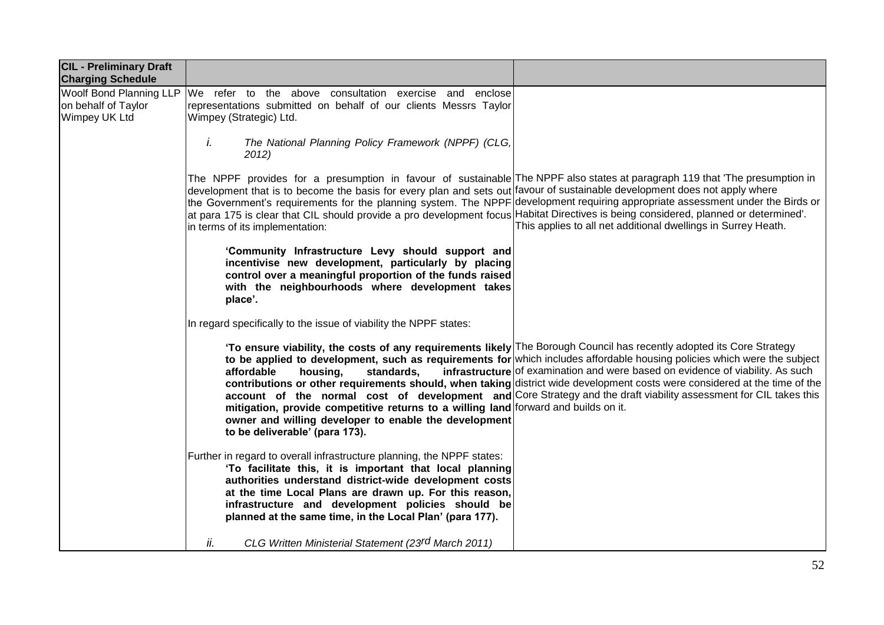| <b>CIL - Preliminary Draft</b><br><b>Charging Schedule</b>             |                                                                                                                                                                                                                                                                                                                                                                                                                                                                                                                                                                         |                                                                                                                                                                                                                                                                                                                                                                                                                                                               |
|------------------------------------------------------------------------|-------------------------------------------------------------------------------------------------------------------------------------------------------------------------------------------------------------------------------------------------------------------------------------------------------------------------------------------------------------------------------------------------------------------------------------------------------------------------------------------------------------------------------------------------------------------------|---------------------------------------------------------------------------------------------------------------------------------------------------------------------------------------------------------------------------------------------------------------------------------------------------------------------------------------------------------------------------------------------------------------------------------------------------------------|
| <b>Woolf Bond Planning LLP</b><br>on behalf of Taylor<br>Wimpey UK Ltd | We refer to the above consultation exercise and enclose<br>representations submitted on behalf of our clients Messrs Taylor<br>Wimpey (Strategic) Ltd.                                                                                                                                                                                                                                                                                                                                                                                                                  |                                                                                                                                                                                                                                                                                                                                                                                                                                                               |
|                                                                        | i.<br>The National Planning Policy Framework (NPPF) (CLG,<br>2012)                                                                                                                                                                                                                                                                                                                                                                                                                                                                                                      |                                                                                                                                                                                                                                                                                                                                                                                                                                                               |
|                                                                        | The NPPF provides for a presumption in favour of sustainable The NPPF also states at paragraph 119 that 'The presumption in<br>development that is to become the basis for every plan and sets out favour of sustainable development does not apply where<br>the Government's requirements for the planning system. The NPPF development requiring appropriate assessment under the Birds or<br>at para 175 is clear that CIL should provide a pro development focus Habitat Directives is being considered, planned or determined'.<br>in terms of its implementation: | This applies to all net additional dwellings in Surrey Heath.                                                                                                                                                                                                                                                                                                                                                                                                 |
|                                                                        | 'Community Infrastructure Levy should support and<br>incentivise new development, particularly by placing<br>control over a meaningful proportion of the funds raised<br>with the neighbourhoods where development takes<br>place'.                                                                                                                                                                                                                                                                                                                                     |                                                                                                                                                                                                                                                                                                                                                                                                                                                               |
|                                                                        | In regard specifically to the issue of viability the NPPF states:                                                                                                                                                                                                                                                                                                                                                                                                                                                                                                       |                                                                                                                                                                                                                                                                                                                                                                                                                                                               |
|                                                                        | 'To ensure viability, the costs of any requirements likely The Borough Council has recently adopted its Core Strategy<br>affordable<br>housing,<br>standards,<br>mitigation, provide competitive returns to a willing land forward and builds on it.<br>owner and willing developer to enable the development<br>to be deliverable' (para 173).                                                                                                                                                                                                                         | to be applied to development, such as requirements for which includes affordable housing policies which were the subject<br>infrastructure of examination and were based on evidence of viability. As such<br>contributions or other requirements should, when taking district wide development costs were considered at the time of the<br>account of the normal cost of development and Core Strategy and the draft viability assessment for CIL takes this |
|                                                                        | Further in regard to overall infrastructure planning, the NPPF states:<br>'To facilitate this, it is important that local planning<br>authorities understand district-wide development costs<br>at the time Local Plans are drawn up. For this reason,<br>infrastructure and development policies should be<br>planned at the same time, in the Local Plan' (para 177).                                                                                                                                                                                                 |                                                                                                                                                                                                                                                                                                                                                                                                                                                               |
|                                                                        | CLG Written Ministerial Statement (23rd March 2011)<br>ii.                                                                                                                                                                                                                                                                                                                                                                                                                                                                                                              |                                                                                                                                                                                                                                                                                                                                                                                                                                                               |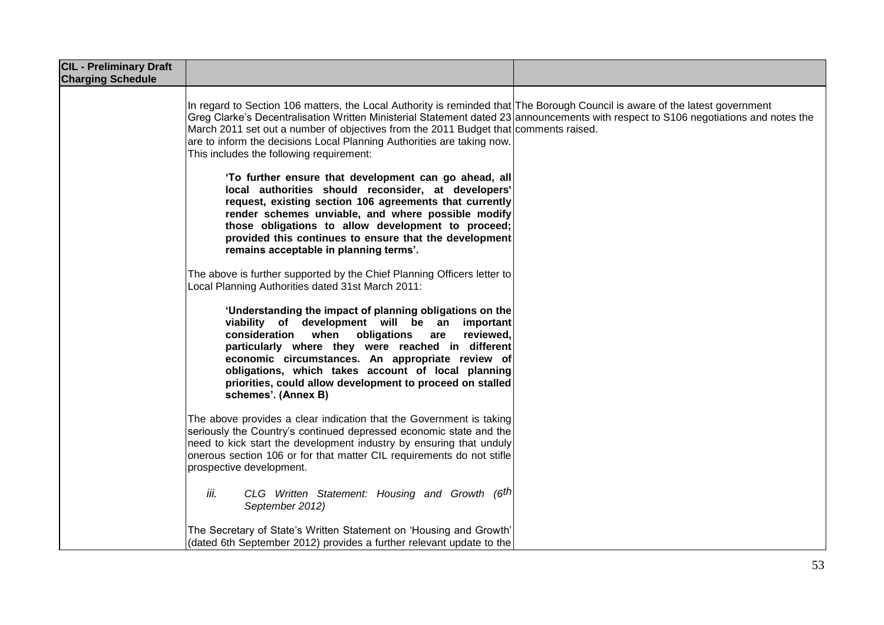| <b>CIL - Preliminary Draft</b><br><b>Charging Schedule</b> |                                                                                                                                                                                                                                                                                                                                                                                                                                                                                   |  |
|------------------------------------------------------------|-----------------------------------------------------------------------------------------------------------------------------------------------------------------------------------------------------------------------------------------------------------------------------------------------------------------------------------------------------------------------------------------------------------------------------------------------------------------------------------|--|
|                                                            | In regard to Section 106 matters, the Local Authority is reminded that The Borough Council is aware of the latest government<br>Greg Clarke's Decentralisation Written Ministerial Statement dated 23 announcements with respect to S106 negotiations and notes the<br>March 2011 set out a number of objectives from the 2011 Budget that comments raised.<br>are to inform the decisions Local Planning Authorities are taking now.<br>This includes the following requirement: |  |
|                                                            | 'To further ensure that development can go ahead, all<br>local authorities should reconsider, at developers'<br>request, existing section 106 agreements that currently<br>render schemes unviable, and where possible modify<br>those obligations to allow development to proceed;<br>provided this continues to ensure that the development<br>remains acceptable in planning terms'.                                                                                           |  |
|                                                            | The above is further supported by the Chief Planning Officers letter to<br>Local Planning Authorities dated 31st March 2011:                                                                                                                                                                                                                                                                                                                                                      |  |
|                                                            | 'Understanding the impact of planning obligations on the<br>viability of development will be an important<br>consideration when obligations<br>are<br>reviewed,<br>particularly where they were reached in different<br>economic circumstances. An appropriate review of<br>obligations, which takes account of local planning<br>priorities, could allow development to proceed on stalled<br>schemes'. (Annex B)                                                                |  |
|                                                            | The above provides a clear indication that the Government is taking<br>seriously the Country's continued depressed economic state and the<br>need to kick start the development industry by ensuring that unduly<br>onerous section 106 or for that matter CIL requirements do not stifle<br>prospective development.                                                                                                                                                             |  |
|                                                            | iii.<br>CLG Written Statement: Housing and Growth (6th<br>September 2012)                                                                                                                                                                                                                                                                                                                                                                                                         |  |
|                                                            | The Secretary of State's Written Statement on 'Housing and Growth'<br>(dated 6th September 2012) provides a further relevant update to the                                                                                                                                                                                                                                                                                                                                        |  |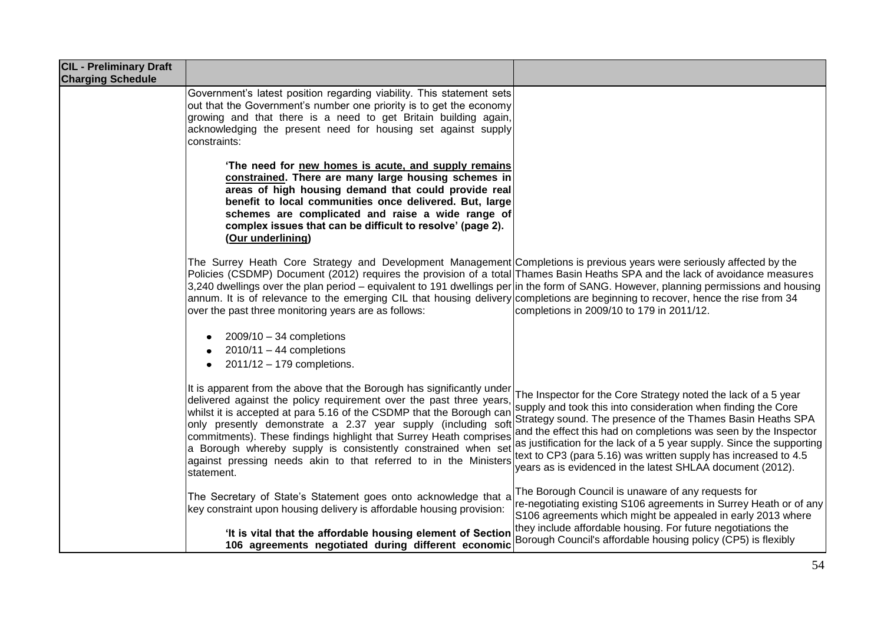| <b>CIL - Preliminary Draft</b><br><b>Charging Schedule</b> |                                                                                                                                                                                                                                                                                                                                                                                                                                                                                                                                                                                              |                                                                                                                                                                                                                                                                                                                                                                                                                                                                               |
|------------------------------------------------------------|----------------------------------------------------------------------------------------------------------------------------------------------------------------------------------------------------------------------------------------------------------------------------------------------------------------------------------------------------------------------------------------------------------------------------------------------------------------------------------------------------------------------------------------------------------------------------------------------|-------------------------------------------------------------------------------------------------------------------------------------------------------------------------------------------------------------------------------------------------------------------------------------------------------------------------------------------------------------------------------------------------------------------------------------------------------------------------------|
|                                                            | Government's latest position regarding viability. This statement sets<br>out that the Government's number one priority is to get the economy<br>growing and that there is a need to get Britain building again,<br>acknowledging the present need for housing set against supply<br>constraints:                                                                                                                                                                                                                                                                                             |                                                                                                                                                                                                                                                                                                                                                                                                                                                                               |
|                                                            | 'The need for new homes is acute, and supply remains<br>constrained. There are many large housing schemes in<br>areas of high housing demand that could provide real<br>benefit to local communities once delivered. But, large<br>schemes are complicated and raise a wide range of<br>complex issues that can be difficult to resolve' (page 2).<br>(Our underlining)                                                                                                                                                                                                                      |                                                                                                                                                                                                                                                                                                                                                                                                                                                                               |
|                                                            | The Surrey Heath Core Strategy and Development Management Completions is previous years were seriously affected by the<br>Policies (CSDMP) Document (2012) requires the provision of a total Thames Basin Heaths SPA and the lack of avoidance measures<br>3,240 dwellings over the plan period – equivalent to 191 dwellings per in the form of SANG. However, planning permissions and housing<br>annum. It is of relevance to the emerging CIL that housing delivery completions are beginning to recover, hence the rise from 34<br>over the past three monitoring years are as follows: | completions in 2009/10 to 179 in 2011/12.                                                                                                                                                                                                                                                                                                                                                                                                                                     |
|                                                            | $2009/10 - 34$ completions<br>$2010/11 - 44$ completions<br>2011/12 - 179 completions.                                                                                                                                                                                                                                                                                                                                                                                                                                                                                                       |                                                                                                                                                                                                                                                                                                                                                                                                                                                                               |
|                                                            | It is apparent from the above that the Borough has significantly under<br>delivered against the policy requirement over the past three years.<br>whilst it is accepted at para 5.16 of the CSDMP that the Borough can<br>only presently demonstrate a 2.37 year supply (including soft<br>commitments). These findings highlight that Surrey Heath comprises<br>a Borough whereby supply is consistently constrained when set<br>against pressing needs akin to that referred to in the Ministers<br>statement.                                                                              | The Inspector for the Core Strategy noted the lack of a 5 year<br>supply and took this into consideration when finding the Core<br>Strategy sound. The presence of the Thames Basin Heaths SPA<br>and the effect this had on completions was seen by the Inspector<br>as justification for the lack of a 5 year supply. Since the supporting<br>text to CP3 (para 5.16) was written supply has increased to 4.5<br>years as is evidenced in the latest SHLAA document (2012). |
|                                                            | The Secretary of State's Statement goes onto acknowledge that a<br>key constraint upon housing delivery is affordable housing provision:                                                                                                                                                                                                                                                                                                                                                                                                                                                     | The Borough Council is unaware of any requests for<br>re-negotiating existing S106 agreements in Surrey Heath or of any<br>S106 agreements which might be appealed in early 2013 where<br>they include affordable housing. For future negotiations the                                                                                                                                                                                                                        |
|                                                            | 'It is vital that the affordable housing element of Section<br>106 agreements negotiated during different economic                                                                                                                                                                                                                                                                                                                                                                                                                                                                           | Borough Council's affordable housing policy (CP5) is flexibly                                                                                                                                                                                                                                                                                                                                                                                                                 |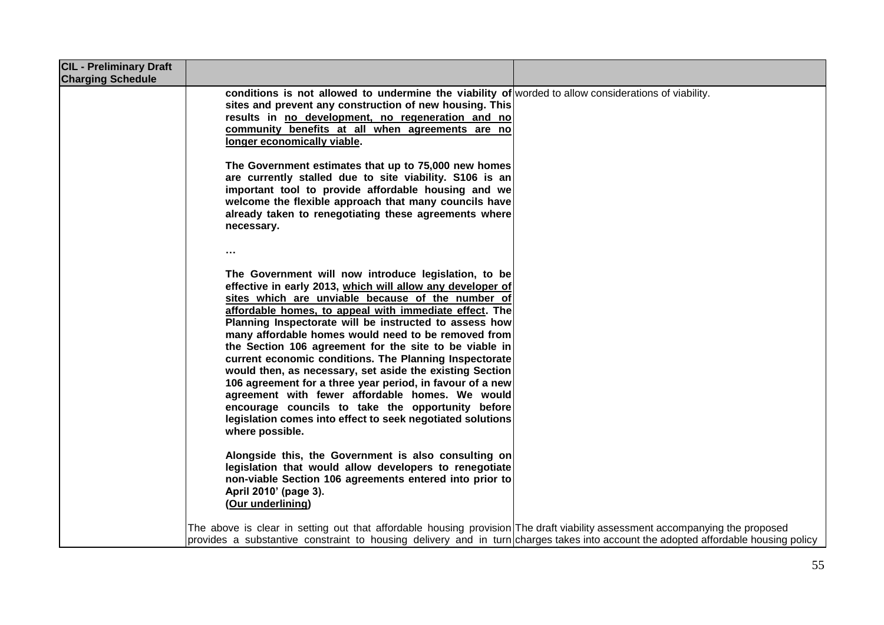| <b>CIL - Preliminary Draft</b><br><b>Charging Schedule</b> |                                                                                                                                                                                                                                                                                                                                                                                                                                                                                                                                                                                                                                                                                                                                                                                                      |
|------------------------------------------------------------|------------------------------------------------------------------------------------------------------------------------------------------------------------------------------------------------------------------------------------------------------------------------------------------------------------------------------------------------------------------------------------------------------------------------------------------------------------------------------------------------------------------------------------------------------------------------------------------------------------------------------------------------------------------------------------------------------------------------------------------------------------------------------------------------------|
|                                                            | conditions is not allowed to undermine the viability of worded to allow considerations of viability.<br>sites and prevent any construction of new housing. This<br>results in no development, no regeneration and no<br>community benefits at all when agreements are no<br>longer economically viable.                                                                                                                                                                                                                                                                                                                                                                                                                                                                                              |
|                                                            | The Government estimates that up to 75,000 new homes<br>are currently stalled due to site viability. S106 is an<br>important tool to provide affordable housing and we<br>welcome the flexible approach that many councils have<br>already taken to renegotiating these agreements where<br>necessary.                                                                                                                                                                                                                                                                                                                                                                                                                                                                                               |
|                                                            | $\cdots$<br>The Government will now introduce legislation, to be<br>effective in early 2013, which will allow any developer of<br>sites which are unviable because of the number of<br>affordable homes, to appeal with immediate effect. The<br>Planning Inspectorate will be instructed to assess how<br>many affordable homes would need to be removed from<br>the Section 106 agreement for the site to be viable in<br>current economic conditions. The Planning Inspectorate<br>would then, as necessary, set aside the existing Section<br>106 agreement for a three year period, in favour of a new<br>agreement with fewer affordable homes. We would<br>encourage councils to take the opportunity before<br>legislation comes into effect to seek negotiated solutions<br>where possible. |
|                                                            | Alongside this, the Government is also consulting on<br>legislation that would allow developers to renegotiate<br>non-viable Section 106 agreements entered into prior to<br>April 2010' (page 3).<br>(Our underlining)                                                                                                                                                                                                                                                                                                                                                                                                                                                                                                                                                                              |
|                                                            | The above is clear in setting out that affordable housing provision The draft viability assessment accompanying the proposed<br>provides a substantive constraint to housing delivery and in turn charges takes into account the adopted affordable housing policy                                                                                                                                                                                                                                                                                                                                                                                                                                                                                                                                   |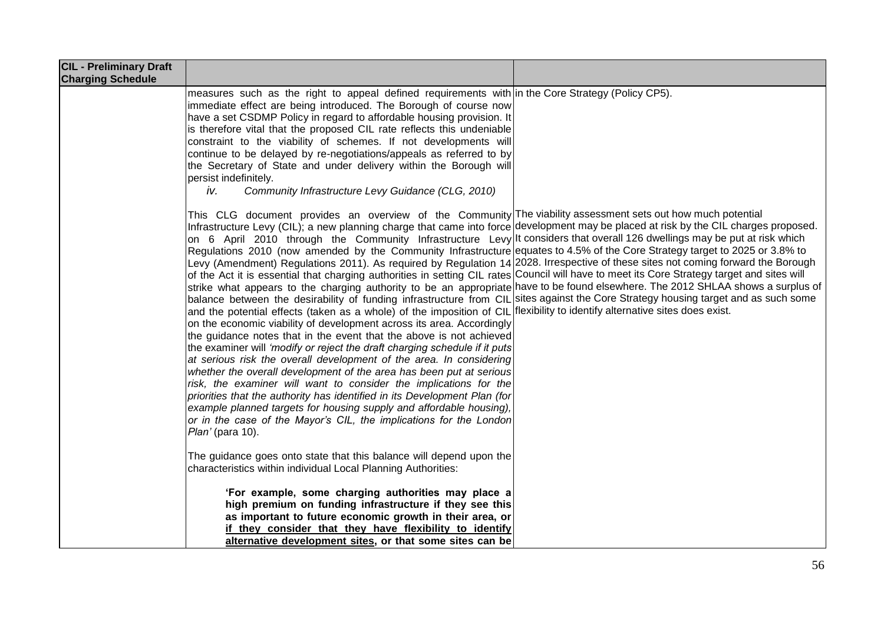| <b>CIL - Preliminary Draft</b><br><b>Charging Schedule</b> |                                                                                                                                                                                                                                                                                                                                                                                                                                                                                                                                                                                                                                                                                                                                                                                                                                                                                                                                                                                                                                                                                                                                                                                                                                                                                                                                                                                                                                                                                                                                                                                                                                                                                                                                                                                                                                                                                                                 |  |
|------------------------------------------------------------|-----------------------------------------------------------------------------------------------------------------------------------------------------------------------------------------------------------------------------------------------------------------------------------------------------------------------------------------------------------------------------------------------------------------------------------------------------------------------------------------------------------------------------------------------------------------------------------------------------------------------------------------------------------------------------------------------------------------------------------------------------------------------------------------------------------------------------------------------------------------------------------------------------------------------------------------------------------------------------------------------------------------------------------------------------------------------------------------------------------------------------------------------------------------------------------------------------------------------------------------------------------------------------------------------------------------------------------------------------------------------------------------------------------------------------------------------------------------------------------------------------------------------------------------------------------------------------------------------------------------------------------------------------------------------------------------------------------------------------------------------------------------------------------------------------------------------------------------------------------------------------------------------------------------|--|
|                                                            | measures such as the right to appeal defined requirements with in the Core Strategy (Policy CP5).<br>immediate effect are being introduced. The Borough of course now<br>have a set CSDMP Policy in regard to affordable housing provision. It<br>is therefore vital that the proposed CIL rate reflects this undeniable<br>constraint to the viability of schemes. If not developments will<br>continue to be delayed by re-negotiations/appeals as referred to by<br>the Secretary of State and under delivery within the Borough will<br>persist indefinitely.<br>iv.<br>Community Infrastructure Levy Guidance (CLG, 2010)                                                                                                                                                                                                                                                                                                                                                                                                                                                                                                                                                                                                                                                                                                                                                                                                                                                                                                                                                                                                                                                                                                                                                                                                                                                                                  |  |
|                                                            | This CLG document provides an overview of the Community The viability assessment sets out how much potential<br>Infrastructure Levy (CIL); a new planning charge that came into force development may be placed at risk by the CIL charges proposed.<br>on 6 April 2010 through the Community Infrastructure Levy It considers that overall 126 dwellings may be put at risk which<br>Regulations 2010 (now amended by the Community Infrastructure equates to 4.5% of the Core Strategy target to 2025 or 3.8% to<br>Levy (Amendment) Regulations 2011). As required by Regulation 14 2028. Irrespective of these sites not coming forward the Borough<br>of the Act it is essential that charging authorities in setting CIL rates Council will have to meet its Core Strategy target and sites will<br>strike what appears to the charging authority to be an appropriate have to be found elsewhere. The 2012 SHLAA shows a surplus of<br>balance between the desirability of funding infrastructure from CIL sites against the Core Strategy housing target and as such some<br>and the potential effects (taken as a whole) of the imposition of CIL flexibility to identify alternative sites does exist.<br>on the economic viability of development across its area. Accordingly<br>the guidance notes that in the event that the above is not achieved<br>the examiner will 'modify or reject the draft charging schedule if it puts<br>at serious risk the overall development of the area. In considering<br>whether the overall development of the area has been put at serious<br>risk, the examiner will want to consider the implications for the<br>priorities that the authority has identified in its Development Plan (for<br>example planned targets for housing supply and affordable housing),<br>or in the case of the Mayor's CIL, the implications for the London<br>Plan' (para 10). |  |
|                                                            | The guidance goes onto state that this balance will depend upon the<br>characteristics within individual Local Planning Authorities:<br>'For example, some charging authorities may place a                                                                                                                                                                                                                                                                                                                                                                                                                                                                                                                                                                                                                                                                                                                                                                                                                                                                                                                                                                                                                                                                                                                                                                                                                                                                                                                                                                                                                                                                                                                                                                                                                                                                                                                     |  |
|                                                            | high premium on funding infrastructure if they see this<br>as important to future economic growth in their area, or<br>if they consider that they have flexibility to identify<br>alternative development sites, or that some sites can be                                                                                                                                                                                                                                                                                                                                                                                                                                                                                                                                                                                                                                                                                                                                                                                                                                                                                                                                                                                                                                                                                                                                                                                                                                                                                                                                                                                                                                                                                                                                                                                                                                                                      |  |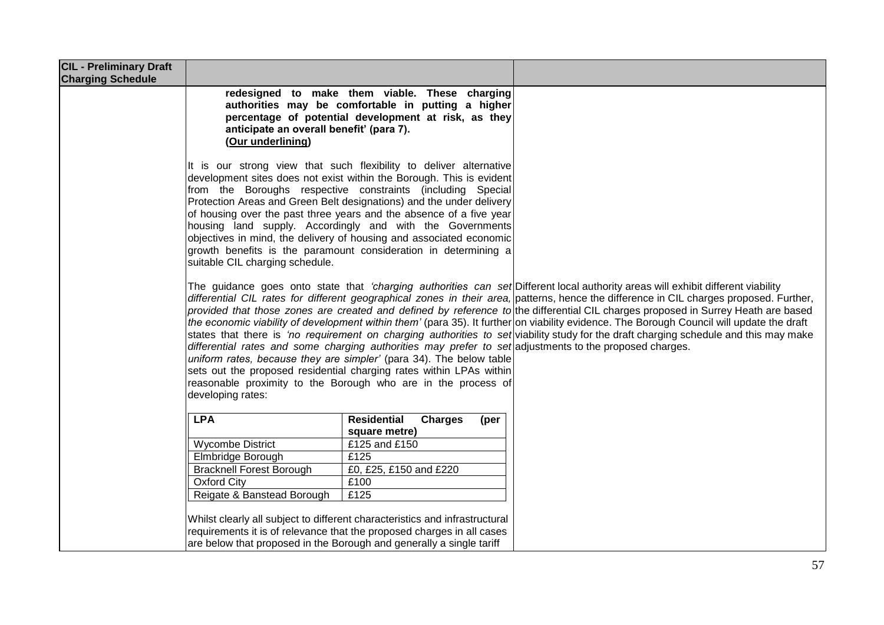| <b>CIL - Preliminary Draft</b><br><b>Charging Schedule</b> |                                                                                                                                                                                                                                                                                                                                                                                                                                                                                                                                                                                                                                                                                                                                                                                                                                                                                                                                                                                                                                                       |                                                                                                                                                              |  |
|------------------------------------------------------------|-------------------------------------------------------------------------------------------------------------------------------------------------------------------------------------------------------------------------------------------------------------------------------------------------------------------------------------------------------------------------------------------------------------------------------------------------------------------------------------------------------------------------------------------------------------------------------------------------------------------------------------------------------------------------------------------------------------------------------------------------------------------------------------------------------------------------------------------------------------------------------------------------------------------------------------------------------------------------------------------------------------------------------------------------------|--------------------------------------------------------------------------------------------------------------------------------------------------------------|--|
|                                                            | anticipate an overall benefit' (para 7).<br>(Our underlining)                                                                                                                                                                                                                                                                                                                                                                                                                                                                                                                                                                                                                                                                                                                                                                                                                                                                                                                                                                                         | redesigned to make them viable. These charging<br>authorities may be comfortable in putting a higher<br>percentage of potential development at risk, as they |  |
|                                                            | It is our strong view that such flexibility to deliver alternative<br>development sites does not exist within the Borough. This is evident<br>from the Boroughs respective constraints (including Special<br>Protection Areas and Green Belt designations) and the under delivery<br>of housing over the past three years and the absence of a five year<br>housing land supply. Accordingly and with the Governments<br>objectives in mind, the delivery of housing and associated economic<br>growth benefits is the paramount consideration in determining a<br>suitable CIL charging schedule.                                                                                                                                                                                                                                                                                                                                                                                                                                                    |                                                                                                                                                              |  |
|                                                            | The guidance goes onto state that 'charging authorities can set Different local authority areas will exhibit different viability<br>differential CIL rates for different geographical zones in their area, patterns, hence the difference in CIL charges proposed. Further,<br>provided that those zones are created and defined by reference to the differential CIL charges proposed in Surrey Heath are based<br>the economic viability of development within them' (para 35). It further on viability evidence. The Borough Council will update the draft<br>states that there is 'no requirement on charging authorities to set viability study for the draft charging schedule and this may make<br>differential rates and some charging authorities may prefer to set adjustments to the proposed charges.<br>uniform rates, because they are simpler' (para 34). The below table<br>sets out the proposed residential charging rates within LPAs within<br>reasonable proximity to the Borough who are in the process of<br>developing rates: |                                                                                                                                                              |  |
|                                                            | <b>LPA</b>                                                                                                                                                                                                                                                                                                                                                                                                                                                                                                                                                                                                                                                                                                                                                                                                                                                                                                                                                                                                                                            | <b>Residential</b><br><b>Charges</b><br>(per<br>square metre)                                                                                                |  |
|                                                            | Wycombe District                                                                                                                                                                                                                                                                                                                                                                                                                                                                                                                                                                                                                                                                                                                                                                                                                                                                                                                                                                                                                                      | £125 and £150                                                                                                                                                |  |
|                                                            | Elmbridge Borough                                                                                                                                                                                                                                                                                                                                                                                                                                                                                                                                                                                                                                                                                                                                                                                                                                                                                                                                                                                                                                     | £125                                                                                                                                                         |  |
|                                                            | <b>Bracknell Forest Borough</b>                                                                                                                                                                                                                                                                                                                                                                                                                                                                                                                                                                                                                                                                                                                                                                                                                                                                                                                                                                                                                       | £0, £25, £150 and £220                                                                                                                                       |  |
|                                                            | <b>Oxford City</b>                                                                                                                                                                                                                                                                                                                                                                                                                                                                                                                                                                                                                                                                                                                                                                                                                                                                                                                                                                                                                                    | £100                                                                                                                                                         |  |
|                                                            | Reigate & Banstead Borough                                                                                                                                                                                                                                                                                                                                                                                                                                                                                                                                                                                                                                                                                                                                                                                                                                                                                                                                                                                                                            | £125                                                                                                                                                         |  |
|                                                            | Whilst clearly all subject to different characteristics and infrastructural<br>requirements it is of relevance that the proposed charges in all cases<br>are below that proposed in the Borough and generally a single tariff                                                                                                                                                                                                                                                                                                                                                                                                                                                                                                                                                                                                                                                                                                                                                                                                                         |                                                                                                                                                              |  |